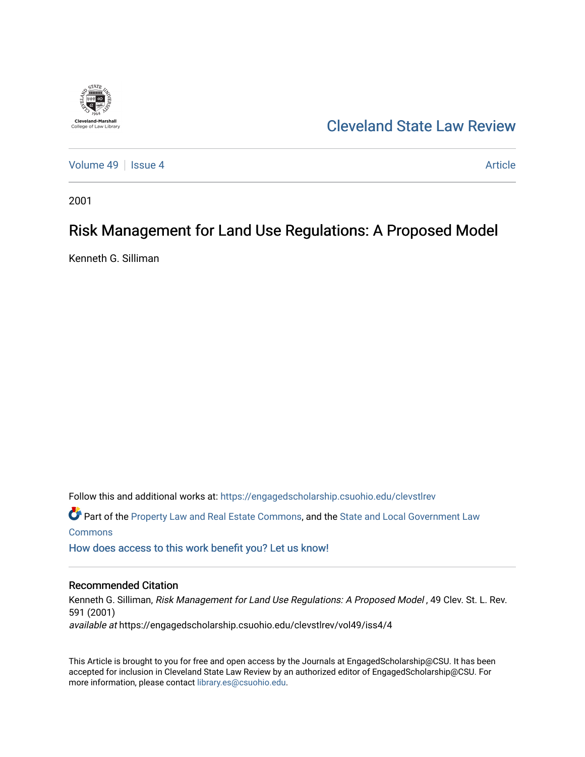

[Cleveland State Law Review](https://engagedscholarship.csuohio.edu/clevstlrev) 

[Volume 49](https://engagedscholarship.csuohio.edu/clevstlrev/vol49) | [Issue 4](https://engagedscholarship.csuohio.edu/clevstlrev/vol49/iss4) Article

2001

# Risk Management for Land Use Regulations: A Proposed Model

Kenneth G. Silliman

Follow this and additional works at: [https://engagedscholarship.csuohio.edu/clevstlrev](https://engagedscholarship.csuohio.edu/clevstlrev?utm_source=engagedscholarship.csuohio.edu%2Fclevstlrev%2Fvol49%2Fiss4%2F4&utm_medium=PDF&utm_campaign=PDFCoverPages) Part of the [Property Law and Real Estate Commons,](http://network.bepress.com/hgg/discipline/897?utm_source=engagedscholarship.csuohio.edu%2Fclevstlrev%2Fvol49%2Fiss4%2F4&utm_medium=PDF&utm_campaign=PDFCoverPages) and the [State and Local Government Law](http://network.bepress.com/hgg/discipline/879?utm_source=engagedscholarship.csuohio.edu%2Fclevstlrev%2Fvol49%2Fiss4%2F4&utm_medium=PDF&utm_campaign=PDFCoverPages) **[Commons](http://network.bepress.com/hgg/discipline/879?utm_source=engagedscholarship.csuohio.edu%2Fclevstlrev%2Fvol49%2Fiss4%2F4&utm_medium=PDF&utm_campaign=PDFCoverPages)** 

[How does access to this work benefit you? Let us know!](http://library.csuohio.edu/engaged/)

# Recommended Citation

Kenneth G. Silliman, Risk Management for Land Use Regulations: A Proposed Model, 49 Clev. St. L. Rev. 591 (2001) available at https://engagedscholarship.csuohio.edu/clevstlrev/vol49/iss4/4

This Article is brought to you for free and open access by the Journals at EngagedScholarship@CSU. It has been accepted for inclusion in Cleveland State Law Review by an authorized editor of EngagedScholarship@CSU. For more information, please contact [library.es@csuohio.edu](mailto:library.es@csuohio.edu).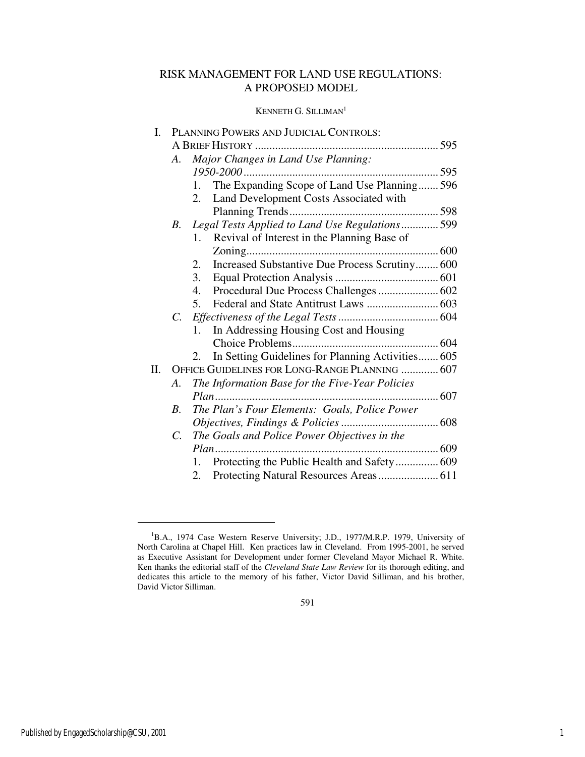# RISK MANAGEMENT FOR LAND USE REGULATIONS: A PROPOSED MODEL

# KENNETH G. SILLIMAN<sup>1</sup>

| I.  | PLANNING POWERS AND JUDICIAL CONTROLS:         |                                                         |  |  |  |
|-----|------------------------------------------------|---------------------------------------------------------|--|--|--|
|     |                                                |                                                         |  |  |  |
|     | Major Changes in Land Use Planning:<br>A.      |                                                         |  |  |  |
|     |                                                |                                                         |  |  |  |
|     |                                                | The Expanding Scope of Land Use Planning 596<br>1.      |  |  |  |
|     |                                                | Land Development Costs Associated with<br>2.            |  |  |  |
|     |                                                |                                                         |  |  |  |
|     | B.                                             | Legal Tests Applied to Land Use Regulations 599         |  |  |  |
|     |                                                | Revival of Interest in the Planning Base of<br>$1_{-}$  |  |  |  |
|     |                                                |                                                         |  |  |  |
|     |                                                | Increased Substantive Due Process Scrutiny 600<br>2.    |  |  |  |
|     |                                                | 3.                                                      |  |  |  |
|     |                                                | Procedural Due Process Challenges  602<br>4.            |  |  |  |
|     |                                                | 5.                                                      |  |  |  |
|     |                                                |                                                         |  |  |  |
|     |                                                | In Addressing Housing Cost and Housing<br>1.            |  |  |  |
|     |                                                |                                                         |  |  |  |
|     |                                                | In Setting Guidelines for Planning Activities 605<br>2. |  |  |  |
| II. | OFFICE GUIDELINES FOR LONG-RANGE PLANNING  607 |                                                         |  |  |  |
|     | A.                                             | The Information Base for the Five-Year Policies         |  |  |  |
|     |                                                |                                                         |  |  |  |
|     | $B_{-}$                                        | The Plan's Four Elements: Goals, Police Power           |  |  |  |
|     |                                                |                                                         |  |  |  |
|     | $C_{\cdot}$                                    | The Goals and Police Power Objectives in the            |  |  |  |
|     |                                                |                                                         |  |  |  |
|     |                                                | Protecting the Public Health and Safety 609<br>1.       |  |  |  |
|     |                                                | 2.                                                      |  |  |  |
|     |                                                |                                                         |  |  |  |

591

 $\overline{a}$ 

<sup>&</sup>lt;sup>1</sup>B.A., 1974 Case Western Reserve University; J.D., 1977/M.R.P. 1979, University of North Carolina at Chapel Hill. Ken practices law in Cleveland. From 1995-2001, he served as Executive Assistant for Development under former Cleveland Mayor Michael R. White. Ken thanks the editorial staff of the *Cleveland State Law Review* for its thorough editing, and dedicates this article to the memory of his father, Victor David Silliman, and his brother, David Victor Silliman.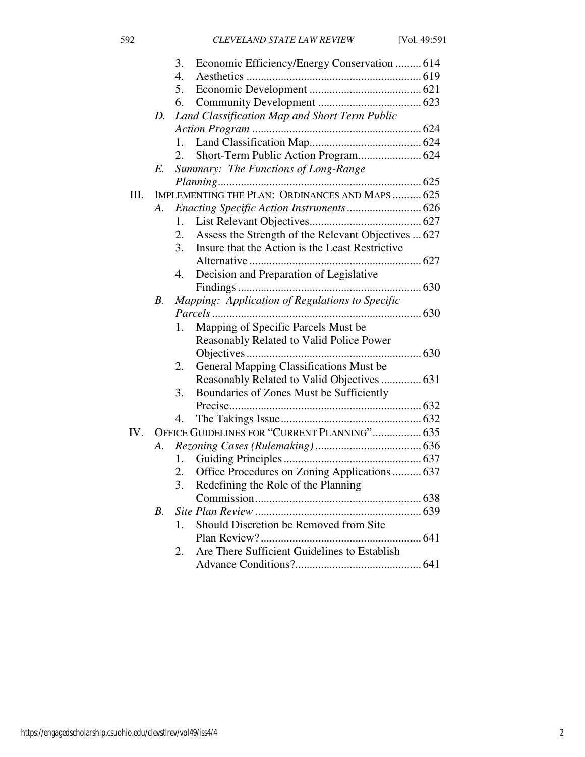|      |             | Economic Efficiency/Energy Conservation  614<br>3.        |  |  |
|------|-------------|-----------------------------------------------------------|--|--|
|      |             | 4.                                                        |  |  |
|      |             | 5.                                                        |  |  |
|      |             | 6.                                                        |  |  |
|      | D.          | Land Classification Map and Short Term Public             |  |  |
|      |             |                                                           |  |  |
|      |             | 1.                                                        |  |  |
|      |             | 2.                                                        |  |  |
|      | E.          | Summary: The Functions of Long-Range                      |  |  |
|      |             |                                                           |  |  |
| III. |             | IMPLEMENTING THE PLAN: ORDINANCES AND MAPS  625           |  |  |
|      | А.          |                                                           |  |  |
|      |             | 1.                                                        |  |  |
|      |             | Assess the Strength of the Relevant Objectives  627<br>2. |  |  |
|      |             | Insure that the Action is the Least Restrictive<br>3.     |  |  |
|      |             |                                                           |  |  |
|      |             | Decision and Preparation of Legislative<br>4.             |  |  |
|      |             |                                                           |  |  |
|      | В.          | Mapping: Application of Regulations to Specific           |  |  |
|      |             | Parcels                                                   |  |  |
|      |             | Mapping of Specific Parcels Must be<br>1.                 |  |  |
|      |             | Reasonably Related to Valid Police Power                  |  |  |
|      |             |                                                           |  |  |
|      |             | General Mapping Classifications Must be<br>2.             |  |  |
|      |             | Reasonably Related to Valid Objectives  631               |  |  |
|      |             | Boundaries of Zones Must be Sufficiently<br>3.            |  |  |
|      |             |                                                           |  |  |
|      |             | 4.                                                        |  |  |
| IV.  |             | OFFICE GUIDELINES FOR "CURRENT PLANNING" 635              |  |  |
|      | A.          |                                                           |  |  |
|      |             | 1.                                                        |  |  |
|      |             | Office Procedures on Zoning Applications  637<br>2.       |  |  |
|      |             | 3.<br>Redefining the Role of the Planning                 |  |  |
|      |             |                                                           |  |  |
|      | $B_{\cdot}$ |                                                           |  |  |
|      |             | Should Discretion be Removed from Site<br>1.              |  |  |
|      |             |                                                           |  |  |
|      |             | Are There Sufficient Guidelines to Establish<br>2.        |  |  |
|      |             |                                                           |  |  |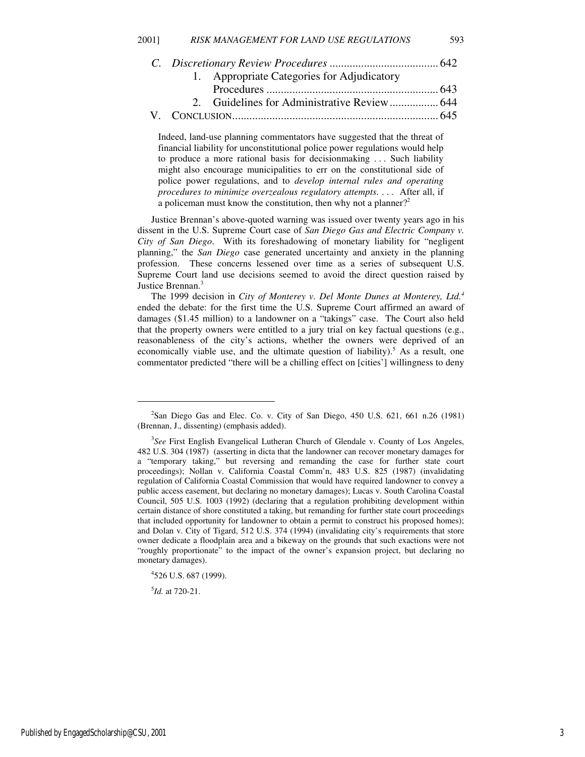|  | 1. Appropriate Categories for Adjudicatory |  |
|--|--------------------------------------------|--|
|  |                                            |  |
|  |                                            |  |
|  |                                            |  |

Indeed, land-use planning commentators have suggested that the threat of financial liability for unconstitutional police power regulations would help to produce a more rational basis for decisionmaking . . . Such liability might also encourage municipalities to err on the constitutional side of police power regulations, and to *develop internal rules and operating procedures to minimize overzealous regulatory attempts*. . . . After all, if a policeman must know the constitution, then why not a planner?<sup>2</sup>

Justice Brennan's above-quoted warning was issued over twenty years ago in his dissent in the U.S. Supreme Court case of *San Diego Gas and Electric Company v. City of San Diego*. With its foreshadowing of monetary liability for "negligent planning," the *San Diego* case generated uncertainty and anxiety in the planning profession. These concerns lessened over time as a series of subsequent U.S. Supreme Court land use decisions seemed to avoid the direct question raised by Justice Brennan.<sup>3</sup>

The 1999 decision in *City of Monterey v. Del Monte Dunes at Monterey, Ltd.<sup>4</sup>* ended the debate: for the first time the U.S. Supreme Court affirmed an award of damages (\$1.45 million) to a landowner on a "takings" case. The Court also held that the property owners were entitled to a jury trial on key factual questions (e.g., reasonableness of the city's actions, whether the owners were deprived of an economically viable use, and the ultimate question of liability).<sup>5</sup> As a result, one commentator predicted "there will be a chilling effect on [cities'] willingness to deny

5 *Id.* at 720-21.

1

<sup>&</sup>lt;sup>2</sup>San Diego Gas and Elec. Co. v. City of San Diego, 450 U.S. 621, 661 n.26 (1981) (Brennan, J., dissenting) (emphasis added).

<sup>&</sup>lt;sup>3</sup>See First English Evangelical Lutheran Church of Glendale v. County of Los Angeles, 482 U.S. 304 (1987) (asserting in dicta that the landowner can recover monetary damages for a "temporary taking," but reversing and remanding the case for further state court proceedings); Nollan v. California Coastal Comm'n, 483 U.S. 825 (1987) (invalidating regulation of California Coastal Commission that would have required landowner to convey a public access easement, but declaring no monetary damages); Lucas v. South Carolina Coastal Council, 505 U.S. 1003 (1992) (declaring that a regulation prohibiting development within certain distance of shore constituted a taking, but remanding for further state court proceedings that included opportunity for landowner to obtain a permit to construct his proposed homes); and Dolan v. City of Tigard, 512 U.S. 374 (1994) (invalidating city's requirements that store owner dedicate a floodplain area and a bikeway on the grounds that such exactions were not "roughly proportionate" to the impact of the owner's expansion project, but declaring no monetary damages).

<sup>4</sup> 526 U.S. 687 (1999).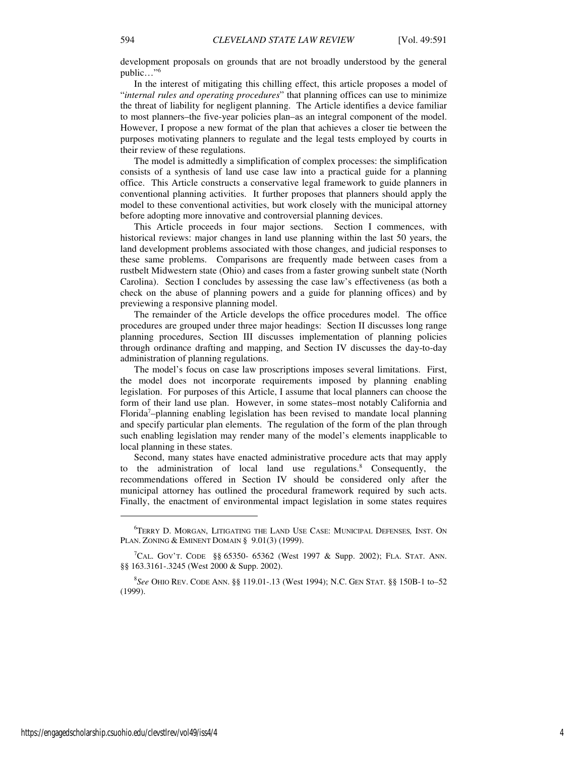development proposals on grounds that are not broadly understood by the general public…"<sup>6</sup>

In the interest of mitigating this chilling effect, this article proposes a model of "*internal rules and operating procedures*" that planning offices can use to minimize the threat of liability for negligent planning. The Article identifies a device familiar to most planners–the five-year policies plan–as an integral component of the model. However, I propose a new format of the plan that achieves a closer tie between the purposes motivating planners to regulate and the legal tests employed by courts in their review of these regulations.

The model is admittedly a simplification of complex processes: the simplification consists of a synthesis of land use case law into a practical guide for a planning office. This Article constructs a conservative legal framework to guide planners in conventional planning activities. It further proposes that planners should apply the model to these conventional activities, but work closely with the municipal attorney before adopting more innovative and controversial planning devices.

This Article proceeds in four major sections. Section I commences, with historical reviews: major changes in land use planning within the last 50 years, the land development problems associated with those changes, and judicial responses to these same problems. Comparisons are frequently made between cases from a rustbelt Midwestern state (Ohio) and cases from a faster growing sunbelt state (North Carolina). Section I concludes by assessing the case law's effectiveness (as both a check on the abuse of planning powers and a guide for planning offices) and by previewing a responsive planning model.

The remainder of the Article develops the office procedures model. The office procedures are grouped under three major headings: Section II discusses long range planning procedures, Section III discusses implementation of planning policies through ordinance drafting and mapping, and Section IV discusses the day-to-day administration of planning regulations.

The model's focus on case law proscriptions imposes several limitations. First, the model does not incorporate requirements imposed by planning enabling legislation. For purposes of this Article, I assume that local planners can choose the form of their land use plan. However, in some states–most notably California and Florida<sup>7</sup>-planning enabling legislation has been revised to mandate local planning and specify particular plan elements. The regulation of the form of the plan through such enabling legislation may render many of the model's elements inapplicable to local planning in these states.

Second, many states have enacted administrative procedure acts that may apply to the administration of local land use regulations.<sup>8</sup> Consequently, the recommendations offered in Section IV should be considered only after the municipal attorney has outlined the procedural framework required by such acts. Finally, the enactment of environmental impact legislation in some states requires

<sup>6</sup>TERRY D. MORGAN, LITIGATING THE LAND USE CASE: MUNICIPAL DEFENSES*,* INST. O<sup>N</sup> PLAN. ZONING & EMINENT DOMAIN § 9.01(3) (1999).

<sup>&</sup>lt;sup>7</sup>CAL. GOV'T. CODE §§ 65350- 65362 (West 1997 & Supp. 2002); FLA. STAT. ANN. §§ 163.3161-.3245 (West 2000 & Supp. 2002).

<sup>8</sup> *See* OHIO REV. CODE ANN. §§ 119.01-.13 (West 1994); N.C. GEN STAT. §§ 150B-1 to*–*52 (1999).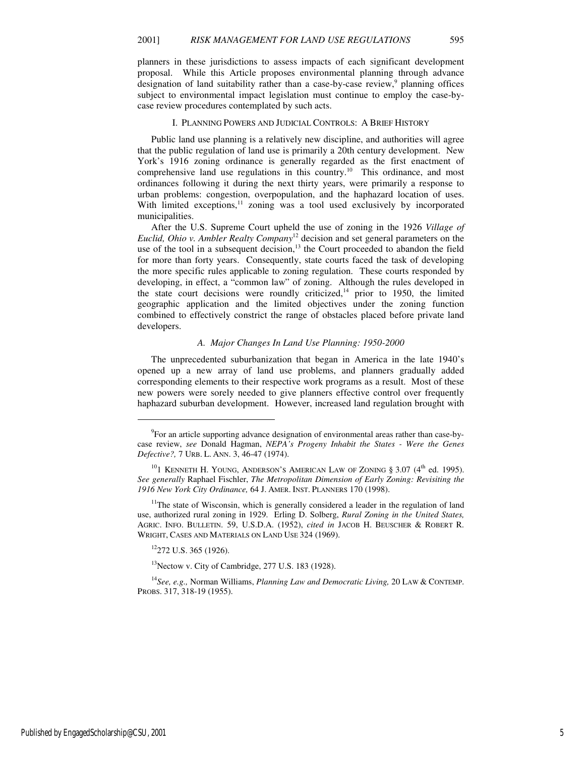planners in these jurisdictions to assess impacts of each significant development proposal. While this Article proposes environmental planning through advance designation of land suitability rather than a case-by-case review,<sup>9</sup> planning offices subject to environmental impact legislation must continue to employ the case-bycase review procedures contemplated by such acts.

#### I. PLANNING POWERS AND JUDICIAL CONTROLS: A BRIEF HISTORY

Public land use planning is a relatively new discipline, and authorities will agree that the public regulation of land use is primarily a 20th century development. New York's 1916 zoning ordinance is generally regarded as the first enactment of comprehensive land use regulations in this country.<sup>10</sup> This ordinance, and most ordinances following it during the next thirty years, were primarily a response to urban problems: congestion, overpopulation, and the haphazard location of uses. With limited exceptions,<sup>11</sup> zoning was a tool used exclusively by incorporated municipalities.

After the U.S. Supreme Court upheld the use of zoning in the 1926 *Village of Euclid, Ohio v. Ambler Realty Company*<sup>12</sup> decision and set general parameters on the use of the tool in a subsequent decision, $13$  the Court proceeded to abandon the field for more than forty years. Consequently, state courts faced the task of developing the more specific rules applicable to zoning regulation. These courts responded by developing, in effect, a "common law" of zoning. Although the rules developed in the state court decisions were roundly criticized, $14$  prior to 1950, the limited geographic application and the limited objectives under the zoning function combined to effectively constrict the range of obstacles placed before private land developers.

#### *A. Major Changes In Land Use Planning: 1950-2000*

The unprecedented suburbanization that began in America in the late 1940's opened up a new array of land use problems, and planners gradually added corresponding elements to their respective work programs as a result. Most of these new powers were sorely needed to give planners effective control over frequently haphazard suburban development. However, increased land regulation brought with

<sup>12</sup>272 U.S. 365 (1926).

j

 $13$ Nectow v. City of Cambridge, 277 U.S. 183 (1928).

<sup>14</sup>*See, e.g.,* Norman Williams, *Planning Law and Democratic Living,* 20 LAW & CONTEMP. PROBS. 317, 318-19 (1955).

<sup>&</sup>lt;sup>9</sup>For an article supporting advance designation of environmental areas rather than case-bycase review, *see* Donald Hagman, *NEPA's Progeny Inhabit the States - Were the Genes Defective?,* 7 URB. L. ANN. 3, 46-47 (1974).

 $^{10}$ I KENNETH H. YOUNG, ANDERSON'S AMERICAN LAW OF ZONING § 3.07 (4<sup>th</sup> ed. 1995). *See generally* Raphael Fischler, *The Metropolitan Dimension of Early Zoning: Revisiting the 1916 New York City Ordinance,* 64 J. AMER. INST. PLANNERS 170 (1998).

 $11$ The state of Wisconsin, which is generally considered a leader in the regulation of land use, authorized rural zoning in 1929. Erling D. Solberg, *Rural Zoning in the United States,*  AGRIC. INFO. BULLETIN. 59, U.S.D.A. (1952), *cited in* JACOB H. BEUSCHER & ROBERT R. WRIGHT, CASES AND MATERIALS ON LAND USE 324 (1969).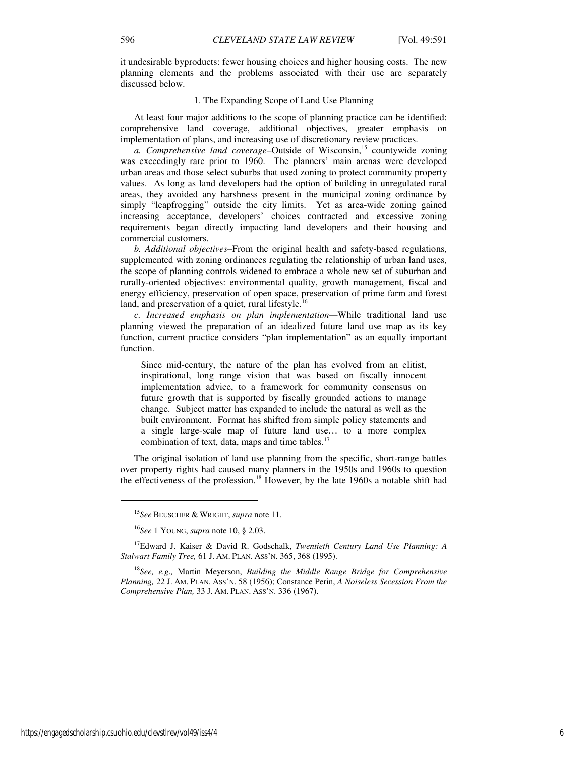it undesirable byproducts: fewer housing choices and higher housing costs. The new planning elements and the problems associated with their use are separately discussed below.

### 1. The Expanding Scope of Land Use Planning

At least four major additions to the scope of planning practice can be identified: comprehensive land coverage, additional objectives, greater emphasis on implementation of plans, and increasing use of discretionary review practices.

*a. Comprehensive land coverage–*Outside of Wisconsin,<sup>15</sup> countywide zoning was exceedingly rare prior to 1960. The planners' main arenas were developed urban areas and those select suburbs that used zoning to protect community property values. As long as land developers had the option of building in unregulated rural areas, they avoided any harshness present in the municipal zoning ordinance by simply "leapfrogging" outside the city limits. Yet as area-wide zoning gained increasing acceptance, developers' choices contracted and excessive zoning requirements began directly impacting land developers and their housing and commercial customers.

*b. Additional objectives–*From the original health and safety-based regulations, supplemented with zoning ordinances regulating the relationship of urban land uses, the scope of planning controls widened to embrace a whole new set of suburban and rurally-oriented objectives: environmental quality, growth management, fiscal and energy efficiency, preservation of open space, preservation of prime farm and forest land, and preservation of a quiet, rural lifestyle.<sup>16</sup>

*c. Increased emphasis on plan implementation—*While traditional land use planning viewed the preparation of an idealized future land use map as its key function, current practice considers "plan implementation" as an equally important function.

Since mid-century, the nature of the plan has evolved from an elitist, inspirational, long range vision that was based on fiscally innocent implementation advice, to a framework for community consensus on future growth that is supported by fiscally grounded actions to manage change. Subject matter has expanded to include the natural as well as the built environment. Format has shifted from simple policy statements and a single large-scale map of future land use… to a more complex combination of text, data, maps and time tables.<sup>17</sup>

The original isolation of land use planning from the specific, short-range battles over property rights had caused many planners in the 1950s and 1960s to question the effectiveness of the profession.<sup>18</sup> However, by the late 1960s a notable shift had

 $\overline{a}$ 

<sup>15</sup>*See* BEUSCHER & WRIGHT, *supra* note 11.

<sup>16</sup>*See* 1 YOUNG, *supra* note 10, § 2.03.

<sup>17</sup>Edward J. Kaiser & David R. Godschalk, *Twentieth Century Land Use Planning: A Stalwart Family Tree,* 61 J. AM. PLAN. ASS'N. 365, 368 (1995).

<sup>18</sup>*See, e.g.,* Martin Meyerson, *Building the Middle Range Bridge for Comprehensive Planning,* 22 J. AM. PLAN. ASS'N. 58 (1956); Constance Perin, *A Noiseless Secession From the Comprehensive Plan,* 33 J. AM. PLAN. ASS'N. 336 (1967).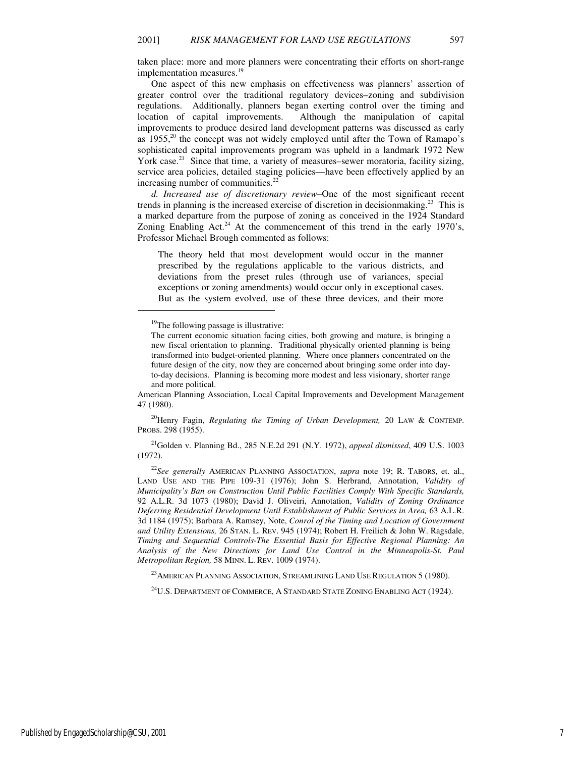taken place: more and more planners were concentrating their efforts on short-range implementation measures.<sup>19</sup>

One aspect of this new emphasis on effectiveness was planners' assertion of greater control over the traditional regulatory devices–zoning and subdivision regulations. Additionally, planners began exerting control over the timing and location of capital improvements. Although the manipulation of capital improvements to produce desired land development patterns was discussed as early as  $1955<sup>20</sup>$ , the concept was not widely employed until after the Town of Ramapo's sophisticated capital improvements program was upheld in a landmark 1972 New York case.<sup>21</sup> Since that time, a variety of measures–sewer moratoria, facility sizing, service area policies, detailed staging policies—have been effectively applied by an increasing number of communities.<sup>22</sup>

*d. Increased use of discretionary review–*One of the most significant recent trends in planning is the increased exercise of discretion in decisionmaking.<sup>23</sup> This is a marked departure from the purpose of zoning as conceived in the 1924 Standard Zoning Enabling Act.<sup>24</sup> At the commencement of this trend in the early 1970's, Professor Michael Brough commented as follows:

The theory held that most development would occur in the manner prescribed by the regulations applicable to the various districts, and deviations from the preset rules (through use of variances, special exceptions or zoning amendments) would occur only in exceptional cases. But as the system evolved, use of these three devices, and their more

 $\overline{a}$ 

<sup>20</sup>Henry Fagin, *Regulating the Timing of Urban Development,* 20 LAW & CONTEMP. PROBS. 298 (1955).

<sup>21</sup>Golden v. Planning Bd., 285 N.E.2d 291 (N.Y. 1972), *appeal dismissed*, 409 U.S. 1003 (1972).

<sup>22</sup>*See generally* AMERICAN PLANNING ASSOCIATION, *supra* note 19; R. TABORS, et. al., LAND USE AND THE PIPE 109-31 (1976); John S. Herbrand, Annotation, *Validity of Municipality's Ban on Construction Until Public Facilities Comply With Specific Standards,*  92 A.L.R. 3d 1073 (1980); David J. Oliveiri, Annotation, *Validity of Zoning Ordinance Deferring Residential Development Until Establishment of Public Services in Area,* 63 A.L.R. 3d 1184 (1975); Barbara A. Ramsey, Note, *Conrol of the Timing and Location of Government and Utility Extensions,* 26 STAN. L. REV. 945 (1974); Robert H. Freilich & John W. Ragsdale, *Timing and Sequential Controls-The Essential Basis for Effective Regional Planning: An Analysis of the New Directions for Land Use Control in the Minneapolis-St. Paul Metropolitan Region,* 58 MINN. L. REV. 1009 (1974).

 $^{23}$ AMERICAN PLANNING ASSOCIATION, STREAMLINING LAND USE REGULATION 5 (1980).

<sup>24</sup>U.S. DEPARTMENT OF COMMERCE, A STANDARD STATE ZONING ENABLING ACT (1924).

<sup>&</sup>lt;sup>19</sup>The following passage is illustrative:

The current economic situation facing cities, both growing and mature, is bringing a new fiscal orientation to planning. Traditional physically oriented planning is being transformed into budget-oriented planning. Where once planners concentrated on the future design of the city, now they are concerned about bringing some order into dayto-day decisions. Planning is becoming more modest and less visionary, shorter range and more political.

American Planning Association, Local Capital Improvements and Development Management 47 (1980).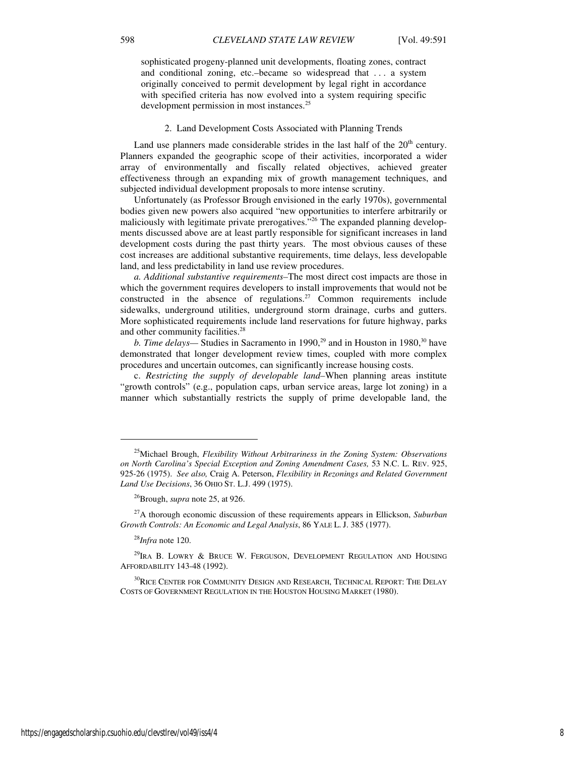sophisticated progeny-planned unit developments, floating zones, contract and conditional zoning, etc.–became so widespread that . . . a system originally conceived to permit development by legal right in accordance with specified criteria has now evolved into a system requiring specific development permission in most instances.<sup>25</sup>

#### 2. Land Development Costs Associated with Planning Trends

Land use planners made considerable strides in the last half of the  $20<sup>th</sup>$  century. Planners expanded the geographic scope of their activities, incorporated a wider array of environmentally and fiscally related objectives, achieved greater effectiveness through an expanding mix of growth management techniques, and subjected individual development proposals to more intense scrutiny.

Unfortunately (as Professor Brough envisioned in the early 1970s), governmental bodies given new powers also acquired "new opportunities to interfere arbitrarily or maliciously with legitimate private prerogatives."<sup>26</sup> The expanded planning developments discussed above are at least partly responsible for significant increases in land development costs during the past thirty years. The most obvious causes of these cost increases are additional substantive requirements, time delays, less developable land, and less predictability in land use review procedures.

*a. Additional substantive requirements–*The most direct cost impacts are those in which the government requires developers to install improvements that would not be constructed in the absence of regulations.<sup>27</sup> Common requirements include sidewalks, underground utilities, underground storm drainage, curbs and gutters. More sophisticated requirements include land reservations for future highway, parks and other community facilities.<sup>28</sup>

*b. Time delays*— Studies in Sacramento in 1990,<sup>29</sup> and in Houston in 1980,<sup>30</sup> have demonstrated that longer development review times, coupled with more complex procedures and uncertain outcomes, can significantly increase housing costs.

c. *Restricting the supply of developable land–*When planning areas institute "growth controls" (e.g., population caps, urban service areas, large lot zoning) in a manner which substantially restricts the supply of prime developable land, the

1

<sup>25</sup>Michael Brough, *Flexibility Without Arbitrariness in the Zoning System: Observations on North Carolina's Special Exception and Zoning Amendment Cases,* 53 N.C. L. REV. 925, 925-26 (1975). *See also,* Craig A. Peterson, *Flexibility in Rezonings and Related Government Land Use Decisions*, 36 OHIO ST. L.J. 499 (1975).

<sup>26</sup>Brough, *supra* note 25, at 926.

<sup>27</sup>A thorough economic discussion of these requirements appears in Ellickson, *Suburban Growth Controls: An Economic and Legal Analysis*, 86 YALE L. J. 385 (1977).

<sup>28</sup>*Infra* note 120.

 $^{29}$ IRA B. LOWRY & BRUCE W. FERGUSON, DEVELOPMENT REGULATION AND HOUSING AFFORDABILITY 143-48 (1992).

 $^{30}\!$ RICE CENTER FOR COMMUNITY DESIGN AND RESEARCH, TECHNICAL REPORT: THE DELAY COSTS OF GOVERNMENT REGULATION IN THE HOUSTON HOUSING MARKET (1980).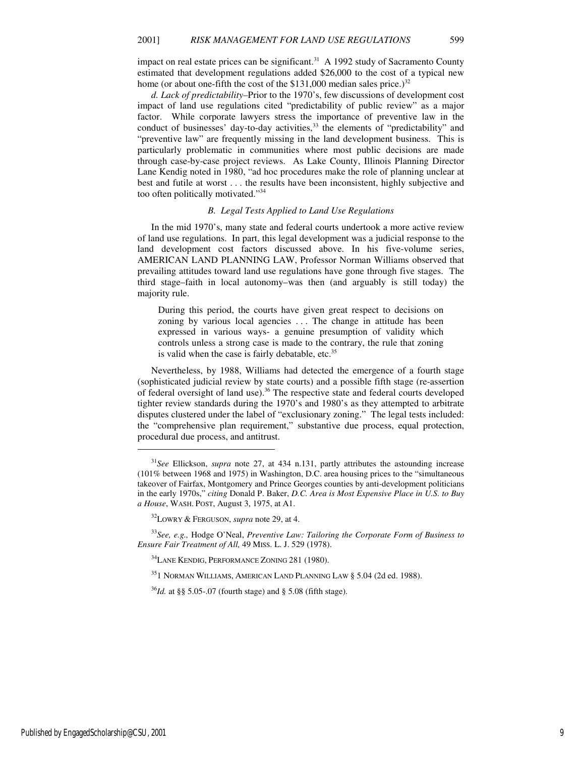impact on real estate prices can be significant.<sup>31</sup> A 1992 study of Sacramento County estimated that development regulations added \$26,000 to the cost of a typical new home (or about one-fifth the cost of the \$131,000 median sales price.)<sup>32</sup>

*d. Lack of predictability–*Prior to the 1970's, few discussions of development cost impact of land use regulations cited "predictability of public review" as a major factor. While corporate lawyers stress the importance of preventive law in the conduct of businesses' day-to-day activities,<sup>33</sup> the elements of "predictability" and "preventive law" are frequently missing in the land development business. This is particularly problematic in communities where most public decisions are made through case-by-case project reviews. As Lake County, Illinois Planning Director Lane Kendig noted in 1980, "ad hoc procedures make the role of planning unclear at best and futile at worst . . . the results have been inconsistent, highly subjective and too often politically motivated."<sup>34</sup>

# *B. Legal Tests Applied to Land Use Regulations*

In the mid 1970's, many state and federal courts undertook a more active review of land use regulations. In part, this legal development was a judicial response to the land development cost factors discussed above. In his five-volume series, AMERICAN LAND PLANNING LAW, Professor Norman Williams observed that prevailing attitudes toward land use regulations have gone through five stages. The third stage–faith in local autonomy–was then (and arguably is still today) the majority rule.

During this period, the courts have given great respect to decisions on zoning by various local agencies ... The change in attitude has been expressed in various ways- a genuine presumption of validity which controls unless a strong case is made to the contrary, the rule that zoning is valid when the case is fairly debatable, etc.<sup>35</sup>

Nevertheless, by 1988, Williams had detected the emergence of a fourth stage (sophisticated judicial review by state courts) and a possible fifth stage (re-assertion of federal oversight of land use).<sup>36</sup> The respective state and federal courts developed tighter review standards during the 1970's and 1980's as they attempted to arbitrate disputes clustered under the label of "exclusionary zoning." The legal tests included: the "comprehensive plan requirement," substantive due process, equal protection, procedural due process, and antitrust.

<sup>31</sup>*See* Ellickson, *supra* note 27, at 434 n.131, partly attributes the astounding increase (101% between 1968 and 1975) in Washington, D.C. area housing prices to the "simultaneous takeover of Fairfax, Montgomery and Prince Georges counties by anti-development politicians in the early 1970s," *citing* Donald P. Baker, *D.C. Area is Most Expensive Place in U.S. to Buy a House*, WASH. POST, August 3, 1975, at A1.

<sup>32</sup>LOWRY & FERGUSON, *supra* note 29, at 4.

<sup>33</sup>*See, e.g.,* Hodge O'Neal, *Preventive Law: Tailoring the Corporate Form of Business to Ensure Fair Treatment of All,* 49 MISS. L. J. 529 (1978).

<sup>&</sup>lt;sup>34</sup>LANE KENDIG, PERFORMANCE ZONING 281 (1980).

<sup>35</sup>1 NORMAN WILLIAMS, AMERICAN LAND PLANNING LAW § 5.04 (2d ed. 1988).

<sup>36</sup>*Id.* at §§ 5.05-.07 (fourth stage) and § 5.08 (fifth stage).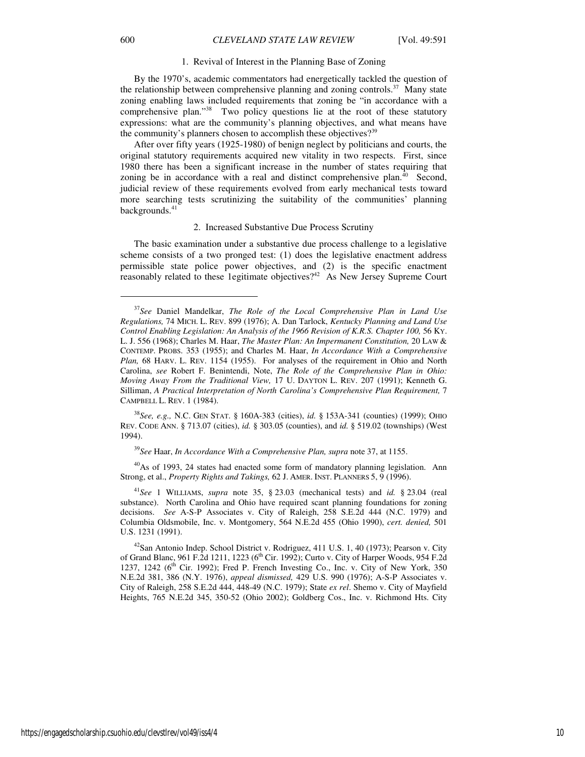#### 1. Revival of Interest in the Planning Base of Zoning

By the 1970's, academic commentators had energetically tackled the question of the relationship between comprehensive planning and zoning controls.<sup>37</sup> Many state zoning enabling laws included requirements that zoning be "in accordance with a comprehensive plan."<sup>38</sup> Two policy questions lie at the root of these statutory expressions: what are the community's planning objectives, and what means have the community's planners chosen to accomplish these objectives?<sup>39</sup>

After over fifty years (1925-1980) of benign neglect by politicians and courts, the original statutory requirements acquired new vitality in two respects. First, since 1980 there has been a significant increase in the number of states requiring that zoning be in accordance with a real and distinct comprehensive plan.<sup>40</sup> Second, judicial review of these requirements evolved from early mechanical tests toward more searching tests scrutinizing the suitability of the communities' planning backgrounds.<sup>41</sup>

#### 2. Increased Substantive Due Process Scrutiny

The basic examination under a substantive due process challenge to a legislative scheme consists of a two pronged test: (1) does the legislative enactment address permissible state police power objectives, and (2) is the specific enactment reasonably related to these 1egitimate objectives?<sup>42</sup> As New Jersey Supreme Court

<sup>39</sup>*See* Haar, *In Accordance With a Comprehensive Plan, supra* note 37, at 1155.

<sup>40</sup>As of 1993, 24 states had enacted some form of mandatory planning legislation. Ann Strong, et al., *Property Rights and Takings,* 62 J. AMER. INST. PLANNERS 5, 9 (1996).

1

<sup>37</sup>*See* Daniel Mandelkar, *The Role of the Local Comprehensive Plan in Land Use Regulations,* 74 MICH. L. REV. 899 (1976); A. Dan Tarlock, *Kentucky Planning and Land Use*  Control Enabling Legislation: An Analysis of the 1966 Revision of K.R.S. Chapter 100, 56 KY. L. J. 556 (1968); Charles M. Haar, *The Master Plan: An Impermanent Constitution,* 20 LAW & CONTEMP. PROBS. 353 (1955); and Charles M. Haar, *In Accordance With a Comprehensive Plan,* 68 HARV. L. REV. 1154 (1955). For analyses of the requirement in Ohio and North Carolina, *see* Robert F. Benintendi, Note, *The Role of the Comprehensive Plan in Ohio: Moving Away From the Traditional View,* 17 U. DAYTON L. REV. 207 (1991); Kenneth G. Silliman, *A Practical Interpretation of North Carolina's Comprehensive Plan Requirement,* 7 CAMPBELL L. REV. 1 (1984).

<sup>38</sup>*See, e.g.,* N.C. GEN STAT. § 160A-383 (cities), *id.* § 153A-341 (counties) (1999); OHIO REV. CODE ANN. § 713.07 (cities), *id.* § 303.05 (counties), and *id.* § 519.02 (townships) (West 1994).

<sup>41</sup>*See* 1 WILLIAMS, *supra* note 35, § 23.03 (mechanical tests) and *id.* § 23.04 (real substance). North Carolina and Ohio have required scant planning foundations for zoning decisions. *See* A-S-P Associates v. City of Raleigh, 258 S.E.2d 444 (N.C. 1979) and Columbia Oldsmobile, Inc. v. Montgomery, 564 N.E.2d 455 (Ohio 1990), *cert. denied,* 501 U.S. 1231 (1991).

 $42$ San Antonio Indep. School District v. Rodriguez, 411 U.S. 1, 40 (1973); Pearson v. City of Grand Blanc, 961 F.2d 1211, 1223 (6<sup>th</sup> Cir. 1992); Curto v. City of Harper Woods, 954 F.2d 1237, 1242 ( $6<sup>th</sup>$  Cir. 1992); Fred P. French Investing Co., Inc. v. City of New York, 350 N.E.2d 381, 386 (N.Y. 1976), *appeal dismissed,* 429 U.S. 990 (1976); A-S-P Associates v. City of Raleigh, 258 S.E.2d 444, 448-49 (N.C. 1979); State *ex rel*. Shemo v. City of Mayfield Heights, 765 N.E.2d 345, 350-52 (Ohio 2002); Goldberg Cos., Inc. v. Richmond Hts. City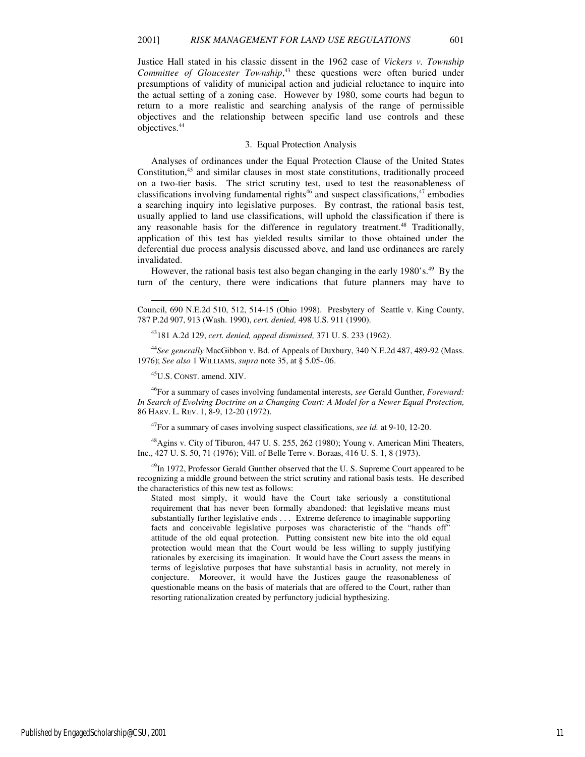Justice Hall stated in his classic dissent in the 1962 case of *Vickers v. Township Committee of Gloucester Township*, <sup>43</sup> these questions were often buried under presumptions of validity of municipal action and judicial reluctance to inquire into the actual setting of a zoning case. However by 1980, some courts had begun to return to a more realistic and searching analysis of the range of permissible objectives and the relationship between specific land use controls and these objectives.<sup>44</sup>

### 3. Equal Protection Analysis

Analyses of ordinances under the Equal Protection Clause of the United States Constitution,<sup>45</sup> and similar clauses in most state constitutions, traditionally proceed on a two-tier basis. The strict scrutiny test, used to test the reasonableness of classifications involving fundamental rights<sup>46</sup> and suspect classifications, $47$  embodies a searching inquiry into legislative purposes. By contrast, the rational basis test, usually applied to land use classifications, will uphold the classification if there is any reasonable basis for the difference in regulatory treatment.<sup>48</sup> Traditionally, application of this test has yielded results similar to those obtained under the deferential due process analysis discussed above, and land use ordinances are rarely invalidated.

However, the rational basis test also began changing in the early 1980's.<sup>49</sup> By the turn of the century, there were indications that future planners may have to

<sup>44</sup>*See generally* MacGibbon v. Bd. of Appeals of Duxbury, 340 N.E.2d 487, 489-92 (Mass. 1976); *See also* 1 WILLIAMS, *supra* note 35, at § 5.05-.06.

<sup>45</sup>U.S. CONST. amend. XIV.

l

<sup>46</sup>For a summary of cases involving fundamental interests, *see* Gerald Gunther, *Foreward: In Search of Evolving Doctrine on a Changing Court: A Model for a Newer Equal Protection,*  86 HARV. L. REV. 1, 8-9, 12-20 (1972).

<sup>47</sup>For a summary of cases involving suspect classifications, *see id.* at 9-10, 12-20.

<sup>48</sup>Agins v. City of Tiburon, 447 U. S. 255, 262 (1980); Young v. American Mini Theaters, Inc., 427 U. S. 50, 71 (1976); Vill. of Belle Terre v. Boraas, 416 U. S. 1, 8 (1973).

<sup>49</sup>In 1972, Professor Gerald Gunther observed that the U.S. Supreme Court appeared to be recognizing a middle ground between the strict scrutiny and rational basis tests. He described the characteristics of this new test as follows:

Stated most simply, it would have the Court take seriously a constitutional requirement that has never been formally abandoned: that legislative means must substantially further legislative ends . . . Extreme deference to imaginable supporting facts and conceivable legislative purposes was characteristic of the "hands off" attitude of the old equal protection. Putting consistent new bite into the old equal protection would mean that the Court would be less willing to supply justifying rationales by exercising its imagination. It would have the Court assess the means in terms of legislative purposes that have substantial basis in actuality*,* not merely in conjecture. Moreover, it would have the Justices gauge the reasonableness of questionable means on the basis of materials that are offered to the Court, rather than resorting rationalization created by perfunctory judicial hypthesizing.

Council, 690 N.E.2d 510, 512, 514-15 (Ohio 1998). Presbytery of Seattle v. King County, 787 P.2d 907, 913 (Wash. 1990), *cert. denied,* 498 U.S. 911 (1990).

<sup>43</sup>181 A.2d 129, *cert. denied, appeal dismissed,* 371 U. S. 233 (1962).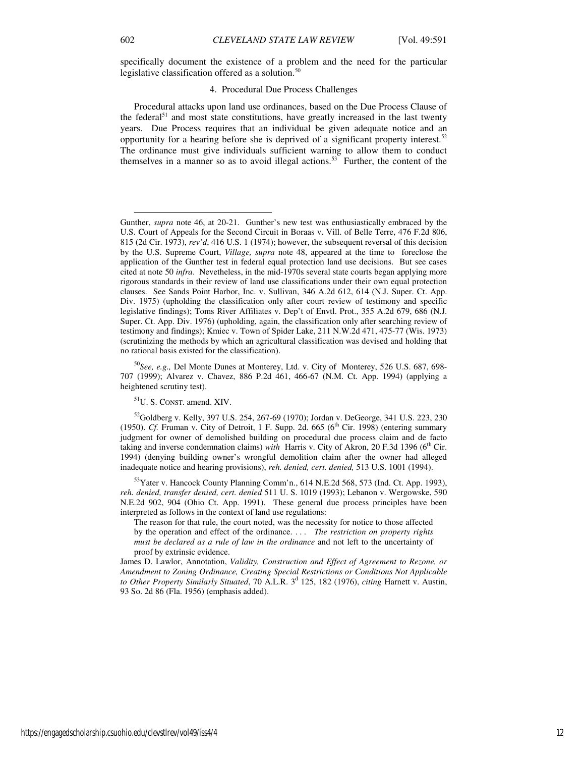l

# 4. Procedural Due Process Challenges

Procedural attacks upon land use ordinances, based on the Due Process Clause of the federal<sup>51</sup> and most state constitutions, have greatly increased in the last twenty years. Due Process requires that an individual be given adequate notice and an opportunity for a hearing before she is deprived of a significant property interest.<sup>52</sup> The ordinance must give individuals sufficient warning to allow them to conduct themselves in a manner so as to avoid illegal actions.<sup>53</sup> Further, the content of the

<sup>50</sup>*See, e.g.,* Del Monte Dunes at Monterey, Ltd. v. City of Monterey, 526 U.S. 687, 698- 707 (1999); Alvarez v. Chavez, 886 P.2d 461, 466-67 (N.M. Ct. App. 1994) (applying a heightened scrutiny test).

<sup>51</sup>U. S. CONST. amend. XIV.

<sup>52</sup>Goldberg v. Kelly, 397 U.S. 254, 267-69 (1970); Jordan v. DeGeorge, 341 U.S. 223, 230 (1950). *Cf.* Fruman v. City of Detroit, 1 F. Supp. 2d. 665 ( $6<sup>th</sup>$  Cir. 1998) (entering summary judgment for owner of demolished building on procedural due process claim and de facto taking and inverse condemnation claims) *with* Harris v. City of Akron, 20 F.3d 1396 (6<sup>th</sup> Cir. 1994) (denying building owner's wrongful demolition claim after the owner had alleged inadequate notice and hearing provisions), *reh. denied, cert. denied,* 513 U.S. 1001 (1994).

<sup>53</sup>Yater v. Hancock County Planning Comm'n., 614 N.E.2d 568, 573 (Ind. Ct. App. 1993), *reh. denied, transfer denied, cert. denied* 511 U. S. 1019 (1993); Lebanon v. Wergowske, 590 N.E.2d 902, 904 (Ohio Ct. App. 1991). These general due process principles have been interpreted as follows in the context of land use regulations:

The reason for that rule, the court noted, was the necessity for notice to those affected by the operation and effect of the ordinance. . . . *The restriction on property rights must be declared as a rule of law in the ordinance* and not left to the uncertainty of proof by extrinsic evidence.

James D. Lawlor, Annotation, *Validity, Construction and Effect of Agreement to Rezone, or Amendment to Zoning Ordinance, Creating Special Restrictions or Conditions Not Applicable*  to Other Property Similarly Situated, 70 A.L.R. 3<sup>d</sup> 125, 182 (1976), *citing Harnett v. Austin*, 93 So. 2d 86 (Fla. 1956) (emphasis added).

Gunther, *supra* note 46, at 20-21. Gunther's new test was enthusiastically embraced by the U.S. Court of Appeals for the Second Circuit in Boraas v. Vill. of Belle Terre, 476 F.2d 806, 815 (2d Cir. 1973), *rev'd*, 416 U.S. 1 (1974); however, the subsequent reversal of this decision by the U.S. Supreme Court, *Village, supra* note 48, appeared at the time to foreclose the application of the Gunther test in federal equal protection land use decisions. But see cases cited at note 50 *infra*. Nevetheless, in the mid-1970s several state courts began applying more rigorous standards in their review of land use classifications under their own equal protection clauses. See Sands Point Harbor, Inc. v. Sullivan, 346 A.2d 612, 614 (N.J. Super. Ct. App. Div. 1975) (upholding the classification only after court review of testimony and specific legislative findings); Toms River Affiliates v. Dep't of Envtl. Prot., 355 A.2d 679, 686 (N.J. Super. Ct. App. Div. 1976) (upholding, again, the classification only after searching review of testimony and findings); Kmiec v. Town of Spider Lake, 211 N.W.2d 471, 475-77 (Wis. 1973) (scrutinizing the methods by which an agricultural classification was devised and holding that no rational basis existed for the classification).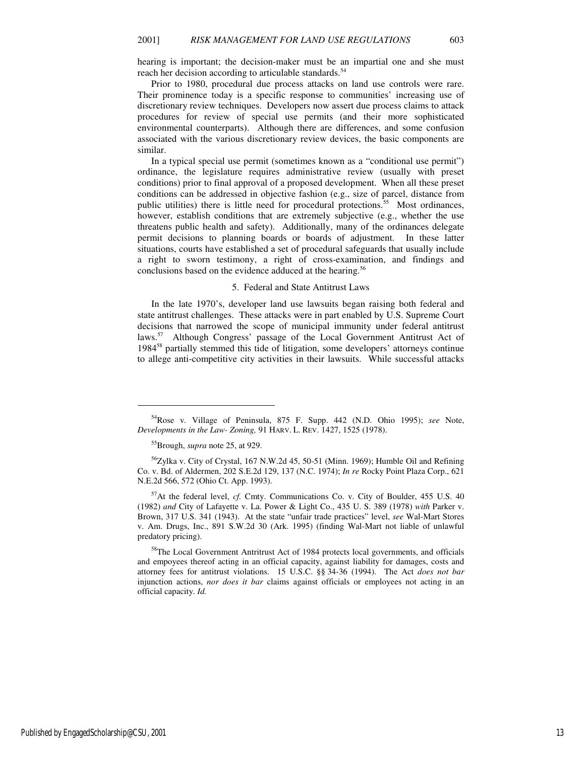hearing is important; the decision-maker must be an impartial one and she must reach her decision according to articulable standards.<sup>54</sup>

Prior to 1980, procedural due process attacks on land use controls were rare. Their prominence today is a specific response to communities' increasing use of discretionary review techniques. Developers now assert due process claims to attack procedures for review of special use permits (and their more sophisticated environmental counterparts). Although there are differences, and some confusion associated with the various discretionary review devices, the basic components are similar.

In a typical special use permit (sometimes known as a "conditional use permit") ordinance, the legislature requires administrative review (usually with preset conditions) prior to final approval of a proposed development. When all these preset conditions can be addressed in objective fashion (e.g., size of parcel, distance from public utilities) there is little need for procedural protections.<sup>55</sup> Most ordinances, however, establish conditions that are extremely subjective (e.g., whether the use threatens public health and safety). Additionally, many of the ordinances delegate permit decisions to planning boards or boards of adjustment. In these latter situations, courts have established a set of procedural safeguards that usually include a right to sworn testimony, a right of cross-examination, and findings and conclusions based on the evidence adduced at the hearing.<sup>56</sup>

#### 5. Federal and State Antitrust Laws

In the late 1970's, developer land use lawsuits began raising both federal and state antitrust challenges. These attacks were in part enabled by U.S. Supreme Court decisions that narrowed the scope of municipal immunity under federal antitrust laws.<sup>57</sup> Although Congress' passage of the Local Government Antitrust Act of 1984<sup>58</sup> partially stemmed this tide of litigation, some developers' attorneys continue to allege anti-competitive city activities in their lawsuits. While successful attacks

<sup>54</sup>Rose v. Village of Peninsula, 875 F. Supp. 442 (N.D. Ohio 1995); *see* Note, *Developments in the Law- Zoning,* 91 HARV. L. REV. 1427, 1525 (1978).

<sup>55</sup>Brough, *supra* note 25, at 929.

<sup>&</sup>lt;sup>56</sup>Zylka v. City of Crystal, 167 N.W.2d 45, 50-51 (Minn. 1969); Humble Oil and Refining Co. v. Bd. of Aldermen, 202 S.E.2d 129, 137 (N.C. 1974); *In re* Rocky Point Plaza Corp., 621 N.E.2d 566, 572 (Ohio Ct. App. 1993).

<sup>57</sup>At the federal level, *cf.* Cmty. Communications Co. v. City of Boulder, 455 U.S. 40 (1982) *and* City of Lafayette v. La. Power & Light Co., 435 U. S. 389 (1978) *with* Parker v. Brown, 317 U.S. 341 (1943). At the state "unfair trade practices" level, *see* Wal-Mart Stores v. Am. Drugs, Inc., 891 S.W.2d 30 (Ark. 1995) (finding Wal-Mart not liable of unlawful predatory pricing).

<sup>&</sup>lt;sup>58</sup>The Local Government Antritrust Act of 1984 protects local governments, and officials and empoyees thereof acting in an official capacity, against liability for damages, costs and attorney fees for antitrust violations. 15 U.S.C. §§ 34-36 (1994). The Act *does not bar* injunction actions, *nor does it bar* claims against officials or employees not acting in an official capacity. *Id.*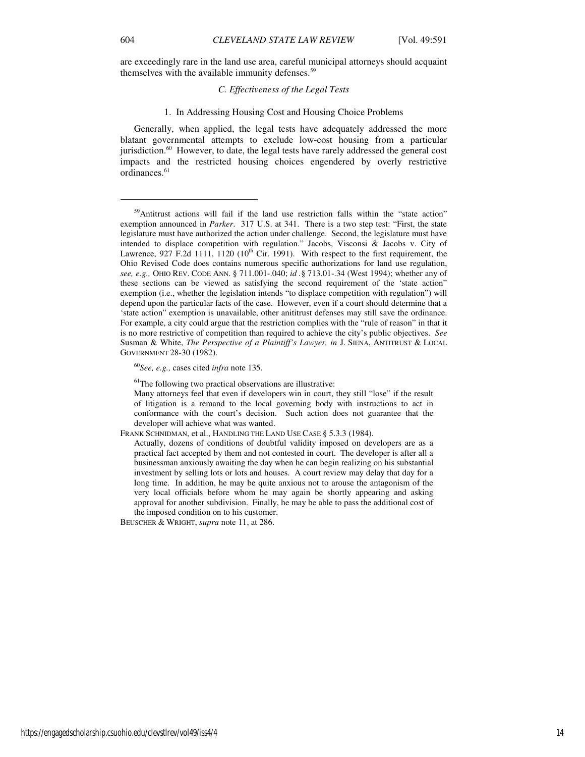j

are exceedingly rare in the land use area, careful municipal attorneys should acquaint themselves with the available immunity defenses.<sup>59</sup>

# *C. Effectiveness of the Legal Tests*

#### 1. In Addressing Housing Cost and Housing Choice Problems

Generally, when applied, the legal tests have adequately addressed the more blatant governmental attempts to exclude low-cost housing from a particular jurisdiction.<sup>60</sup> However, to date, the legal tests have rarely addressed the general cost impacts and the restricted housing choices engendered by overly restrictive ordinances.<sup>61</sup>

<sup>60</sup>*See, e.g.,* cases cited *infra* note 135.

 $<sup>61</sup>$ The following two practical observations are illustrative:</sup>

BEUSCHER & WRIGHT, *supra* note 11, at 286.

<sup>59</sup>Antitrust actions will fail if the land use restriction falls within the "state action" exemption announced in *Parker*. 317 U.S. at 341. There is a two step test: "First, the state legislature must have authorized the action under challenge. Second, the legislature must have intended to displace competition with regulation." Jacobs, Visconsi & Jacobs v. City of Lawrence, 927 F.2d 1111, 1120  $(10^{th}$  Cir. 1991). With respect to the first requirement, the Ohio Revised Code does contains numerous specific authorizations for land use regulation, *see, e.g.,* OHIO REV. CODE ANN. § 711.001-.040; *id .*§ 713.01-.34 (West 1994); whether any of these sections can be viewed as satisfying the second requirement of the 'state action" exemption (i.e., whether the legislation intends "to displace competition with regulation") will depend upon the particular facts of the case. However, even if a court should determine that a 'state action" exemption is unavailable, other anititrust defenses may still save the ordinance. For example, a city could argue that the restriction complies with the "rule of reason" in that it is no more restrictive of competition than required to achieve the city's public objectives. *See*  Susman & White, *The Perspective of a Plaintiff's Lawyer, in* J. SIENA, ANTITRUST & LOCAL GOVERNMENT 28-30 (1982).

Many attorneys feel that even if developers win in court, they still "lose" if the result of litigation is a remand to the local governing body with instructions to act in conformance with the court's decision. Such action does not guarantee that the developer will achieve what was wanted.

FRANK SCHNIDMAN, et al., HANDLING THE LAND USE CASE § 5.3.3 (1984).

Actually, dozens of conditions of doubtful validity imposed on developers are as a practical fact accepted by them and not contested in court. The developer is after all a businessman anxiously awaiting the day when he can begin realizing on his substantial investment by selling lots or lots and houses. A court review may delay that day for a long time. In addition, he may be quite anxious not to arouse the antagonism of the very local officials before whom he may again be shortly appearing and asking approval for another subdivision. Finally, he may be able to pass the additional cost of the imposed condition on to his customer.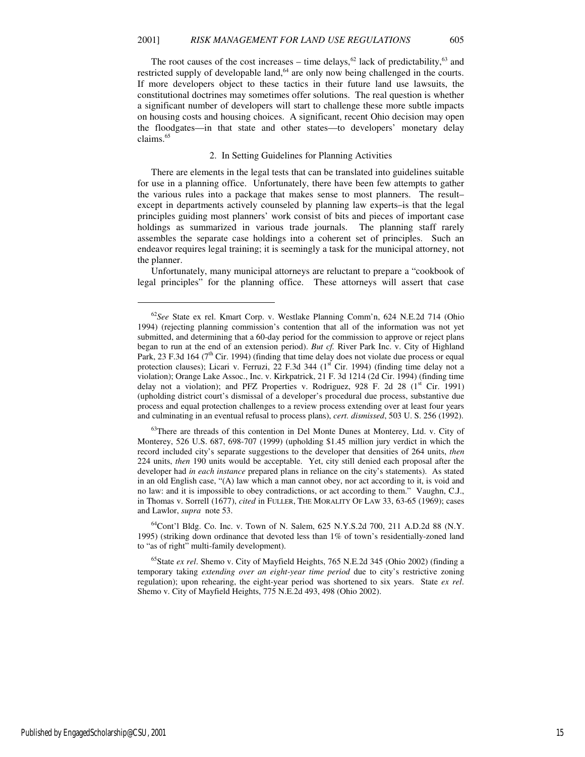The root causes of the cost increases – time delays,<sup>62</sup> lack of predictability,<sup>63</sup> and restricted supply of developable land,<sup>64</sup> are only now being challenged in the courts. If more developers object to these tactics in their future land use lawsuits, the constitutional doctrines may sometimes offer solutions. The real question is whether a significant number of developers will start to challenge these more subtle impacts on housing costs and housing choices. A significant, recent Ohio decision may open the floodgates—in that state and other states—to developers' monetary delay claims.<sup>65</sup>

#### 2. In Setting Guidelines for Planning Activities

There are elements in the legal tests that can be translated into guidelines suitable for use in a planning office. Unfortunately, there have been few attempts to gather the various rules into a package that makes sense to most planners. The result– except in departments actively counseled by planning law experts–is that the legal principles guiding most planners' work consist of bits and pieces of important case holdings as summarized in various trade journals. The planning staff rarely assembles the separate case holdings into a coherent set of principles. Such an endeavor requires legal training; it is seemingly a task for the municipal attorney, not the planner.

Unfortunately, many municipal attorneys are reluctant to prepare a "cookbook of legal principles" for the planning office. These attorneys will assert that case

 $^{64}$ Cont'l Bldg. Co. Inc. v. Town of N. Salem, 625 N.Y.S.2d 700, 211 A.D.2d 88 (N.Y. 1995) (striking down ordinance that devoted less than 1% of town's residentially-zoned land to "as of right" multi-family development).

<sup>65</sup>State *ex rel*. Shemo v. City of Mayfield Heights, 765 N.E.2d 345 (Ohio 2002) (finding a temporary taking *extending over an eight-year time period* due to city's restrictive zoning regulation); upon rehearing, the eight-year period was shortened to six years. State *ex rel*. Shemo v. City of Mayfield Heights, 775 N.E.2d 493, 498 (Ohio 2002).

Published by EngagedScholarship@CSU, 2001 15

1

<sup>62</sup>*See* State ex rel. Kmart Corp. v. Westlake Planning Comm'n, 624 N.E.2d 714 (Ohio 1994) (rejecting planning commission's contention that all of the information was not yet submitted, and determining that a 60-day period for the commission to approve or reject plans began to run at the end of an extension period). *But cf.* River Park Inc. v. City of Highland Park, 23 F.3d 164 ( $7<sup>th</sup>$  Cir. 1994) (finding that time delay does not violate due process or equal protection clauses); Licari v. Ferruzi, 22 F.3d 344 ( $1<sup>st</sup>$  Cir. 1994) (finding time delay not a violation); Orange Lake Assoc., Inc. v. Kirkpatrick, 21 F. 3d 1214 (2d Cir. 1994) (finding time delay not a violation); and PFZ Properties v. Rodriguez, 928 F. 2d 28 ( $1<sup>st</sup>$  Cir. 1991) (upholding district court's dismissal of a developer's procedural due process, substantive due process and equal protection challenges to a review process extending over at least four years and culminating in an eventual refusal to process plans), *cert. dismissed*, 503 U. S. 256 (1992).

<sup>&</sup>lt;sup>63</sup>There are threads of this contention in Del Monte Dunes at Monterey, Ltd. v. City of Monterey, 526 U.S. 687, 698-707 (1999) (upholding \$1.45 million jury verdict in which the record included city's separate suggestions to the developer that densities of 264 units, *then*  224 units, *then* 190 units would be acceptable. Yet, city still denied each proposal after the developer had *in each instance* prepared plans in reliance on the city's statements). As stated in an old English case, "(A) law which a man cannot obey, nor act according to it, is void and no law: and it is impossible to obey contradictions, or act according to them." Vaughn, C.J., in Thomas v. Sorrell (1677), *cited* in FULLER, THE MORALITY OF LAW 33, 63-65 (1969); cases and Lawlor, *supra* note 53.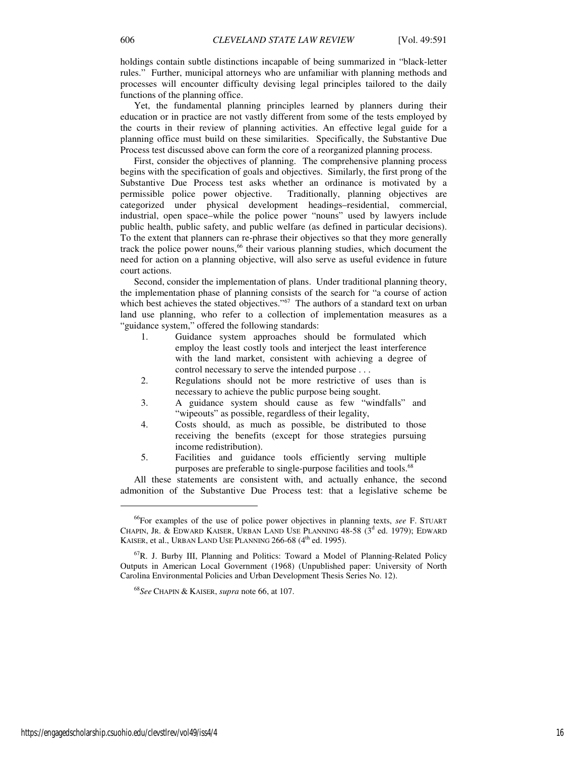holdings contain subtle distinctions incapable of being summarized in "black-letter rules." Further, municipal attorneys who are unfamiliar with planning methods and processes will encounter difficulty devising legal principles tailored to the daily functions of the planning office.

Yet, the fundamental planning principles learned by planners during their education or in practice are not vastly different from some of the tests employed by the courts in their review of planning activities. An effective legal guide for a planning office must build on these similarities. Specifically, the Substantive Due Process test discussed above can form the core of a reorganized planning process.

First, consider the objectives of planning. The comprehensive planning process begins with the specification of goals and objectives. Similarly, the first prong of the Substantive Due Process test asks whether an ordinance is motivated by a permissible police power objective. Traditionally, planning objectives are categorized under physical development headings–residential, commercial, industrial, open space–while the police power "nouns" used by lawyers include public health, public safety, and public welfare (as defined in particular decisions). To the extent that planners can re-phrase their objectives so that they more generally track the police power nouns,<sup>66</sup> their various planning studies, which document the need for action on a planning objective, will also serve as useful evidence in future court actions.

Second, consider the implementation of plans. Under traditional planning theory, the implementation phase of planning consists of the search for "a course of action which best achieves the stated objectives."<sup>67</sup> The authors of a standard text on urban land use planning, who refer to a collection of implementation measures as a "guidance system," offered the following standards:

- 1. Guidance system approaches should be formulated which employ the least costly tools and interject the least interference with the land market, consistent with achieving a degree of control necessary to serve the intended purpose . . .
- 2. Regulations should not be more restrictive of uses than is necessary to achieve the public purpose being sought.
- 3. A guidance system should cause as few "windfalls" and "wipeouts" as possible, regardless of their legality,
- 4. Costs should, as much as possible, be distributed to those receiving the benefits (except for those strategies pursuing income redistribution).
- 5. Facilities and guidance tools efficiently serving multiple purposes are preferable to single-purpose facilities and tools.<sup>68</sup>

All these statements are consistent with, and actually enhance, the second admonition of the Substantive Due Process test: that a legislative scheme be

 $\overline{a}$ 

<sup>66</sup>For examples of the use of police power objectives in planning texts, *see* F. STUART CHAPIN, JR. & EDWARD KAISER, URBAN LAND USE PLANNING  $48-58$  ( $3<sup>d</sup>$  ed. 1979); EDWARD KAISER, et al., URBAN LAND USE PLANNING  $266-68$  (4<sup>th</sup> ed. 1995).

<sup>67</sup>R. J. Burby III, Planning and Politics: Toward a Model of Planning-Related Policy Outputs in American Local Government (1968) (Unpublished paper: University of North Carolina Environmental Policies and Urban Development Thesis Series No. 12).

<sup>68</sup>*See* CHAPIN & KAISER, *supra* note 66, at 107.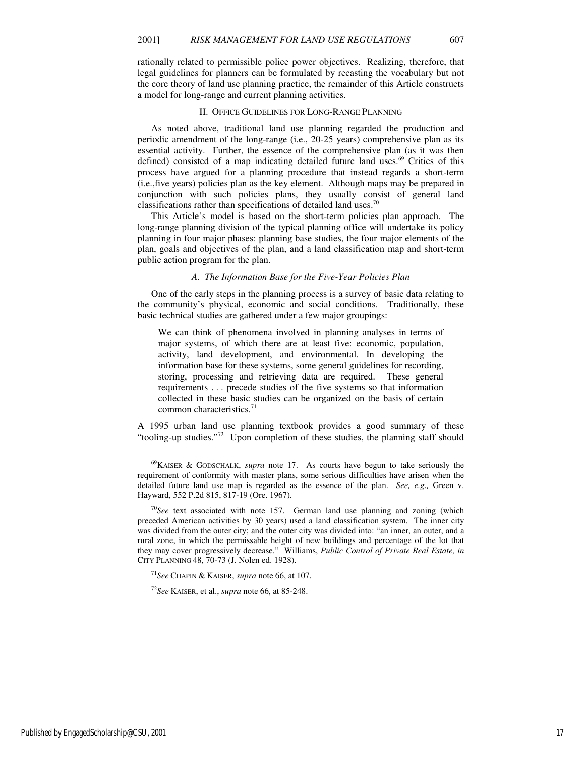rationally related to permissible police power objectives. Realizing, therefore, that legal guidelines for planners can be formulated by recasting the vocabulary but not the core theory of land use planning practice, the remainder of this Article constructs a model for long-range and current planning activities.

### II. OFFICE GUIDELINES FOR LONG-RANGE PLANNING

As noted above, traditional land use planning regarded the production and periodic amendment of the long-range (i.e., 20-25 years) comprehensive plan as its essential activity. Further, the essence of the comprehensive plan (as it was then defined) consisted of a map indicating detailed future land uses. $69$  Critics of this process have argued for a planning procedure that instead regards a short-term (i.e.,five years) policies plan as the key element. Although maps may be prepared in conjunction with such policies plans, they usually consist of general land classifications rather than specifications of detailed land uses.<sup>70</sup>

This Article's model is based on the short-term policies plan approach. The long-range planning division of the typical planning office will undertake its policy planning in four major phases: planning base studies, the four major elements of the plan, goals and objectives of the plan, and a land classification map and short-term public action program for the plan.

### *A. The Information Base for the Five-Year Policies Plan*

One of the early steps in the planning process is a survey of basic data relating to the community's physical, economic and social conditions. Traditionally, these basic technical studies are gathered under a few major groupings:

We can think of phenomena involved in planning analyses in terms of major systems, of which there are at least five: economic, population, activity, land development, and environmental. In developing the information base for these systems, some general guidelines for recording, storing, processing and retrieving data are required. These general requirements . . . precede studies of the five systems so that information collected in these basic studies can be organized on the basis of certain common characteristics.<sup>71</sup>

A 1995 urban land use planning textbook provides a good summary of these "tooling-up studies."<sup>72</sup> Upon completion of these studies, the planning staff should

Published by EngagedScholarship@CSU, 2001 17

 $\overline{a}$ 

<sup>69</sup>KAISER & GODSCHALK, *supra* note 17. As courts have begun to take seriously the requirement of conformity with master plans, some serious difficulties have arisen when the detailed future land use map is regarded as the essence of the plan. *See, e.g.,* Green v. Hayward, 552 P.2d 815, 817-19 (Ore. 1967).

 $70$ See text associated with note 157. German land use planning and zoning (which preceded American activities by 30 years) used a land classification system. The inner city was divided from the outer city; and the outer city was divided into: "an inner, an outer, and a rural zone, in which the permissable height of new buildings and percentage of the lot that they may cover progressively decrease." Williams, *Public Control of Private Real Estate, in*  CITY PLANNING 48, 70-73 (J. Nolen ed. 1928).

<sup>71</sup>*See* CHAPIN & KAISER, *supra* note 66, at 107.

<sup>72</sup>*See* KAISER, et al., *supra* note 66, at 85-248.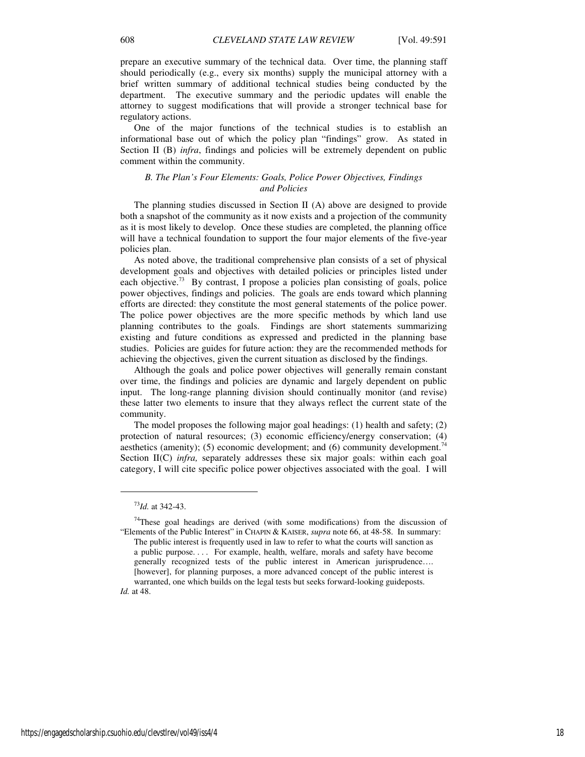prepare an executive summary of the technical data. Over time, the planning staff should periodically (e.g., every six months) supply the municipal attorney with a brief written summary of additional technical studies being conducted by the department. The executive summary and the periodic updates will enable the attorney to suggest modifications that will provide a stronger technical base for regulatory actions.

One of the major functions of the technical studies is to establish an informational base out of which the policy plan "findings" grow. As stated in Section II (B) *infra*, findings and policies will be extremely dependent on public comment within the community.

# *B. The Plan's Four Elements: Goals, Police Power Objectives, Findings and Policies*

The planning studies discussed in Section II (A) above are designed to provide both a snapshot of the community as it now exists and a projection of the community as it is most likely to develop. Once these studies are completed, the planning office will have a technical foundation to support the four major elements of the five-year policies plan.

As noted above, the traditional comprehensive plan consists of a set of physical development goals and objectives with detailed policies or principles listed under each objective.<sup>73</sup> By contrast, I propose a policies plan consisting of goals, police power objectives, findings and policies. The goals are ends toward which planning efforts are directed: they constitute the most general statements of the police power. The police power objectives are the more specific methods by which land use planning contributes to the goals. Findings are short statements summarizing existing and future conditions as expressed and predicted in the planning base studies. Policies are guides for future action: they are the recommended methods for achieving the objectives, given the current situation as disclosed by the findings.

Although the goals and police power objectives will generally remain constant over time, the findings and policies are dynamic and largely dependent on public input. The long-range planning division should continually monitor (and revise) these latter two elements to insure that they always reflect the current state of the community.

The model proposes the following major goal headings: (1) health and safety; (2) protection of natural resources; (3) economic efficiency/energy conservation; (4) aesthetics (amenity); (5) economic development; and (6) community development.<sup>74</sup> Section II(C) *infra*, separately addresses these six major goals: within each goal category, I will cite specific police power objectives associated with the goal. I will

<sup>73</sup>*Id.* at 342-43.

 $74$ These goal headings are derived (with some modifications) from the discussion of "Elements of the Public Interest" in CHAPIN & KAISER, *supra* note 66, at 48-58. In summary: The public interest is frequently used in law to refer to what the courts will sanction as a public purpose. . . . For example, health, welfare, morals and safety have become generally recognized tests of the public interest in American jurisprudence…. [however], for planning purposes, a more advanced concept of the public interest is warranted, one which builds on the legal tests but seeks forward-looking guideposts. *Id.* at 48.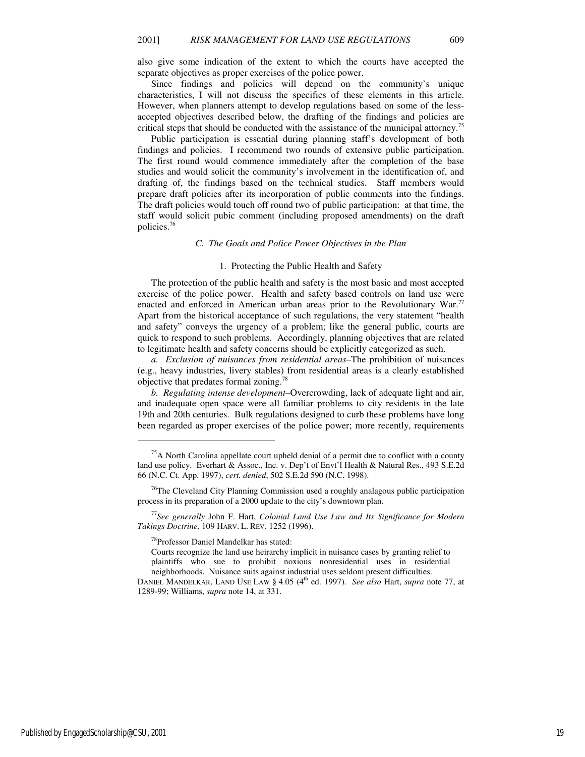also give some indication of the extent to which the courts have accepted the separate objectives as proper exercises of the police power.

Since findings and policies will depend on the community's unique characteristics, I will not discuss the specifics of these elements in this article. However, when planners attempt to develop regulations based on some of the lessaccepted objectives described below, the drafting of the findings and policies are critical steps that should be conducted with the assistance of the municipal attorney.<sup>75</sup>

Public participation is essential during planning staff's development of both findings and policies. I recommend two rounds of extensive public participation. The first round would commence immediately after the completion of the base studies and would solicit the community's involvement in the identification of, and drafting of, the findings based on the technical studies. Staff members would prepare draft policies after its incorporation of public comments into the findings. The draft policies would touch off round two of public participation: at that time, the staff would solicit pubic comment (including proposed amendments) on the draft policies.<sup>76</sup>

#### *C. The Goals and Police Power Objectives in the Plan*

#### 1. Protecting the Public Health and Safety

The protection of the public health and safety is the most basic and most accepted exercise of the police power. Health and safety based controls on land use were enacted and enforced in American urban areas prior to the Revolutionary War.<sup>77</sup> Apart from the historical acceptance of such regulations, the very statement "health and safety" conveys the urgency of a problem; like the general public, courts are quick to respond to such problems. Accordingly, planning objectives that are related to legitimate health and safety concerns should be explicitly categorized as such.

*a. Exclusion of nuisances from residential areas–*The prohibition of nuisances (e.g., heavy industries, livery stables) from residential areas is a clearly established objective that predates formal zoning.<sup>78</sup>

*b. Regulating intense development–*Overcrowding, lack of adequate light and air, and inadequate open space were all familiar problems to city residents in the late 19th and 20th centuries. Bulk regulations designed to curb these problems have long been regarded as proper exercises of the police power; more recently, requirements

 $<sup>75</sup>A$  North Carolina appellate court upheld denial of a permit due to conflict with a county</sup> land use policy. Everhart & Assoc., Inc. v. Dep't of Envt'l Health & Natural Res., 493 S.E.2d 66 (N.C. Ct. App. 1997), *cert. denied*, 502 S.E.2d 590 (N.C. 1998).

<sup>&</sup>lt;sup>76</sup>The Cleveland City Planning Commission used a roughly analagous public participation process in its preparation of a 2000 update to the city's downtown plan.

<sup>77</sup>*See generally* John F. Hart, *Colonial Land Use Law and Its Significance for Modern Takings Doctrine,* 109 HARV. L. REV. 1252 (1996).

<sup>78</sup>Professor Daniel Mandelkar has stated:

Courts recognize the land use heirarchy implicit in nuisance cases by granting relief to plaintiffs who sue to prohibit noxious nonresidential uses in residential neighborhoods. Nuisance suits against industrial uses seldom present difficulties.

DANIEL MANDELKAR, LAND USE LAW § 4.05 (4<sup>th</sup> ed. 1997). *See also* Hart, *supra* note 77, at 1289-99; Williams, *supra* note 14, at 331.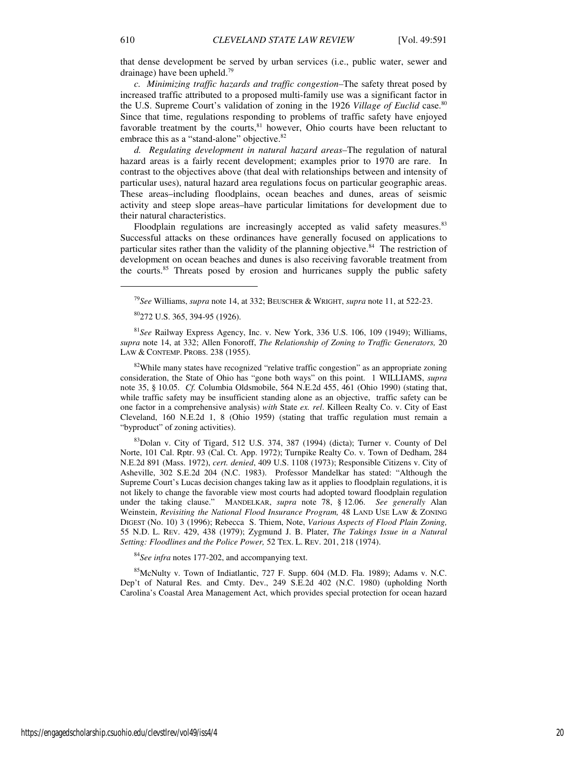that dense development be served by urban services (i.e., public water, sewer and drainage) have been upheld.<sup>79</sup>

*c. Minimizing traffic hazards and traffic congestion–*The safety threat posed by increased traffic attributed to a proposed multi-family use was a significant factor in the U.S. Supreme Court's validation of zoning in the 1926 *Village of Euclid* case.<sup>80</sup> Since that time, regulations responding to problems of traffic safety have enjoyed favorable treatment by the courts, ${}^{81}$  however, Ohio courts have been reluctant to embrace this as a "stand-alone" objective.<sup>82</sup>

*d. Regulating development in natural hazard areas–*The regulation of natural hazard areas is a fairly recent development; examples prior to 1970 are rare. In contrast to the objectives above (that deal with relationships between and intensity of particular uses), natural hazard area regulations focus on particular geographic areas. These areas–including floodplains, ocean beaches and dunes, areas of seismic activity and steep slope areas–have particular limitations for development due to their natural characteristics.

Floodplain regulations are increasingly accepted as valid safety measures.<sup>83</sup> Successful attacks on these ordinances have generally focused on applications to particular sites rather than the validity of the planning objective.<sup>84</sup> The restriction of development on ocean beaches and dunes is also receiving favorable treatment from the courts.<sup>85</sup> Threats posed by erosion and hurricanes supply the public safety

<sup>81</sup>*See* Railway Express Agency, Inc. v. New York, 336 U.S. 106, 109 (1949); Williams, *supra* note 14, at 332; Allen Fonoroff, *The Relationship of Zoning to Traffic Generators,* 20 LAW & CONTEMP. PROBS. 238 (1955).

<sup>82</sup>While many states have recognized "relative traffic congestion" as an appropriate zoning consideration, the State of Ohio has "gone both ways" on this point. 1 WILLIAMS, *supra*  note 35, § 10.05. *Cf.* Columbia Oldsmobile, 564 N.E.2d 455, 461 (Ohio 1990) (stating that, while traffic safety may be insufficient standing alone as an objective, traffic safety can be one factor in a comprehensive analysis) *with* State *ex. rel*. Killeen Realty Co. v. City of East Cleveland, 160 N.E.2d 1, 8 (Ohio 1959) (stating that traffic regulation must remain a "byproduct" of zoning activities).

 $83$ Dolan v. City of Tigard, 512 U.S. 374, 387 (1994) (dicta); Turner v. County of Del Norte, 101 Cal. Rptr. 93 (Cal. Ct. App. 1972); Turnpike Realty Co. v. Town of Dedham, 284 N.E.2d 891 (Mass. 1972), *cert. denied*, 409 U.S. 1108 (1973); Responsible Citizens v. City of Asheville, 302 S.E.2d 204 (N.C. 1983). Professor Mandelkar has stated: "Although the Supreme Court's Lucas decision changes taking law as it applies to floodplain regulations, it is not likely to change the favorable view most courts had adopted toward floodplain regulation under the taking clause." MANDELKAR, *supra* note 78, § 12.06. *See generally* Alan Weinstein, *Revisiting the National Flood Insurance Program,* 48 LAND USE LAW & ZONING DIGEST (No. 10) 3 (1996); Rebecca S. Thiem, Note, *Various Aspects of Flood Plain Zoning,*  55 N.D. L. REV. 429, 438 (1979); Zygmund J. B. Plater, *The Takings Issue in a Natural Setting: Floodlines and the Police Power,* 52 TEX. L. REV. 201, 218 (1974).

<sup>84</sup>*See infra* notes 177-202, and accompanying text.

 $85$ McNulty v. Town of Indiatlantic, 727 F. Supp. 604 (M.D. Fla. 1989); Adams v. N.C. Dep't of Natural Res. and Cmty. Dev., 249 S.E.2d 402 (N.C. 1980) (upholding North Carolina's Coastal Area Management Act, which provides special protection for ocean hazard

<sup>79</sup>*See* Williams, *supra* note 14, at 332; BEUSCHER & WRIGHT, *supra* note 11, at 522-23.

<sup>80</sup>272 U.S. 365, 394-95 (1926).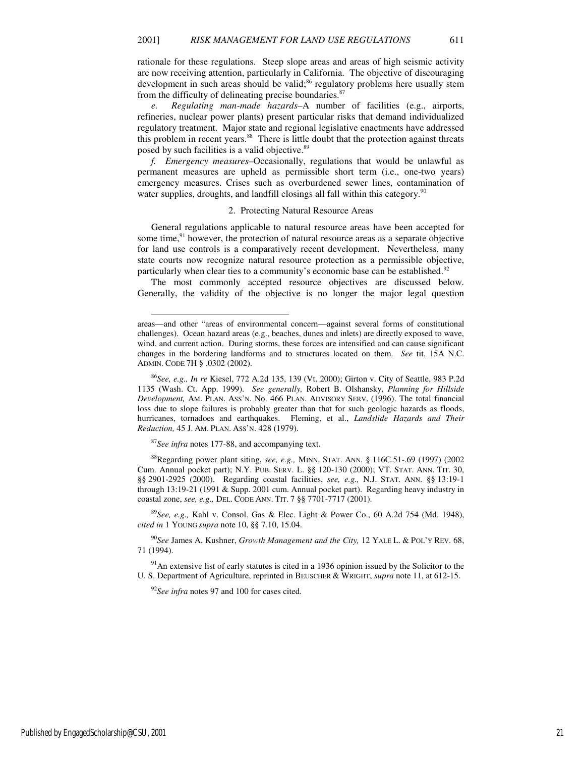rationale for these regulations. Steep slope areas and areas of high seismic activity are now receiving attention, particularly in California. The objective of discouraging development in such areas should be valid;<sup>86</sup> regulatory problems here usually stem from the difficulty of delineating precise boundaries.<sup>87</sup>

*e. Regulating man-made hazards–*A number of facilities (e.g., airports, refineries, nuclear power plants) present particular risks that demand individualized regulatory treatment. Major state and regional legislative enactments have addressed this problem in recent years.<sup>88</sup> There is little doubt that the protection against threats posed by such facilities is a valid objective.<sup>89</sup>

*f. Emergency measures–*Occasionally, regulations that would be unlawful as permanent measures are upheld as permissible short term (i.e., one-two years) emergency measures. Crises such as overburdened sewer lines, contamination of water supplies, droughts, and landfill closings all fall within this category.<sup>90</sup>

# 2. Protecting Natural Resource Areas

General regulations applicable to natural resource areas have been accepted for some time, $91$  however, the protection of natural resource areas as a separate objective for land use controls is a comparatively recent development. Nevertheless, many state courts now recognize natural resource protection as a permissible objective, particularly when clear ties to a community's economic base can be established.<sup>92</sup>

The most commonly accepted resource objectives are discussed below. Generally, the validity of the objective is no longer the major legal question

<sup>86</sup>*See, e.g., In re* Kiesel, 772 A.2d 135, 139 (Vt. 2000); Girton v. City of Seattle, 983 P.2d 1135 (Wash. Ct. App. 1999). *See generally,* Robert B. Olshansky, *Planning for Hillside Development,* AM. PLAN. ASS'N. No. 466 PLAN. ADVISORY SERV. (1996). The total financial loss due to slope failures is probably greater than that for such geologic hazards as floods, hurricanes, tornadoes and earthquakes. Fleming, et al., *Landslide Hazards and Their Reduction,* 45 J. AM. PLAN. ASS'N. 428 (1979).

<sup>87</sup>*See infra* notes 177-88, and accompanying text.

l

<sup>88</sup>Regarding power plant siting, *see, e.g.,* MINN. STAT. ANN. § 116C.51-.69 (1997) (2002 Cum. Annual pocket part); N.Y. PUB. SERV. L. §§ 120-130 (2000); VT. STAT. ANN. TIT. 30, §§ 2901-2925 (2000). Regarding coastal facilities, *see, e.g.,* N.J. STAT. ANN. §§ 13:19-1 through 13:19-21 (1991 & Supp. 2001 cum. Annual pocket part). Regarding heavy industry in coastal zone, *see, e.g.,* DEL. CODE ANN. TIT. 7 §§ 7701-7717 (2001).

<sup>89</sup>*See, e.g.,* Kahl v. Consol. Gas & Elec. Light & Power Co., 60 A.2d 754 (Md. 1948), *cited in* 1 YOUNG *supra* note 10, §§ 7.10, 15.04.

<sup>90</sup>*See* James A. Kushner, *Growth Management and the City,* 12 YALE L. & POL'Y REV. 68, 71 (1994).

 $91$ An extensive list of early statutes is cited in a 1936 opinion issued by the Solicitor to the U. S. Department of Agriculture, reprinted in BEUSCHER & WRIGHT, *supra* note 11, at 612-15.

<sup>92</sup>*See infra* notes 97 and 100 for cases cited*.*

areas—and other "areas of environmental concern—against several forms of constitutional challenges). Ocean hazard areas (e.g., beaches, dunes and inlets) are directly exposed to wave, wind, and current action. During storms, these forces are intensified and can cause significant changes in the bordering landforms and to structures located on them. *See* tit. 15A N.C. ADMIN. CODE 7H § .0302 (2002).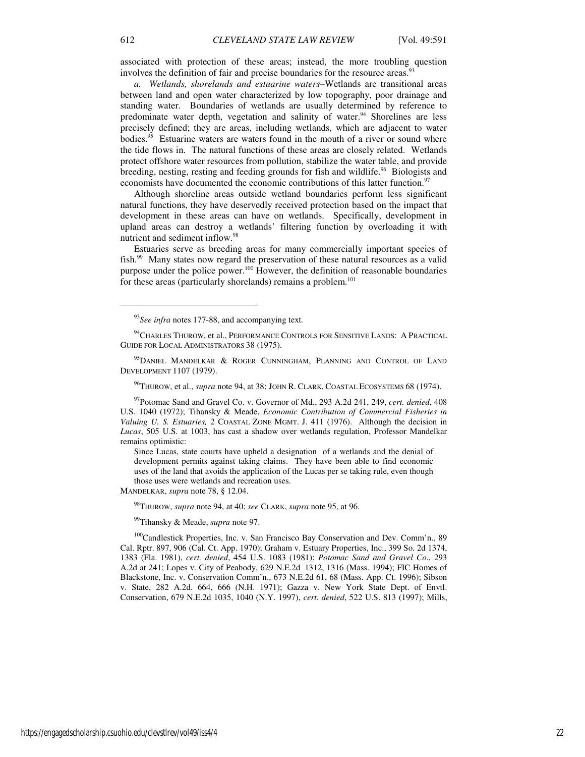associated with protection of these areas; instead, the more troubling question involves the definition of fair and precise boundaries for the resource areas.<sup>9</sup>

*a. Wetlands, shorelands and estuarine waters–*Wetlands are transitional areas between land and open water characterized by low topography, poor drainage and standing water. Boundaries of wetlands are usually determined by reference to predominate water depth, vegetation and salinity of water.<sup>94</sup> Shorelines are less precisely defined; they are areas, including wetlands, which are adjacent to water bodies.<sup>95</sup> Estuarine waters are waters found in the mouth of a river or sound where the tide flows in. The natural functions of these areas are closely related. Wetlands protect offshore water resources from pollution, stabilize the water table, and provide breeding, nesting, resting and feeding grounds for fish and wildlife.<sup>96</sup> Biologists and economists have documented the economic contributions of this latter function.<sup>97</sup>

Although shoreline areas outside wetland boundaries perform less significant natural functions, they have deservedly received protection based on the impact that development in these areas can have on wetlands. Specifically, development in upland areas can destroy a wetlands' filtering function by overloading it with nutrient and sediment inflow.<sup>98</sup>

Estuaries serve as breeding areas for many commercially important species of fish.<sup>99</sup> Many states now regard the preservation of these natural resources as a valid purpose under the police power.<sup>100</sup> However, the definition of reasonable boundaries for these areas (particularly shorelands) remains a problem.<sup>101</sup>

<sup>96</sup>THUROW, et al., *supra* note 94, at 38; JOHN R. CLARK, COASTAL ECOSYSTEMS 68 (1974).

Since Lucas, state courts have upheld a designation of a wetlands and the denial of development permits against taking claims. They have been able to find economic uses of the land that avoids the application of the Lucas per se taking rule, even though those uses were wetlands and recreation uses.

MANDELKAR, *supra* note 78, § 12.04.

<sup>98</sup>THUROW, *supra* note 94, at 40; *see* CLARK, *supra* note 95, at 96.

<sup>99</sup>Tihansky & Meade, *supra* note 97.

<sup>100</sup>Candlestick Properties, Inc. v. San Francisco Bay Conservation and Dev. Comm'n., 89 Cal. Rptr. 897, 906 (Cal. Ct. App. 1970); Graham v. Estuary Properties, Inc., 399 So. 2d 1374, 1383 (Fla. 1981), *cert. denied*, 454 U.S. 1083 (1981); *Potomac Sand and Gravel Co*., 293 A.2d at 241; Lopes v. City of Peabody, 629 N.E.2d 1312, 1316 (Mass. 1994); FIC Homes of Blackstone, Inc. v. Conservation Comm'n., 673 N.E.2d 61, 68 (Mass. App. Ct. 1996); Sibson v. State, 282 A.2d. 664, 666 (N.H. 1971); Gazza v. New York State Dept. of Envtl. Conservation, 679 N.E.2d 1035, 1040 (N.Y. 1997), *cert. denied*, 522 U.S. 813 (1997); Mills,

1

<sup>93</sup>*See infra* notes 177-88, and accompanying text*.*

<sup>&</sup>lt;sup>94</sup>CHARLES THUROW, et al., PERFORMANCE CONTROLS FOR SENSITIVE LANDS: A PRACTICAL GUIDE FOR LOCAL ADMINISTRATORS 38 (1975).

<sup>&</sup>lt;sup>95</sup>DANIEL MANDELKAR & ROGER CUNNINGHAM, PLANNING AND CONTROL OF LAND DEVELOPMENT 1107 (1979).

<sup>97</sup>Potomac Sand and Gravel Co. v. Governor of Md., 293 A.2d 241, 249, *cert. denied*, 408 U.S. 1040 (1972); Tihansky & Meade, *Economic Contribution of Commercial Fisheries in Valuing U. S. Estuaries,* 2 COASTAL ZONE MGMT. J. 411 (1976). Although the decision in *Lucas*, 505 U.S. at 1003, has cast a shadow over wetlands regulation, Professor Mandelkar remains optimistic: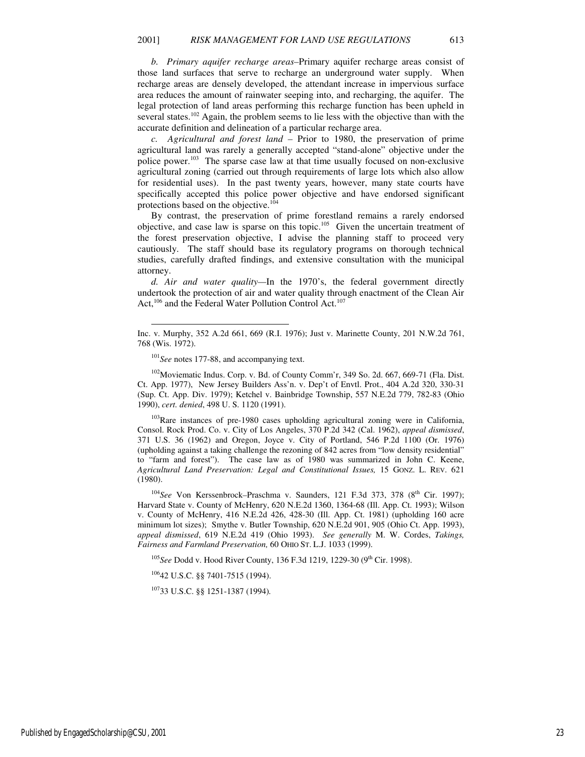*b. Primary aquifer recharge areas–*Primary aquifer recharge areas consist of those land surfaces that serve to recharge an underground water supply. When recharge areas are densely developed, the attendant increase in impervious surface area reduces the amount of rainwater seeping into, and recharging, the aquifer. The legal protection of land areas performing this recharge function has been upheld in several states.<sup>102</sup> Again, the problem seems to lie less with the objective than with the accurate definition and delineation of a particular recharge area.

*c. Agricultural and forest land –* Prior to 1980, the preservation of prime agricultural land was rarely a generally accepted "stand-alone" objective under the police power.<sup>103</sup> The sparse case law at that time usually focused on non-exclusive agricultural zoning (carried out through requirements of large lots which also allow for residential uses). In the past twenty years, however, many state courts have specifically accepted this police power objective and have endorsed significant protections based on the objective.<sup>104</sup>

By contrast, the preservation of prime forestland remains a rarely endorsed objective, and case law is sparse on this topic.<sup>105</sup> Given the uncertain treatment of the forest preservation objective, I advise the planning staff to proceed very cautiously. The staff should base its regulatory programs on thorough technical studies, carefully drafted findings, and extensive consultation with the municipal attorney.

*d. Air and water quality—*In the 1970's, the federal government directly undertook the protection of air and water quality through enactment of the Clean Air Act,<sup>106</sup> and the Federal Water Pollution Control Act.<sup>107</sup>

<sup>101</sup>*See* notes 177-88, and accompanying text.

l

<sup>102</sup>Moviematic Indus. Corp. v. Bd. of County Comm'r, 349 So. 2d. 667, 669-71 (Fla. Dist. Ct. App. 1977), New Jersey Builders Ass'n. v. Dep't of Envtl. Prot., 404 A.2d 320, 330-31 (Sup. Ct. App. Div. 1979); Ketchel v. Bainbridge Township, 557 N.E.2d 779, 782-83 (Ohio 1990), *cert. denied*, 498 U. S. 1120 (1991).

<sup>103</sup>Rare instances of pre-1980 cases upholding agricultural zoning were in California, Consol. Rock Prod. Co. v. City of Los Angeles, 370 P.2d 342 (Cal. 1962), *appeal dismissed*, 371 U.S. 36 (1962) and Oregon, Joyce v. City of Portland, 546 P.2d 1100 (Or. 1976) (upholding against a taking challenge the rezoning of 842 acres from "low density residential" to "farm and forest"). The case law as of 1980 was summarized in John C. Keene, *Agricultural Land Preservation: Legal and Constitutional Issues,* 15 GONZ. L. REV. 621 (1980).

<sup>104</sup>See Von Kerssenbrock-Praschma v. Saunders, 121 F.3d 373, 378 (8<sup>th</sup> Cir. 1997); Harvard State v. County of McHenry, 620 N.E.2d 1360, 1364-68 (Ill. App. Ct. 1993); Wilson v. County of McHenry, 416 N.E.2d 426, 428-30 (Ill. App. Ct. 1981) (upholding 160 acre minimum lot sizes); Smythe v. Butler Township, 620 N.E.2d 901, 905 (Ohio Ct. App. 1993), *appeal dismissed*, 619 N.E.2d 419 (Ohio 1993). *See generally* M. W. Cordes, *Takings, Fairness and Farmland Preservation,* 60 OHIO ST. L.J. 1033 (1999).

<sup>105</sup>See Dodd v. Hood River County, 136 F.3d 1219, 1229-30 (9<sup>th</sup> Cir. 1998).

<sup>106</sup>42 U.S.C. §§ 7401-7515 (1994).

<sup>107</sup>33 U.S.C. §§ 1251-1387 (1994)*.*

Inc. v. Murphy, 352 A.2d 661, 669 (R.I. 1976); Just v. Marinette County, 201 N.W.2d 761, 768 (Wis. 1972).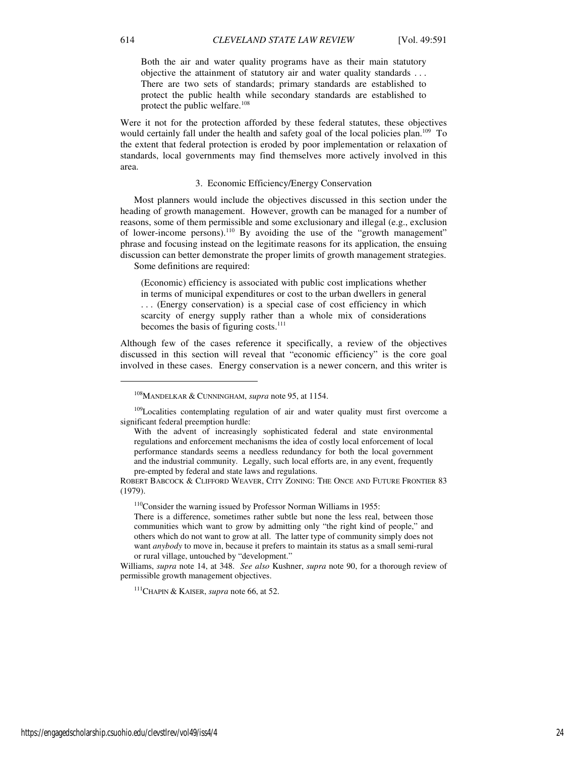Both the air and water quality programs have as their main statutory objective the attainment of statutory air and water quality standards . . . There are two sets of standards; primary standards are established to protect the public health while secondary standards are established to protect the public welfare.<sup>108</sup>

Were it not for the protection afforded by these federal statutes, these objectives would certainly fall under the health and safety goal of the local policies plan.<sup>109</sup> To the extent that federal protection is eroded by poor implementation or relaxation of standards, local governments may find themselves more actively involved in this area.

#### 3. Economic Efficiency/Energy Conservation

Most planners would include the objectives discussed in this section under the heading of growth management. However, growth can be managed for a number of reasons, some of them permissible and some exclusionary and illegal (e.g., exclusion of lower-income persons).<sup>110</sup> By avoiding the use of the "growth management" phrase and focusing instead on the legitimate reasons for its application, the ensuing discussion can better demonstrate the proper limits of growth management strategies. Some definitions are required:

(Economic) efficiency is associated with public cost implications whether in terms of municipal expenditures or cost to the urban dwellers in general . . . (Energy conservation) is a special case of cost efficiency in which scarcity of energy supply rather than a whole mix of considerations becomes the basis of figuring costs.<sup>111</sup>

Although few of the cases reference it specifically, a review of the objectives discussed in this section will reveal that "economic efficiency" is the core goal involved in these cases. Energy conservation is a newer concern, and this writer is

<sup>110</sup>Consider the warning issued by Professor Norman Williams in 1955:

<sup>108</sup>MANDELKAR & CUNNINGHAM, *supra* note 95, at 1154.

<sup>&</sup>lt;sup>109</sup>Localities contemplating regulation of air and water quality must first overcome a significant federal preemption hurdle:

With the advent of increasingly sophisticated federal and state environmental regulations and enforcement mechanisms the idea of costly local enforcement of local performance standards seems a needless redundancy for both the local government and the industrial community. Legally, such local efforts are, in any event, frequently pre-empted by federal and state laws and regulations.

ROBERT BABCOCK & CLIFFORD WEAVER, CITY ZONING: THE ONCE AND FUTURE FRONTIER 83 (1979).

There is a difference, sometimes rather subtle but none the less real, between those communities which want to grow by admitting only "the right kind of people," and others which do not want to grow at all. The latter type of community simply does not want *anybody* to move in, because it prefers to maintain its status as a small semi-rural or rural village, untouched by "development."

Williams, *supra* note 14, at 348. *See also* Kushner, *supra* note 90, for a thorough review of permissible growth management objectives.

<sup>111</sup>CHAPIN & KAISER, *supra* note 66, at 52.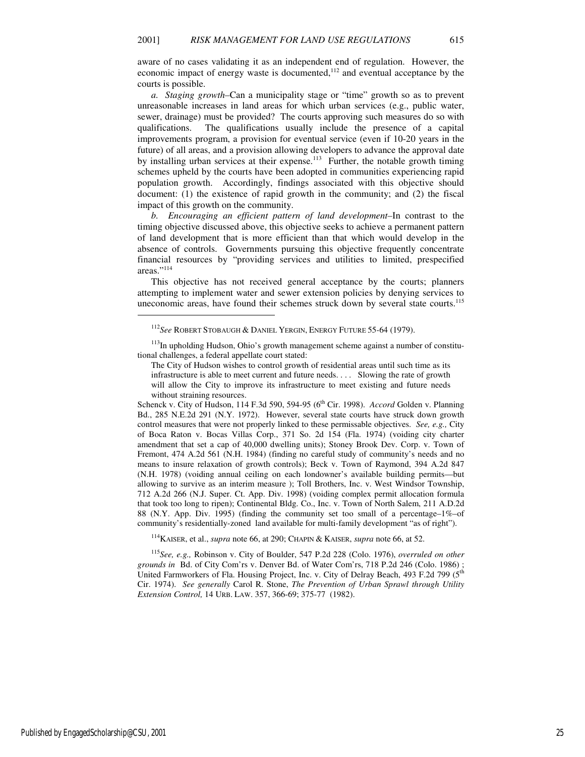aware of no cases validating it as an independent end of regulation. However, the economic impact of energy waste is documented, $112$  and eventual acceptance by the courts is possible.

*a. Staging growth–*Can a municipality stage or "time" growth so as to prevent unreasonable increases in land areas for which urban services (e.g., public water, sewer, drainage) must be provided? The courts approving such measures do so with qualifications. The qualifications usually include the presence of a capital improvements program, a provision for eventual service (even if 10-20 years in the future) of all areas, and a provision allowing developers to advance the approval date by installing urban services at their expense.<sup>113</sup> Further, the notable growth timing schemes upheld by the courts have been adopted in communities experiencing rapid population growth. Accordingly, findings associated with this objective should document: (1) the existence of rapid growth in the community; and (2) the fiscal impact of this growth on the community.

*b. Encouraging an efficient pattern of land development–*In contrast to the timing objective discussed above, this objective seeks to achieve a permanent pattern of land development that is more efficient than that which would develop in the absence of controls. Governments pursuing this objective frequently concentrate financial resources by "providing services and utilities to limited, prespecified areas."<sup>114</sup>

This objective has not received general acceptance by the courts; planners attempting to implement water and sewer extension policies by denying services to uneconomic areas, have found their schemes struck down by several state courts.<sup>115</sup>

Schenck v. City of Hudson, 114 F.3d 590, 594-95 (6<sup>th</sup> Cir. 1998). *Accord* Golden v. Planning Bd., 285 N.E.2d 291 (N.Y. 1972). However, several state courts have struck down growth control measures that were not properly linked to these permissable objectives. *See, e.g.,* City of Boca Raton v. Bocas Villas Corp., 371 So. 2d 154 (Fla. 1974) (voiding city charter amendment that set a cap of 40,000 dwelling units); Stoney Brook Dev. Corp. v. Town of Fremont, 474 A.2d 561 (N.H. 1984) (finding no careful study of community's needs and no means to insure relaxation of growth controls); Beck v. Town of Raymond, 394 A.2d 847 (N.H. 1978) (voiding annual ceiling on each londowner's available building permits—but allowing to survive as an interim measure ); Toll Brothers, Inc. v. West Windsor Township, 712 A.2d 266 (N.J. Super. Ct. App. Div. 1998) (voiding complex permit allocation formula that took too long to ripen); Continental Bldg. Co., Inc. v. Town of North Salem, 211 A.D.2d 88 (N.Y. App. Div. 1995) (finding the community set too small of a percentage–1%–of community's residentially-zoned land available for multi-family development "as of right").

<sup>114</sup>KAISER, et al., *supra* note 66, at 290; CHAPIN & KAISER, *supra* note 66, at 52.

<sup>115</sup>*See, e.g.,* Robinson v. City of Boulder, 547 P.2d 228 (Colo. 1976), *overruled on other grounds in* Bd. of City Com'rs v. Denver Bd. of Water Com'rs, 718 P.2d 246 (Colo. 1986) ; United Farmworkers of Fla. Housing Project, Inc. v. City of Delray Beach, 493 F.2d 799 (5<sup>th</sup> Cir. 1974). *See generally* Carol R. Stone, *The Prevention of Urban Sprawl through Utility Extension Control,* 14 URB. LAW. 357, 366-69; 375-77 (1982).

1

<sup>112</sup>*See* ROBERT STOBAUGH & DANIEL YERGIN, ENERGY FUTURE 55-64 (1979).

<sup>&</sup>lt;sup>113</sup>In upholding Hudson, Ohio's growth management scheme against a number of constitutional challenges, a federal appellate court stated:

The City of Hudson wishes to control growth of residential areas until such time as its infrastructure is able to meet current and future needs. . . . Slowing the rate of growth will allow the City to improve its infrastructure to meet existing and future needs without straining resources.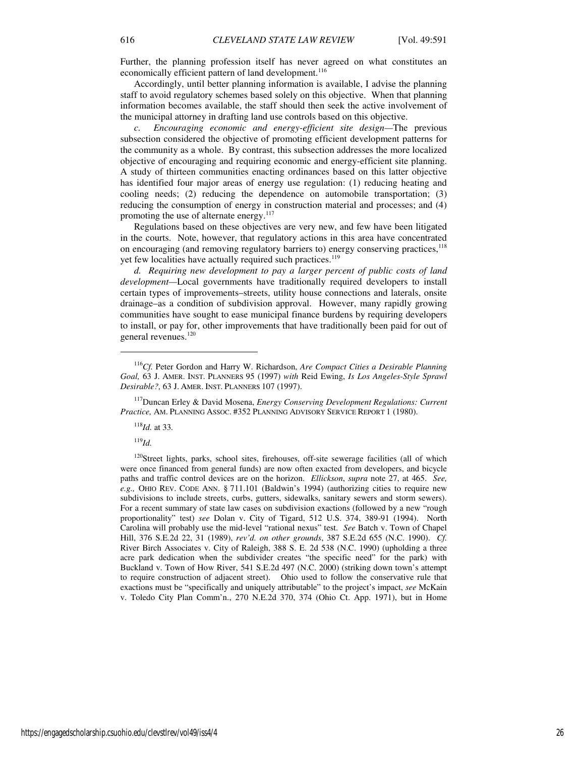Further, the planning profession itself has never agreed on what constitutes an economically efficient pattern of land development.<sup>116</sup>

Accordingly, until better planning information is available, I advise the planning staff to avoid regulatory schemes based solely on this objective. When that planning information becomes available, the staff should then seek the active involvement of the municipal attorney in drafting land use controls based on this objective.

*c. Encouraging economic and energy-efficient site design—*The previous subsection considered the objective of promoting efficient development patterns for the community as a whole. By contrast, this subsection addresses the more localized objective of encouraging and requiring economic and energy-efficient site planning. A study of thirteen communities enacting ordinances based on this latter objective has identified four major areas of energy use regulation: (1) reducing heating and cooling needs; (2) reducing the dependence on automobile transportation; (3) reducing the consumption of energy in construction material and processes; and (4) promoting the use of alternate energy.<sup>117</sup>

Regulations based on these objectives are very new, and few have been litigated in the courts. Note, however, that regulatory actions in this area have concentrated on encouraging (and removing regulatory barriers to) energy conserving practices, $^{118}$ yet few localities have actually required such practices.<sup>119</sup>

*d. Requiring new development to pay a larger percent of public costs of land development—*Local governments have traditionally required developers to install certain types of improvements–streets, utility house connections and laterals, onsite drainage–as a condition of subdivision approval. However, many rapidly growing communities have sought to ease municipal finance burdens by requiring developers to install, or pay for, other improvements that have traditionally been paid for out of general revenues.<sup>120</sup>

<sup>118</sup>*Id.* at 33*.*

<sup>119</sup>*Id.*

1

<sup>120</sup>Street lights, parks, school sites, firehouses, off-site sewerage facilities (all of which were once financed from general funds) are now often exacted from developers, and bicycle paths and traffic control devices are on the horizon. *Ellickson*, *supra* note 27, at 465. *See, e.g.,* OHIO REV. CODE ANN. § 711.101 (Baldwin's 1994) (authorizing cities to require new subdivisions to include streets, curbs, gutters, sidewalks, sanitary sewers and storm sewers). For a recent summary of state law cases on subdivision exactions (followed by a new "rough proportionality" test) *see* Dolan v. City of Tigard, 512 U.S. 374, 389-91 (1994). North Carolina will probably use the mid-level "rational nexus" test. *See* Batch v. Town of Chapel Hill, 376 S.E.2d 22, 31 (1989), *rev'd. on other grounds*, 387 S.E.2d 655 (N.C. 1990). *Cf.*  River Birch Associates v. City of Raleigh, 388 S. E. 2d 538 (N.C. 1990) (upholding a three acre park dedication when the subdivider creates "the specific need" for the park) with Buckland v. Town of How River, 541 S.E.2d 497 (N.C. 2000) (striking down town's attempt to require construction of adjacent street). Ohio used to follow the conservative rule that exactions must be "specifically and uniquely attributable" to the project's impact, *see* McKain v. Toledo City Plan Comm'n., 270 N.E.2d 370, 374 (Ohio Ct. App. 1971), but in Home

<sup>116</sup>*Cf.* Peter Gordon and Harry W. Richardson, *Are Compact Cities a Desirable Planning Goal,* 63 J. AMER. INST. PLANNERS 95 (1997) *with* Reid Ewing, *Is Los Angeles-Style Sprawl Desirable?,* 63 J. AMER. INST. PLANNERS 107 (1997).

<sup>117</sup>Duncan Erley & David Mosena, *Energy Conserving Development Regulations: Current Practice,* AM. PLANNING ASSOC. #352 PLANNING ADVISORY SERVICE REPORT 1 (1980).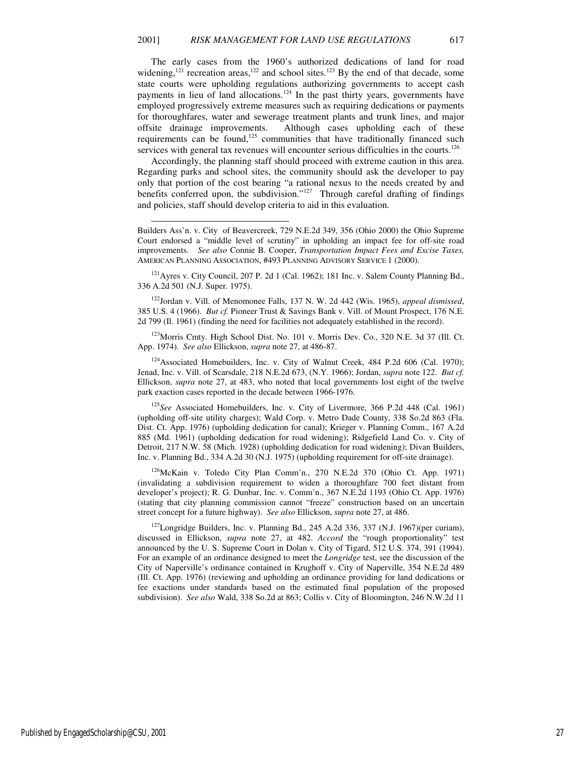The early cases from the 1960's authorized dedications of land for road widening,<sup>121</sup> recreation areas,<sup>122</sup> and school sites.<sup>123</sup> By the end of that decade, some state courts were upholding regulations authorizing governments to accept cash payments in lieu of land allocations.<sup>124</sup> In the past thirty years, governments have employed progressively extreme measures such as requiring dedications or payments for thoroughfares, water and sewerage treatment plants and trunk lines, and major offsite drainage improvements. Although cases upholding each of these requirements can be found,<sup>125</sup> communities that have traditionally financed such services with general tax revenues will encounter serious difficulties in the courts.<sup>126</sup>

Accordingly, the planning staff should proceed with extreme caution in this area. Regarding parks and school sites, the community should ask the developer to pay only that portion of the cost bearing "a rational nexus to the needs created by and benefits conferred upon, the subdivision."<sup>127</sup> Through careful drafting of findings and policies, staff should develop criteria to aid in this evaluation.

-

 $121$  Ayres v. City Council, 207 P. 2d 1 (Cal. 1962); 181 Inc. v. Salem County Planning Bd., 336 A.2d 501 (N.J. Super. 1975).

<sup>122</sup>Jordan v. Vill. of Menomonee Falls, 137 N. W. 2d 442 (Wis. 1965), *appeal dismissed*, 385 U.S. 4 (1966). *But cf.* Pioneer Trust & Savings Bank v. Vill. of Mount Prospect, 176 N.E. 2d 799 (Il. 1961) (finding the need for facilities not adequately established in the record).

<sup>123</sup> Morris Cmty. High School Dist. No. 101 v. Morris Dev. Co., 320 N.E. 3d 37 (Ill. Ct. App. 1974). *See also* Ellickson, *supra* note 27, at 486-87.

<sup>124</sup>Associated Homebuilders, Inc. v. City of Walnut Creek, 484 P.2d 606 (Cal. 1970); Jenad, Inc. v. Vill. of Scarsdale, 218 N.E.2d 673, (N.Y. 1966); Jordan, *supra* note 122. *But cf.*  Ellickson, *supra* note 27, at 483, who noted that local governments lost eight of the twelve park exaction cases reported in the decade between 1966-1976.

<sup>125</sup>*See* Associated Homebuilders, Inc. v. City of Livermore, 366 P.2d 448 (Cal. 1961) (upholding off-site utility charges); Wald Corp. v. Metro Dade County, 338 So.2d 863 (Fla. Dist. Ct. App. 1976) (upholding dedication for canal); Krieger v. Planning Comm., 167 A.2d 885 (Md. 1961) (upholding dedication for road widening); Ridgefield Land Co. v. City of Detroit, 217 N.W. 58 (Mich. 1928) (upholding dedication for road widening); Divan Builders, Inc. v. Planning Bd., 334 A.2d 30 (N.J. 1975) (upholding requirement for off-site drainage).

<sup>126</sup>McKain v. Toledo City Plan Comm'n., 270 N.E.2d 370 (Ohio Ct. App. 1971) (invalidating a subdivision requirement to widen a thoroughfare 700 feet distant from developer's project); R. G. Dunbar, Inc. v. Comm'n., 367 N.E.2d 1193 (Ohio Ct. App. 1976) (stating that city planning commission cannot "freeze" construction based on an uncertain street concept for a future highway). *See also* Ellickson, *supra* note 27, at 486.

 $127$ Longridge Builders, Inc. v. Planning Bd., 245 A.2d 336, 337 (N.J. 1967)(per curiam), discussed in Ellickson, *supra* note 27, at 482. *Accord* the "rough proportionality" test announced by the U. S. Supreme Court in Dolan v. City of Tigard, 512 U.S. 374, 391 (1994). For an example of an ordinance designed to meet the *Longridge* test, see the discussion of the City of Naperville's ordinance contained in Krughoff v. City of Naperville, 354 N.E.2d 489 (Ill. Ct. App. 1976) (reviewing and upholding an ordinance providing for land dedications or fee exactions under standards based on the estimated final population of the proposed subdivision). *See also* Wald, 338 So.2d at 863; Collis v. City of Bloomington, 246 N.W.2d 11

Builders Ass'n. v. City of Beavercreek, 729 N.E.2d 349, 356 (Ohio 2000) the Ohio Supreme Court endorsed a "middle level of scrutiny" in upholding an impact fee for off-site road improvements. *See also* Connie B. Cooper, *Transportation Impact Fees and Excise Taxes,* AMERICAN PLANNING ASSOCIATION, #493 PLANNING ADVISORY SERVICE 1 (2000).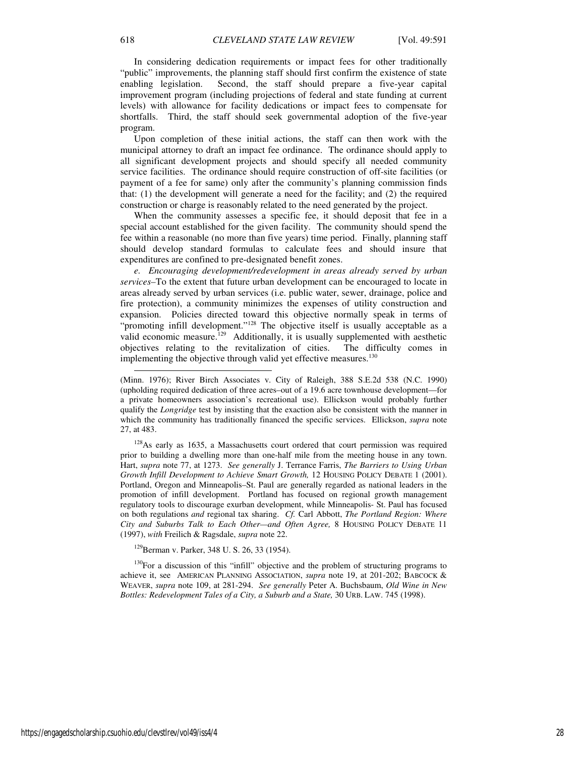In considering dedication requirements or impact fees for other traditionally "public" improvements, the planning staff should first confirm the existence of state enabling legislation. Second, the staff should prepare a five-year capital improvement program (including projections of federal and state funding at current levels) with allowance for facility dedications or impact fees to compensate for shortfalls. Third, the staff should seek governmental adoption of the five-year program.

Upon completion of these initial actions, the staff can then work with the municipal attorney to draft an impact fee ordinance. The ordinance should apply to all significant development projects and should specify all needed community service facilities. The ordinance should require construction of off-site facilities (or payment of a fee for same) only after the community's planning commission finds that: (1) the development will generate a need for the facility; and (2) the required construction or charge is reasonably related to the need generated by the project.

When the community assesses a specific fee, it should deposit that fee in a special account established for the given facility. The community should spend the fee within a reasonable (no more than five years) time period. Finally, planning staff should develop standard formulas to calculate fees and should insure that expenditures are confined to pre-designated benefit zones.

*e. Encouraging development/redevelopment in areas already served by urban services–*To the extent that future urban development can be encouraged to locate in areas already served by urban services (i.e. public water, sewer, drainage, police and fire protection), a community minimizes the expenses of utility construction and expansion. Policies directed toward this objective normally speak in terms of "promoting infill development."<sup>128</sup> The objective itself is usually acceptable as a valid economic measure.<sup>129</sup> Additionally, it is usually supplemented with aesthetic objectives relating to the revitalization of cities. The difficulty comes in implementing the objective through valid yet effective measures.<sup>130</sup>

<sup>128</sup>As early as 1635, a Massachusetts court ordered that court permission was required prior to building a dwelling more than one-half mile from the meeting house in any town. Hart, *supra* note 77, at 1273. *See generally* J. Terrance Farris, *The Barriers to Using Urban Growth Infill Development to Achieve Smart Growth,* 12 HOUSING POLICY DEBATE 1 (2001). Portland, Oregon and Minneapolis–St. Paul are generally regarded as national leaders in the promotion of infill development. Portland has focused on regional growth management regulatory tools to discourage exurban development, while Minneapolis- St. Paul has focused on both regulations *and* regional tax sharing. *Cf.* Carl Abbott, *The Portland Region: Where City and Suburbs Talk to Each Other—and Often Agree,* 8 HOUSING POLICY DEBATE 11 (1997), *with* Freilich & Ragsdale, *supra* note 22.

<sup>129</sup>Berman v. Parker, 348 U. S. 26, 33 (1954).

 $130$ For a discussion of this "infill" objective and the problem of structuring programs to achieve it, see AMERICAN PLANNING ASSOCIATION, *supra* note 19, at 201-202; BABCOCK & WEAVER, *supra* note 109, at 281-294. *See generally* Peter A. Buchsbaum, *Old Wine in New Bottles: Redevelopment Tales of a City, a Suburb and a State,* 30 URB. LAW. 745 (1998).

-

<sup>(</sup>Minn. 1976); River Birch Associates v. City of Raleigh, 388 S.E.2d 538 (N.C. 1990) (upholding required dedication of three acres–out of a 19.6 acre townhouse development—for a private homeowners association's recreational use). Ellickson would probably further qualify the *Longridge* test by insisting that the exaction also be consistent with the manner in which the community has traditionally financed the specific services. Ellickson, *supra* note 27, at 483.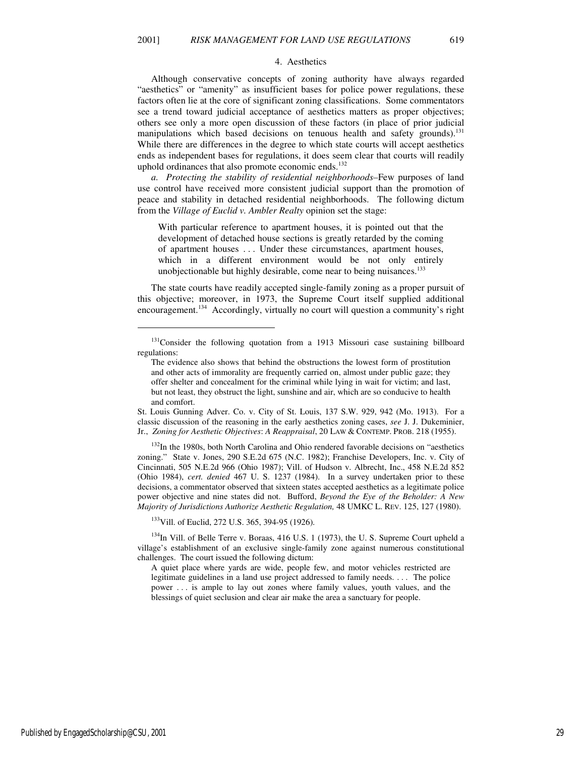#### 4. Aesthetics

Although conservative concepts of zoning authority have always regarded "aesthetics" or "amenity" as insufficient bases for police power regulations, these factors often lie at the core of significant zoning classifications. Some commentators see a trend toward judicial acceptance of aesthetics matters as proper objectives; others see only a more open discussion of these factors (in place of prior judicial manipulations which based decisions on tenuous health and safety grounds).<sup>131</sup> While there are differences in the degree to which state courts will accept aesthetics ends as independent bases for regulations, it does seem clear that courts will readily uphold ordinances that also promote economic ends. $132$ 

*a. Protecting the stability of residential neighborhoods–*Few purposes of land use control have received more consistent judicial support than the promotion of peace and stability in detached residential neighborhoods. The following dictum from the *Village of Euclid v. Ambler Realty* opinion set the stage:

With particular reference to apartment houses, it is pointed out that the development of detached house sections is greatly retarded by the coming of apartment houses . . . Under these circumstances, apartment houses, which in a different environment would be not only entirely unobjectionable but highly desirable, come near to being nuisances.<sup>133</sup>

The state courts have readily accepted single-family zoning as a proper pursuit of this objective; moreover, in 1973, the Supreme Court itself supplied additional encouragement.<sup>134</sup> Accordingly, virtually no court will question a community's right

<sup>132</sup>In the 1980s, both North Carolina and Ohio rendered favorable decisions on "aesthetics zoning." State v. Jones, 290 S.E.2d 675 (N.C. 1982); Franchise Developers, Inc. v. City of Cincinnati, 505 N.E.2d 966 (Ohio 1987); Vill. of Hudson v. Albrecht, Inc., 458 N.E.2d 852 (Ohio 1984), *cert. denied* 467 U. S. 1237 (1984). In a survey undertaken prior to these decisions, a commentator observed that sixteen states accepted aesthetics as a legitimate police power objective and nine states did not. Bufford, *Beyond the Eye of the Beholder: A New Majority of Jurisdictions Authorize Aesthetic Regulation,* 48 UMKC L. REV. 125, 127 (1980).

<sup>133</sup>Vill. of Euclid, 272 U.S. 365, 394-95 (1926).

 $134$ In Vill. of Belle Terre v. Boraas, 416 U.S. 1 (1973), the U.S. Supreme Court upheld a village's establishment of an exclusive single-family zone against numerous constitutional challenges. The court issued the following dictum:

A quiet place where yards are wide, people few, and motor vehicles restricted are legitimate guidelines in a land use project addressed to family needs. . . . The police power . . . is ample to lay out zones where family values, youth values, and the blessings of quiet seclusion and clear air make the area a sanctuary for people.

1

<sup>&</sup>lt;sup>131</sup>Consider the following quotation from a 1913 Missouri case sustaining billboard regulations:

The evidence also shows that behind the obstructions the lowest form of prostitution and other acts of immorality are frequently carried on, almost under public gaze; they offer shelter and concealment for the criminal while lying in wait for victim; and last, but not least, they obstruct the light, sunshine and air, which are so conducive to health and comfort.

St. Louis Gunning Adver. Co. v. City of St. Louis, 137 S.W. 929, 942 (Mo. 1913). For a classic discussion of the reasoning in the early aesthetics zoning cases, *see* J. J. Dukeminier, Jr., *Zoning for Aesthetic Objectives*: *A Reappraisal*, 20 LAW & CONTEMP. PROB. 218 (1955).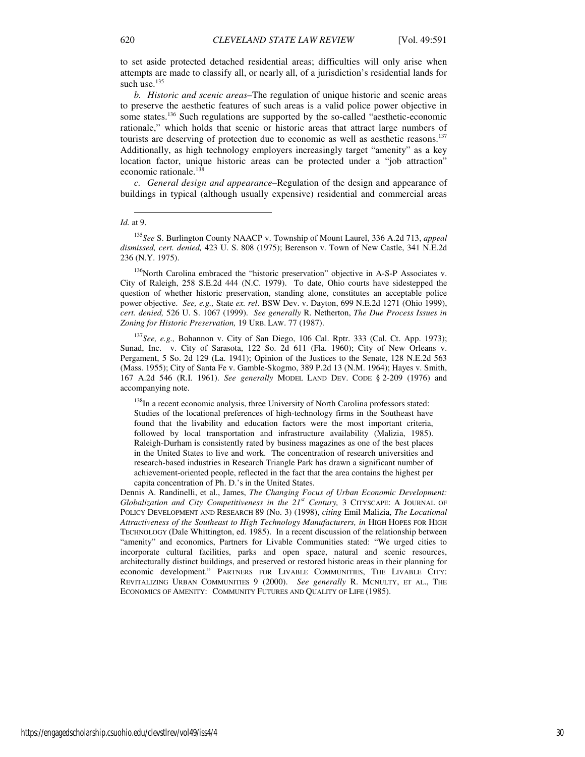to set aside protected detached residential areas; difficulties will only arise when attempts are made to classify all, or nearly all, of a jurisdiction's residential lands for such use. $135$ 

*b. Historic and scenic areas–*The regulation of unique historic and scenic areas to preserve the aesthetic features of such areas is a valid police power objective in some states.<sup>136</sup> Such regulations are supported by the so-called "aesthetic-economic rationale," which holds that scenic or historic areas that attract large numbers of tourists are deserving of protection due to economic as well as aesthetic reasons.<sup>137</sup> Additionally, as high technology employers increasingly target "amenity" as a key location factor, unique historic areas can be protected under a "job attraction" economic rationale.<sup>138</sup>

*c. General design and appearance–*Regulation of the design and appearance of buildings in typical (although usually expensive) residential and commercial areas

<sup>136</sup>North Carolina embraced the "historic preservation" objective in A-S-P Associates v. City of Raleigh, 258 S.E.2d 444 (N.C. 1979). To date, Ohio courts have sidestepped the question of whether historic preservation, standing alone, constitutes an acceptable police power objective. *See, e.g.,* State *ex. rel*. BSW Dev. v. Dayton, 699 N.E.2d 1271 (Ohio 1999), *cert. denied,* 526 U. S. 1067 (1999). *See generally* R. Netherton, *The Due Process Issues in Zoning for Historic Preservation,* 19 URB. LAW. 77 (1987).

<sup>137</sup>*See, e.g.,* Bohannon v. City of San Diego, 106 Cal. Rptr. 333 (Cal. Ct. App. 1973); Sunad, Inc. v. City of Sarasota, 122 So. 2d 611 (Fla. 1960); City of New Orleans v. Pergament, 5 So. 2d 129 (La. 1941); Opinion of the Justices to the Senate, 128 N.E.2d 563 (Mass. 1955); City of Santa Fe v. Gamble-Skogmo, 389 P.2d 13 (N.M. 1964); Hayes v. Smith, 167 A.2d 546 (R.I. 1961). *See generally* MODEL LAND DEV. CODE § 2-209 (1976) and accompanying note.

<sup>138</sup>In a recent economic analysis, three University of North Carolina professors stated: Studies of the locational preferences of high-technology firms in the Southeast have found that the livability and education factors were the most important criteria, followed by local transportation and infrastructure availability (Malizia, 1985). Raleigh-Durham is consistently rated by business magazines as one of the best places in the United States to live and work. The concentration of research universities and research-based industries in Research Triangle Park has drawn a significant number of achievement-oriented people, reflected in the fact that the area contains the highest per capita concentration of Ph. D.'s in the United States.

Dennis A. Randinelli, et al., James, *The Changing Focus of Urban Economic Development: Globalization and City Competitiveness in the 21st Century,* 3 CITYSCAPE: A JOURNAL OF POLICY DEVELOPMENT AND RESEARCH 89 (No. 3) (1998), *citing* Emil Malizia, *The Locational Attractiveness of the Southeast to High Technology Manufacturers, in* HIGH HOPES FOR HIGH TECHNOLOGY (Dale Whittington, ed. 1985). In a recent discussion of the relationship between "amenity" and economics, Partners for Livable Communities stated: "We urged cities to incorporate cultural facilities, parks and open space, natural and scenic resources, architecturally distinct buildings, and preserved or restored historic areas in their planning for economic development." PARTNERS FOR LIVABLE COMMUNITIES, THE LIVABLE CITY: REVITALIZING URBAN COMMUNITIES 9 (2000). *See generally* R. MCNULTY, ET AL., THE ECONOMICS OF AMENITY: COMMUNITY FUTURES AND QUALITY OF LIFE (1985).

l *Id.* at 9.

<sup>135</sup>*See* S. Burlington County NAACP v. Township of Mount Laurel, 336 A.2d 713, *appeal dismissed, cert. denied,* 423 U. S. 808 (1975); Berenson v. Town of New Castle, 341 N.E.2d 236 (N.Y. 1975).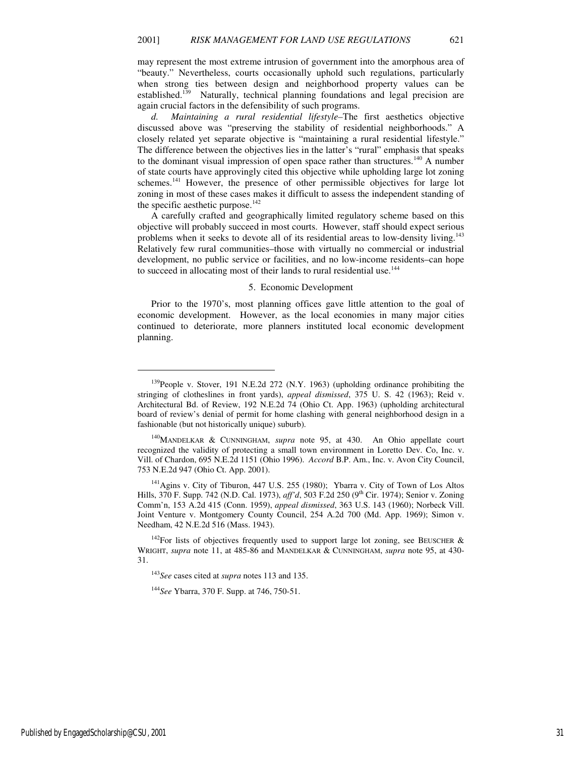may represent the most extreme intrusion of government into the amorphous area of "beauty." Nevertheless, courts occasionally uphold such regulations, particularly when strong ties between design and neighborhood property values can be established.<sup>139</sup> Naturally, technical planning foundations and legal precision are again crucial factors in the defensibility of such programs.

*d. Maintaining a rural residential lifestyle–*The first aesthetics objective discussed above was "preserving the stability of residential neighborhoods." A closely related yet separate objective is "maintaining a rural residential lifestyle." The difference between the objectives lies in the latter's "rural" emphasis that speaks to the dominant visual impression of open space rather than structures.<sup>140</sup> A number of state courts have approvingly cited this objective while upholding large lot zoning schemes.<sup>141</sup> However, the presence of other permissible objectives for large lot zoning in most of these cases makes it difficult to assess the independent standing of the specific aesthetic purpose.<sup>142</sup>

A carefully crafted and geographically limited regulatory scheme based on this objective will probably succeed in most courts. However, staff should expect serious problems when it seeks to devote all of its residential areas to low-density living.<sup>143</sup> Relatively few rural communities–those with virtually no commercial or industrial development, no public service or facilities, and no low-income residents–can hope to succeed in allocating most of their lands to rural residential use.<sup>144</sup>

#### 5. Economic Development

Prior to the 1970's, most planning offices gave little attention to the goal of economic development. However, as the local economies in many major cities continued to deteriorate, more planners instituted local economic development planning.

<sup>140</sup>MANDELKAR & CUNNINGHAM, *supra* note 95, at 430. An Ohio appellate court recognized the validity of protecting a small town environment in Loretto Dev. Co, Inc. v. Vill. of Chardon, 695 N.E.2d 1151 (Ohio 1996). *Accord* B.P. Am., Inc. v. Avon City Council, 753 N.E.2d 947 (Ohio Ct. App. 2001).

<sup>141</sup> Agins v. City of Tiburon, 447 U.S. 255 (1980); Ybarra v. City of Town of Los Altos Hills, 370 F. Supp. 742 (N.D. Cal. 1973), *aff'd*, 503 F.2d 250 (9<sup>th</sup> Cir. 1974); Senior v. Zoning Comm'n, 153 A.2d 415 (Conn. 1959), *appeal dismissed*, 363 U.S. 143 (1960); Norbeck Vill. Joint Venture v. Montgomery County Council, 254 A.2d 700 (Md. App. 1969); Simon v. Needham, 42 N.E.2d 516 (Mass. 1943).

 $142$ For lists of objectives frequently used to support large lot zoning, see BEUSCHER & WRIGHT, *supra* note 11, at 485-86 and MANDELKAR & CUNNINGHAM, *supra* note 95, at 430- 31.

<sup>143</sup>*See* cases cited at *supra* notes 113 and 135.

<sup>144</sup>*See* Ybarra, 370 F. Supp. at 746, 750-51.

Published by EngagedScholarship@CSU, 2001 31

<sup>&</sup>lt;sup>139</sup>People v. Stover, 191 N.E.2d 272 (N.Y. 1963) (upholding ordinance prohibiting the stringing of clotheslines in front yards), *appeal dismissed*, 375 U. S. 42 (1963); Reid v. Architectural Bd. of Review, 192 N.E.2d 74 (Ohio Ct. App. 1963) (upholding architectural board of review's denial of permit for home clashing with general neighborhood design in a fashionable (but not historically unique) suburb).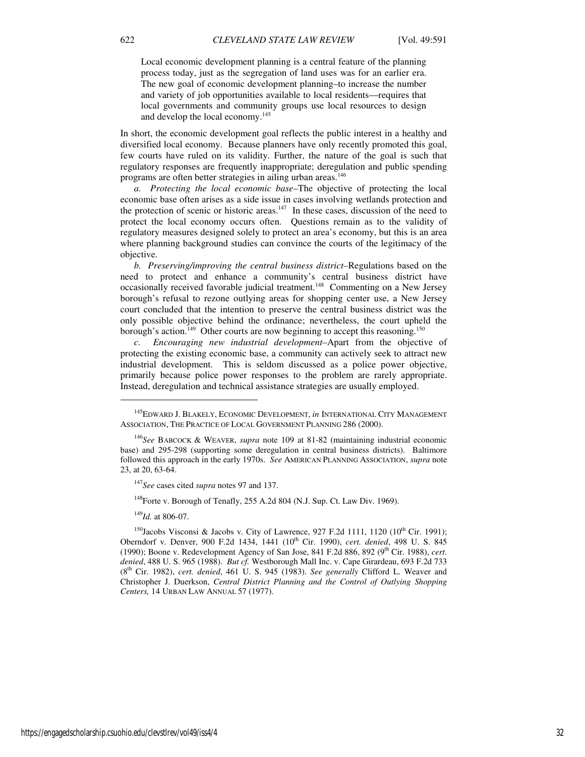Local economic development planning is a central feature of the planning process today, just as the segregation of land uses was for an earlier era. The new goal of economic development planning–to increase the number and variety of job opportunities available to local residents—requires that local governments and community groups use local resources to design and develop the local economy.<sup>145</sup>

In short, the economic development goal reflects the public interest in a healthy and diversified local economy. Because planners have only recently promoted this goal, few courts have ruled on its validity. Further, the nature of the goal is such that regulatory responses are frequently inappropriate; deregulation and public spending programs are often better strategies in ailing urban areas.<sup>146</sup>

*a. Protecting the local economic base–*The objective of protecting the local economic base often arises as a side issue in cases involving wetlands protection and the protection of scenic or historic areas. $147$  In these cases, discussion of the need to protect the local economy occurs often. Questions remain as to the validity of regulatory measures designed solely to protect an area's economy, but this is an area where planning background studies can convince the courts of the legitimacy of the objective.

*b. Preserving/improving the central business district–*Regulations based on the need to protect and enhance a community's central business district have occasionally received favorable judicial treatment.<sup>148</sup> Commenting on a New Jersey borough's refusal to rezone outlying areas for shopping center use, a New Jersey court concluded that the intention to preserve the central business district was the only possible objective behind the ordinance; nevertheless, the court upheld the borough's action.<sup>149</sup> Other courts are now beginning to accept this reasoning.<sup>150</sup>

*c. Encouraging new industrial development–*Apart from the objective of protecting the existing economic base, a community can actively seek to attract new industrial development. This is seldom discussed as a police power objective, primarily because police power responses to the problem are rarely appropriate. Instead, deregulation and technical assistance strategies are usually employed.

<sup>149</sup>*Id.* at 806-07.

1

<sup>145</sup>EDWARD J. BLAKELY, ECONOMIC DEVELOPMENT, *in* INTERNATIONAL CITY MANAGEMENT ASSOCIATION, THE PRACTICE OF LOCAL GOVERNMENT PLANNING 286 (2000).

<sup>146</sup>*See* BABCOCK & WEAVER, *supra* note 109 at 81-82 (maintaining industrial economic base) and 295-298 (supporting some deregulation in central business districts). Baltimore followed this approach in the early 1970s. *See* AMERICAN PLANNING ASSOCIATION, *supra* note 23, at 20, 63-64.

<sup>147</sup>*See* cases cited *supra* notes 97 and 137.

<sup>&</sup>lt;sup>148</sup>Forte v. Borough of Tenafly, 255 A.2d 804 (N.J. Sup. Ct. Law Div. 1969).

<sup>&</sup>lt;sup>150</sup>Jacobs Visconsi & Jacobs v. City of Lawrence, 927 F.2d 1111, 1120 (10<sup>th</sup> Cir. 1991); Oberndorf v. Denver, 900 F.2d 1434, 1441 (10th Cir. 1990), *cert. denied*, 498 U. S. 845 (1990); Boone v. Redevelopment Agency of San Jose, 841 F.2d 886, 892 (9<sup>th</sup> Cir. 1988), *cert*. *denied*, 488 U. S. 965 (1988). *But cf.* Westborough Mall Inc. v. Cape Girardeau, 693 F.2d 733 (8th Cir. 1982), *cert. denied*, 461 U. S. 945 (1983). *See generally* Clifford L. Weaver and Christopher J. Duerkson, *Central District Planning and the Control of Outlying Shopping Centers,* 14 URBAN LAW ANNUAL 57 (1977).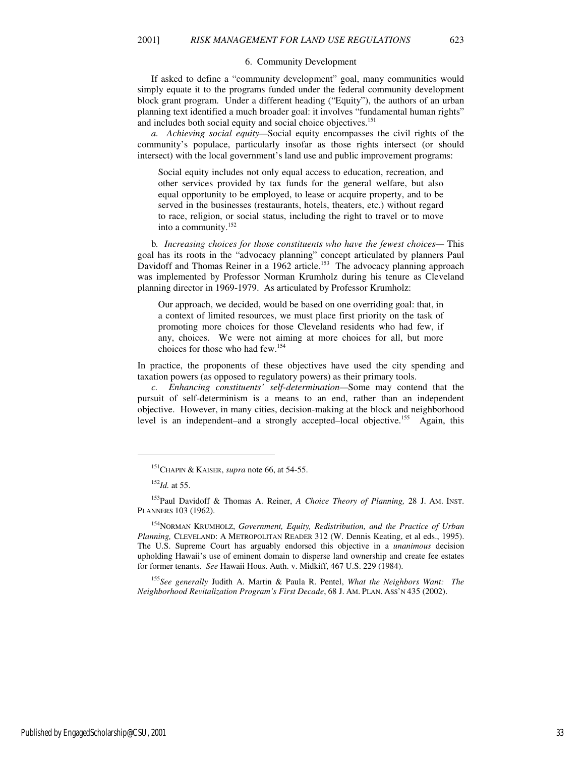#### 6. Community Development

If asked to define a "community development" goal, many communities would simply equate it to the programs funded under the federal community development block grant program. Under a different heading ("Equity"), the authors of an urban planning text identified a much broader goal: it involves "fundamental human rights" and includes both social equity and social choice objectives.<sup>151</sup>

*a. Achieving social equity—*Social equity encompasses the civil rights of the community's populace, particularly insofar as those rights intersect (or should intersect) with the local government's land use and public improvement programs:

Social equity includes not only equal access to education, recreation, and other services provided by tax funds for the general welfare, but also equal opportunity to be employed, to lease or acquire property, and to be served in the businesses (restaurants, hotels, theaters, etc.) without regard to race, religion, or social status, including the right to travel or to move into a community.<sup>152</sup>

b*. Increasing choices for those constituents who have the fewest choices—* This goal has its roots in the "advocacy planning" concept articulated by planners Paul Davidoff and Thomas Reiner in a 1962 article.<sup>153</sup> The advocacy planning approach was implemented by Professor Norman Krumholz during his tenure as Cleveland planning director in 1969-1979. As articulated by Professor Krumholz:

Our approach, we decided, would be based on one overriding goal: that, in a context of limited resources, we must place first priority on the task of promoting more choices for those Cleveland residents who had few, if any, choices. We were not aiming at more choices for all, but more choices for those who had few.<sup>154</sup>

In practice, the proponents of these objectives have used the city spending and taxation powers (as opposed to regulatory powers) as their primary tools.

*c. Enhancing constituents' self-determination—*Some may contend that the pursuit of self-determinism is a means to an end, rather than an independent objective. However, in many cities, decision-making at the block and neighborhood level is an independent–and a strongly accepted–local objective.<sup>155</sup> Again, this

<sup>152</sup>*Id.* at 55.

j

<sup>153</sup>Paul Davidoff & Thomas A. Reiner, *A Choice Theory of Planning,* 28 J. AM. INST. PLANNERS 103 (1962).

<sup>154</sup>NORMAN KRUMHOLZ, *Government, Equity, Redistribution, and the Practice of Urban Planning,* CLEVELAND: A METROPOLITAN READER 312 (W. Dennis Keating, et al eds., 1995). The U.S. Supreme Court has arguably endorsed this objective in a *unanimous* decision upholding Hawaii's use of eminent domain to disperse land ownership and create fee estates for former tenants. *See* Hawaii Hous. Auth. v. Midkiff, 467 U.S. 229 (1984).

<sup>155</sup>*See generally* Judith A. Martin & Paula R. Pentel, *What the Neighbors Want: The Neighborhood Revitalization Program's First Decade*, 68 J. AM. PLAN. ASS'N 435 (2002).

<sup>151</sup>CHAPIN & KAISER, *supra* note 66, at 54-55.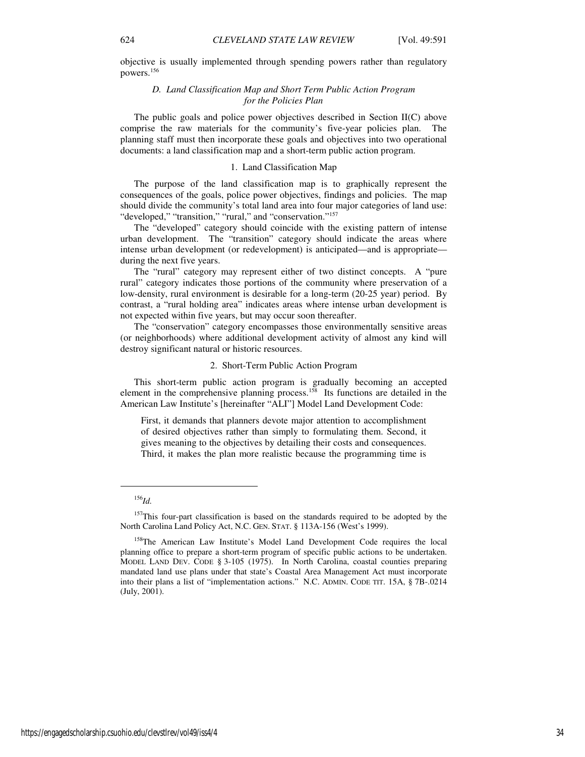# *D. Land Classification Map and Short Term Public Action Program for the Policies Plan*

The public goals and police power objectives described in Section II(C) above comprise the raw materials for the community's five-year policies plan. The planning staff must then incorporate these goals and objectives into two operational documents: a land classification map and a short-term public action program.

# 1. Land Classification Map

The purpose of the land classification map is to graphically represent the consequences of the goals, police power objectives, findings and policies. The map should divide the community's total land area into four major categories of land use: "developed," "transition," "rural," and "conservation."<sup>157</sup>

The "developed" category should coincide with the existing pattern of intense urban development. The "transition" category should indicate the areas where intense urban development (or redevelopment) is anticipated—and is appropriate during the next five years.

The "rural" category may represent either of two distinct concepts. A "pure rural" category indicates those portions of the community where preservation of a low-density, rural environment is desirable for a long-term (20-25 year) period. By contrast, a "rural holding area" indicates areas where intense urban development is not expected within five years, but may occur soon thereafter.

The "conservation" category encompasses those environmentally sensitive areas (or neighborhoods) where additional development activity of almost any kind will destroy significant natural or historic resources.

#### 2. Short-Term Public Action Program

This short-term public action program is gradually becoming an accepted element in the comprehensive planning process.<sup>158</sup> Its functions are detailed in the American Law Institute's [hereinafter "ALI"] Model Land Development Code:

First, it demands that planners devote major attention to accomplishment of desired objectives rather than simply to formulating them. Second, it gives meaning to the objectives by detailing their costs and consequences. Third, it makes the plan more realistic because the programming time is

<sup>156</sup>*Id.*

<sup>&</sup>lt;sup>157</sup>This four-part classification is based on the standards required to be adopted by the North Carolina Land Policy Act, N.C. GEN. STAT. § 113A-156 (West's 1999).

<sup>&</sup>lt;sup>158</sup>The American Law Institute's Model Land Development Code requires the local planning office to prepare a short-term program of specific public actions to be undertaken. MODEL LAND DEV. CODE § 3-105 (1975). In North Carolina, coastal counties preparing mandated land use plans under that state's Coastal Area Management Act must incorporate into their plans a list of "implementation actions." N.C. ADMIN. CODE TIT. 15A, § 7B-.0214 (July, 2001).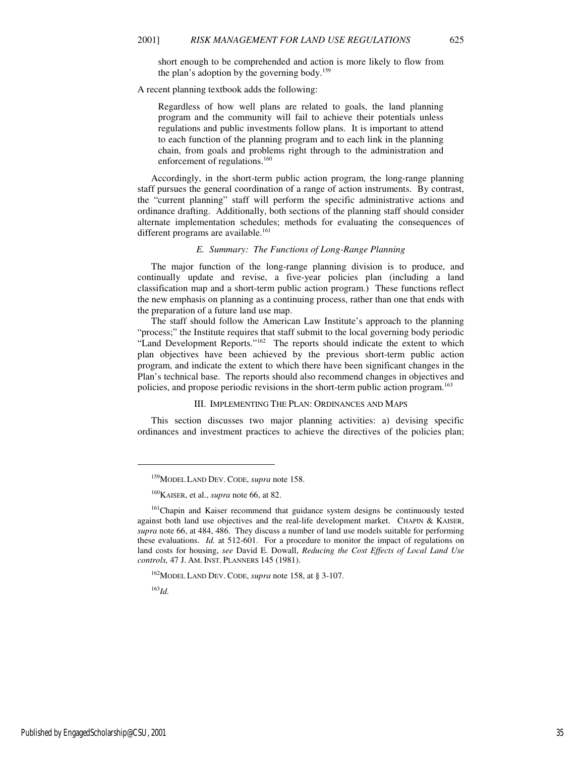short enough to be comprehended and action is more likely to flow from the plan's adoption by the governing body.<sup>159</sup>

A recent planning textbook adds the following:

Regardless of how well plans are related to goals, the land planning program and the community will fail to achieve their potentials unless regulations and public investments follow plans. It is important to attend to each function of the planning program and to each link in the planning chain, from goals and problems right through to the administration and enforcement of regulations.<sup>160</sup>

Accordingly, in the short-term public action program, the long-range planning staff pursues the general coordination of a range of action instruments. By contrast, the "current planning" staff will perform the specific administrative actions and ordinance drafting. Additionally, both sections of the planning staff should consider alternate implementation schedules; methods for evaluating the consequences of different programs are available. $161$ 

### *E. Summary: The Functions of Long-Range Planning*

The major function of the long-range planning division is to produce, and continually update and revise, a five-year policies plan (including a land classification map and a short-term public action program.) These functions reflect the new emphasis on planning as a continuing process, rather than one that ends with the preparation of a future land use map.

The staff should follow the American Law Institute's approach to the planning "process;" the Institute requires that staff submit to the local governing body periodic "Land Development Reports."<sup>162</sup> The reports should indicate the extent to which plan objectives have been achieved by the previous short-term public action program, and indicate the extent to which there have been significant changes in the Plan's technical base. The reports should also recommend changes in objectives and policies, and propose periodic revisions in the short-term public action program.<sup>163</sup>

#### III. IMPLEMENTING THE PLAN: ORDINANCES AND MAPS

This section discusses two major planning activities: a) devising specific ordinances and investment practices to achieve the directives of the policies plan;

<sup>163</sup>*Id.*

 $\overline{a}$ 

<sup>159</sup>MODEL LAND DEV. CODE, *supra* note 158.

<sup>160</sup>KAISER, et al., *supra* note 66, at 82.

<sup>&</sup>lt;sup>161</sup>Chapin and Kaiser recommend that guidance system designs be continuously tested against both land use objectives and the real-life development market. CHAPIN & KAISER, *supra* note 66, at 484, 486. They discuss a number of land use models suitable for performing these evaluations. *Id.* at 512-601. For a procedure to monitor the impact of regulations on land costs for housing, *see* David E. Dowall, *Reducing the Cost Effects of Local Land Use controls,* 47 J. AM. INST. PLANNERS 145 (1981).

<sup>162</sup>MODEL LAND DEV. CODE, *supra* note 158, at § 3-107.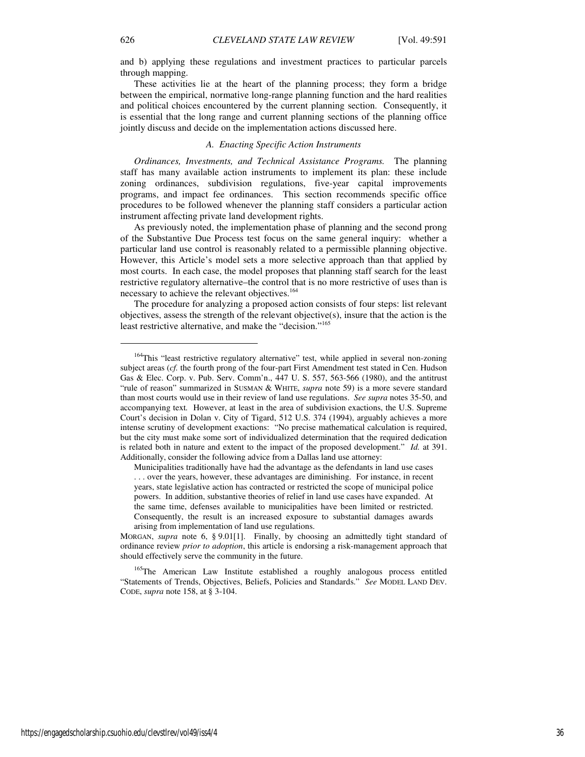and b) applying these regulations and investment practices to particular parcels through mapping.

These activities lie at the heart of the planning process; they form a bridge between the empirical, normative long-range planning function and the hard realities and political choices encountered by the current planning section. Consequently, it is essential that the long range and current planning sections of the planning office jointly discuss and decide on the implementation actions discussed here.

#### *A. Enacting Specific Action Instruments*

*Ordinances, Investments, and Technical Assistance Programs.* The planning staff has many available action instruments to implement its plan: these include zoning ordinances, subdivision regulations, five-year capital improvements programs, and impact fee ordinances. This section recommends specific office procedures to be followed whenever the planning staff considers a particular action instrument affecting private land development rights.

As previously noted, the implementation phase of planning and the second prong of the Substantive Due Process test focus on the same general inquiry: whether a particular land use control is reasonably related to a permissible planning objective. However, this Article's model sets a more selective approach than that applied by most courts. In each case, the model proposes that planning staff search for the least restrictive regulatory alternative–the control that is no more restrictive of uses than is necessary to achieve the relevant objectives.<sup>164</sup>

The procedure for analyzing a proposed action consists of four steps: list relevant objectives, assess the strength of the relevant objective(s), insure that the action is the least restrictive alternative, and make the "decision."<sup>165</sup>

<sup>&</sup>lt;sup>164</sup>This "least restrictive regulatory alternative" test, while applied in several non-zoning subject areas (*cf.* the fourth prong of the four-part First Amendment test stated in Cen. Hudson Gas & Elec. Corp. v. Pub. Serv. Comm'n., 447 U. S. 557, 563-566 (1980), and the antitrust "rule of reason" summarized in SUSMAN & WHITE, *supra* note 59) is a more severe standard than most courts would use in their review of land use regulations. *See supra* notes 35-50, and accompanying text*.* However, at least in the area of subdivision exactions, the U.S. Supreme Court's decision in Dolan v. City of Tigard, 512 U.S. 374 (1994), arguably achieves a more intense scrutiny of development exactions: "No precise mathematical calculation is required, but the city must make some sort of individualized determination that the required dedication is related both in nature and extent to the impact of the proposed development." *Id.* at 391. Additionally, consider the following advice from a Dallas land use attorney:

Municipalities traditionally have had the advantage as the defendants in land use cases . . . over the years, however, these advantages are diminishing. For instance, in recent years, state legislative action has contracted or restricted the scope of municipal police powers. In addition, substantive theories of relief in land use cases have expanded. At the same time, defenses available to municipalities have been limited or restricted. Consequently, the result is an increased exposure to substantial damages awards arising from implementation of land use regulations.

MORGAN, *supra* note 6, § 9.01[1]. Finally, by choosing an admittedly tight standard of ordinance review *prior to adoption*, this article is endorsing a risk-management approach that should effectively serve the community in the future.

<sup>&</sup>lt;sup>165</sup>The American Law Institute established a roughly analogous process entitled "Statements of Trends, Objectives, Beliefs, Policies and Standards." *See* MODEL LAND DEV. CODE, *supra* note 158, at § 3-104.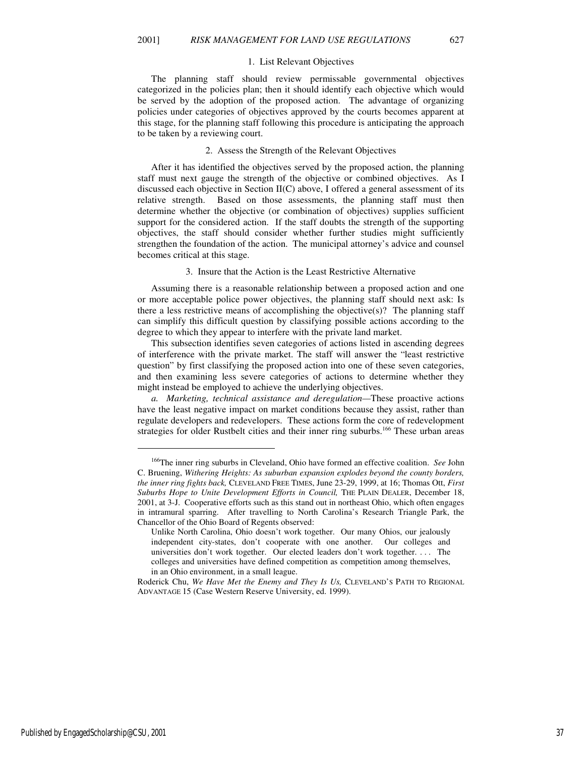#### 1. List Relevant Objectives

The planning staff should review permissable governmental objectives categorized in the policies plan; then it should identify each objective which would be served by the adoption of the proposed action. The advantage of organizing policies under categories of objectives approved by the courts becomes apparent at this stage, for the planning staff following this procedure is anticipating the approach to be taken by a reviewing court.

#### 2. Assess the Strength of the Relevant Objectives

After it has identified the objectives served by the proposed action, the planning staff must next gauge the strength of the objective or combined objectives. As I discussed each objective in Section II(C) above, I offered a general assessment of its relative strength. Based on those assessments, the planning staff must then determine whether the objective (or combination of objectives) supplies sufficient support for the considered action. If the staff doubts the strength of the supporting objectives, the staff should consider whether further studies might sufficiently strengthen the foundation of the action. The municipal attorney's advice and counsel becomes critical at this stage.

#### 3. Insure that the Action is the Least Restrictive Alternative

Assuming there is a reasonable relationship between a proposed action and one or more acceptable police power objectives, the planning staff should next ask: Is there a less restrictive means of accomplishing the objective(s)? The planning staff can simplify this difficult question by classifying possible actions according to the degree to which they appear to interfere with the private land market.

This subsection identifies seven categories of actions listed in ascending degrees of interference with the private market. The staff will answer the "least restrictive question" by first classifying the proposed action into one of these seven categories, and then examining less severe categories of actions to determine whether they might instead be employed to achieve the underlying objectives.

*a. Marketing, technical assistance and deregulation—*These proactive actions have the least negative impact on market conditions because they assist, rather than regulate developers and redevelopers. These actions form the core of redevelopment strategies for older Rustbelt cities and their inner ring suburbs.<sup>166</sup> These urban areas

Published by EngagedScholarship@CSU, 2001 37

<sup>166</sup>The inner ring suburbs in Cleveland, Ohio have formed an effective coalition. *See* John C. Bruening, *Withering Heights: As suburban expansion explodes beyond the county borders, the inner ring fights back,* CLEVELAND FREE TIMES, June 23-29, 1999, at 16; Thomas Ott, *First Suburbs Hope to Unite Development Efforts in Council,* THE PLAIN DEALER, December 18, 2001, at 3-J. Cooperative efforts such as this stand out in northeast Ohio, which often engages in intramural sparring. After travelling to North Carolina's Research Triangle Park, the Chancellor of the Ohio Board of Regents observed:

Unlike North Carolina, Ohio doesn't work together. Our many Ohios, our jealously independent city-states, don't cooperate with one another. Our colleges and universities don't work together. Our elected leaders don't work together. . . . The colleges and universities have defined competition as competition among themselves, in an Ohio environment, in a small league.

Roderick Chu, *We Have Met the Enemy and They Is Us,* CLEVELAND'S PATH TO REGIONAL ADVANTAGE 15 (Case Western Reserve University, ed. 1999).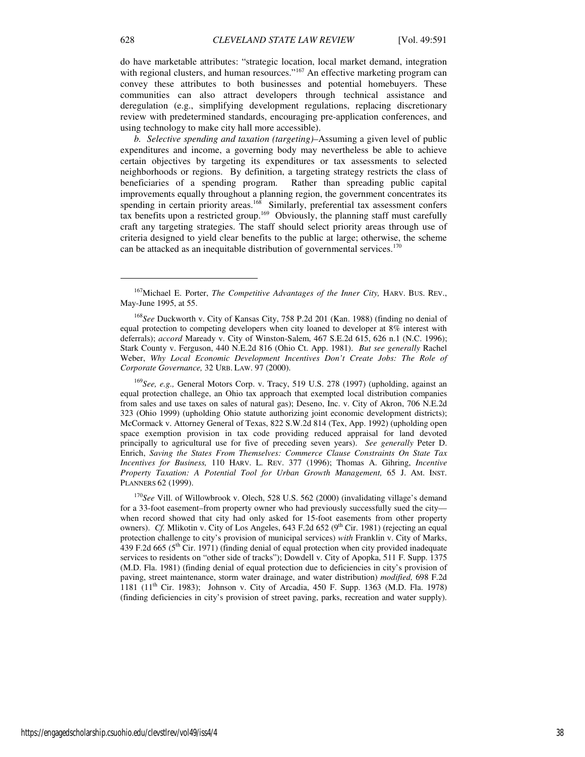do have marketable attributes: "strategic location, local market demand, integration with regional clusters, and human resources."<sup>167</sup> An effective marketing program can convey these attributes to both businesses and potential homebuyers. These communities can also attract developers through technical assistance and deregulation (e.g., simplifying development regulations, replacing discretionary review with predetermined standards, encouraging pre-application conferences, and using technology to make city hall more accessible).

*b. Selective spending and taxation (targeting)–*Assuming a given level of public expenditures and income, a governing body may nevertheless be able to achieve certain objectives by targeting its expenditures or tax assessments to selected neighborhoods or regions. By definition, a targeting strategy restricts the class of beneficiaries of a spending program. Rather than spreading public capital improvements equally throughout a planning region, the government concentrates its spending in certain priority areas.<sup>168</sup> Similarly, preferential tax assessment confers  $\frac{1}{x}$  tax benefits upon a restricted group.<sup>169</sup> Obviously, the planning staff must carefully craft any targeting strategies. The staff should select priority areas through use of criteria designed to yield clear benefits to the public at large; otherwise, the scheme can be attacked as an inequitable distribution of governmental services.<sup>170</sup>

<sup>169</sup>*See, e.g.,* General Motors Corp. v. Tracy, 519 U.S. 278 (1997) (upholding, against an equal protection challege, an Ohio tax approach that exempted local distribution companies from sales and use taxes on sales of natural gas); Deseno, Inc. v. City of Akron, 706 N.E.2d 323 (Ohio 1999) (upholding Ohio statute authorizing joint economic development districts); McCormack v. Attorney General of Texas, 822 S.W.2d 814 (Tex, App. 1992) (upholding open space exemption provision in tax code providing reduced appraisal for land devoted principally to agricultural use for five of preceding seven years). *See generally* Peter D. Enrich, *Saving the States From Themselves: Commerce Clause Constraints On State Tax Incentives for Business,* 110 HARV. L. REV. 377 (1996); Thomas A. Gihring, *Incentive Property Taxation: A Potential Tool for Urban Growth Management,* 65 J. AM. INST. PLANNERS 62 (1999).

<sup>170</sup>See Vill. of Willowbrook v. Olech, 528 U.S. 562 (2000) (invalidating village's demand for a 33-foot easement–from property owner who had previously successfully sued the city when record showed that city had only asked for 15-foot easements from other property owners). *Cf.* Mlikotin v. City of Los Angeles, 643 F.2d 652 (9<sup>th</sup> Cir. 1981) (rejecting an equal protection challenge to city's provision of municipal services) *with* Franklin v. City of Marks, 439 F.2d 665 (5th Cir. 1971) (finding denial of equal protection when city provided inadequate services to residents on "other side of tracks"); Dowdell v. City of Apopka, 511 F. Supp. 1375 (M.D. Fla. 1981) (finding denial of equal protection due to deficiencies in city's provision of paving, street maintenance, storm water drainage, and water distribution) *modified,* 698 F.2d 1181 (11th Cir. 1983); Johnson v. City of Arcadia, 450 F. Supp. 1363 (M.D. Fla. 1978) (finding deficiencies in city's provision of street paving, parks, recreation and water supply).

 $\overline{a}$ 

<sup>&</sup>lt;sup>167</sup>Michael E. Porter, *The Competitive Advantages of the Inner City*, HARV. BUS. REV., May-June 1995, at 55.

<sup>168</sup>*See* Duckworth v. City of Kansas City, 758 P.2d 201 (Kan. 1988) (finding no denial of equal protection to competing developers when city loaned to developer at 8% interest with deferrals); *accord* Maready v. City of Winston-Salem, 467 S.E.2d 615, 626 n.1 (N.C. 1996); Stark County v. Ferguson, 440 N.E.2d 816 (Ohio Ct. App. 1981). *But see generally* Rachel Weber, *Why Local Economic Development Incentives Don't Create Jobs: The Role of Corporate Governance,* 32 URB. LAW. 97 (2000).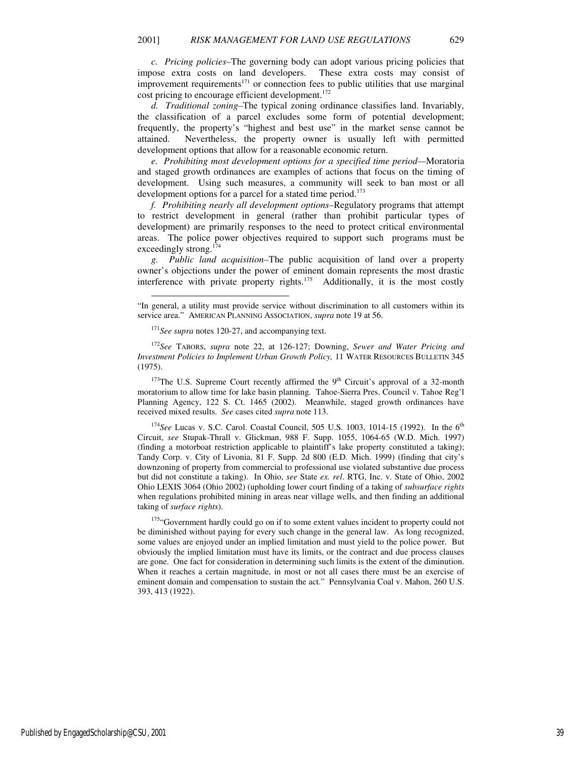*c. Pricing policies–*The governing body can adopt various pricing policies that impose extra costs on land developers. These extra costs may consist of improvement requirements<sup>171</sup> or connection fees to public utilities that use marginal cost pricing to encourage efficient development.<sup>172</sup>

*d. Traditional zoning–*The typical zoning ordinance classifies land. Invariably, the classification of a parcel excludes some form of potential development; frequently, the property's "highest and best use" in the market sense cannot be attained. Nevertheless, the property owner is usually left with permitted development options that allow for a reasonable economic return.

*e. Prohibiting most development options for a specified time period—*Moratoria and staged growth ordinances are examples of actions that focus on the timing of development. Using such measures, a community will seek to ban most or all development options for a parcel for a stated time period.<sup>173</sup>

*f. Prohibiting nearly all development options–*Regulatory programs that attempt to restrict development in general (rather than prohibit particular types of development) are primarily responses to the need to protect critical environmental areas. The police power objectives required to support such programs must be exceedingly strong.<sup>174</sup>

*g. Public land acquisition–*The public acquisition of land over a property owner's objections under the power of eminent domain represents the most drastic interference with private property rights. $175$  Additionally, it is the most costly

-

 $173$ The U.S. Supreme Court recently affirmed the  $9<sup>th</sup>$  Circuit's approval of a 32-month moratorium to allow time for lake basin planning. Tahoe-Sierra Pres. Council v. Tahoe Reg'l Planning Agency, 122 S. Ct. 1465 (2002). Meanwhile, staged growth ordinances have received mixed results. *See* cases cited *supra* note 113.

<sup>174</sup>*See* Lucas v. S.C. Carol. Coastal Council, 505 U.S. 1003, 1014-15 (1992). In the 6<sup>th</sup> Circuit, *see* Stupak-Thrall v. Glickman, 988 F. Supp. 1055, 1064-65 (W.D. Mich. 1997) (finding a motorboat restriction applicable to plaintiff's lake property constituted a taking); Tandy Corp. v. City of Livonia, 81 F. Supp. 2d 800 (E.D. Mich. 1999) (finding that city's downzoning of property from commercial to professional use violated substantive due process but did not constitute a taking). In Ohio, *see* State *ex. rel*. RTG, Inc. v. State of Ohio, 2002 Ohio LEXIS 3064 (Ohio 2002) (upholding lower court finding of a taking of *subsurface rights*  when regulations prohibited mining in areas near village wells, and then finding an additional taking of *surface rights*).

<sup>175</sup>"Government hardly could go on if to some extent values incident to property could not be diminished without paying for every such change in the general law. As long recognized, some values are enjoyed under an implied limitation and must yield to the police power. But obviously the implied limitation must have its limits, or the contract and due process clauses are gone. One fact for consideration in determining such limits is the extent of the diminution. When it reaches a certain magnitude, in most or not all cases there must be an exercise of eminent domain and compensation to sustain the act." Pennsylvania Coal v. Mahon, 260 U.S. 393, 413 (1922).

<sup>&</sup>quot;In general, a utility must provide service without discrimination to all customers within its service area." AMERICAN PLANNING ASSOCIATION, *supra* note 19 at 56.

<sup>&</sup>lt;sup>171</sup>See supra notes 120-27, and accompanying text.

<sup>172</sup>*See* TABORS, *supra* note 22, at 126-127; Downing, *Sewer and Water Pricing and Investment Policies to Implement Urban Growth Policy,* 11 WATER RESOURCES BULLETIN 345 (1975).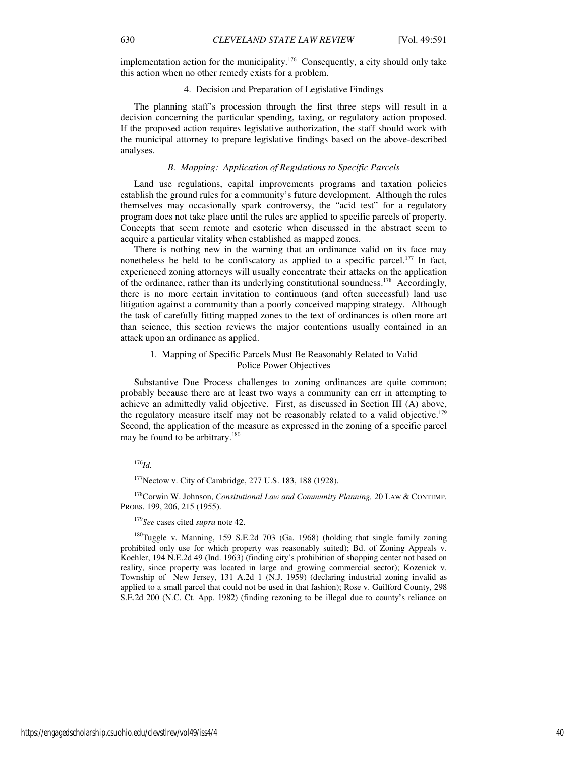implementation action for the municipality.<sup>176</sup> Consequently, a city should only take this action when no other remedy exists for a problem.

# 4. Decision and Preparation of Legislative Findings

The planning staff's procession through the first three steps will result in a decision concerning the particular spending, taxing, or regulatory action proposed. If the proposed action requires legislative authorization, the staff should work with the municipal attorney to prepare legislative findings based on the above-described analyses.

# *B. Mapping: Application of Regulations to Specific Parcels*

Land use regulations, capital improvements programs and taxation policies establish the ground rules for a community's future development. Although the rules themselves may occasionally spark controversy, the "acid test" for a regulatory program does not take place until the rules are applied to specific parcels of property. Concepts that seem remote and esoteric when discussed in the abstract seem to acquire a particular vitality when established as mapped zones.

There is nothing new in the warning that an ordinance valid on its face may nonetheless be held to be confiscatory as applied to a specific parcel.<sup>177</sup> In fact, experienced zoning attorneys will usually concentrate their attacks on the application of the ordinance, rather than its underlying constitutional soundness.<sup>178</sup> Accordingly, there is no more certain invitation to continuous (and often successful) land use litigation against a community than a poorly conceived mapping strategy. Although the task of carefully fitting mapped zones to the text of ordinances is often more art than science, this section reviews the major contentions usually contained in an attack upon an ordinance as applied.

# 1. Mapping of Specific Parcels Must Be Reasonably Related to Valid Police Power Objectives

Substantive Due Process challenges to zoning ordinances are quite common; probably because there are at least two ways a community can err in attempting to achieve an admittedly valid objective. First, as discussed in Section III (A) above, the regulatory measure itself may not be reasonably related to a valid objective.<sup>179</sup> Second, the application of the measure as expressed in the zoning of a specific parcel may be found to be arbitrary.<sup>180</sup>

 $\overline{a}$ 

<sup>178</sup>Corwin W. Johnson, *Consitutional Law and Community Planning,* 20 LAW & CONTEMP. PROBS. 199, 206, 215 (1955).

 $180$ Tuggle v. Manning, 159 S.E.2d 703 (Ga. 1968) (holding that single family zoning prohibited only use for which property was reasonably suited); Bd. of Zoning Appeals v. Koehler, 194 N.E.2d 49 (Ind. 1963) (finding city's prohibition of shopping center not based on reality, since property was located in large and growing commercial sector); Kozenick v. Township of New Jersey, 131 A.2d 1 (N.J. 1959) (declaring industrial zoning invalid as applied to a small parcel that could not be used in that fashion); Rose v. Guilford County, 298 S.E.2d 200 (N.C. Ct. App. 1982) (finding rezoning to be illegal due to county's reliance on

<sup>176</sup>*Id.*

<sup>&</sup>lt;sup>177</sup>Nectow v. City of Cambridge, 277 U.S. 183, 188 (1928).

<sup>179</sup>*See* cases cited *supra* note 42.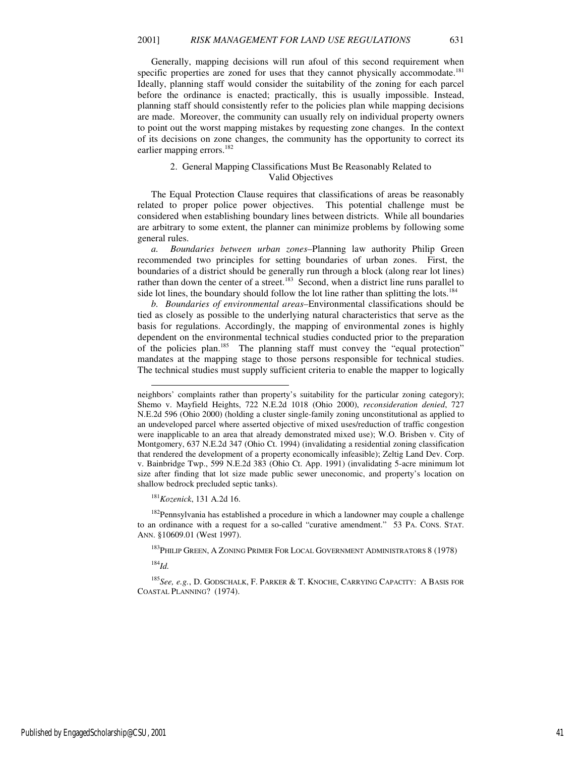Generally, mapping decisions will run afoul of this second requirement when specific properties are zoned for uses that they cannot physically accommodate.<sup>181</sup> Ideally, planning staff would consider the suitability of the zoning for each parcel before the ordinance is enacted; practically, this is usually impossible. Instead, planning staff should consistently refer to the policies plan while mapping decisions are made. Moreover, the community can usually rely on individual property owners to point out the worst mapping mistakes by requesting zone changes. In the context of its decisions on zone changes, the community has the opportunity to correct its earlier mapping errors.<sup>182</sup>

# 2. General Mapping Classifications Must Be Reasonably Related to Valid Objectives

The Equal Protection Clause requires that classifications of areas be reasonably related to proper police power objectives. This potential challenge must be considered when establishing boundary lines between districts. While all boundaries are arbitrary to some extent, the planner can minimize problems by following some general rules.

*a. Boundaries between urban zones–*Planning law authority Philip Green recommended two principles for setting boundaries of urban zones. First, the boundaries of a district should be generally run through a block (along rear lot lines) rather than down the center of a street.<sup>183</sup> Second, when a district line runs parallel to side lot lines, the boundary should follow the lot line rather than splitting the lots.<sup>184</sup>

*b. Boundaries of environmental areas–*Environmental classifications should be tied as closely as possible to the underlying natural characteristics that serve as the basis for regulations. Accordingly, the mapping of environmental zones is highly dependent on the environmental technical studies conducted prior to the preparation of the policies plan.<sup>185</sup> The planning staff must convey the "equal protection" mandates at the mapping stage to those persons responsible for technical studies. The technical studies must supply sufficient criteria to enable the mapper to logically

<sup>181</sup>*Kozenick*, 131 A.2d 16.

<sup>182</sup>Pennsylvania has established a procedure in which a landowner may couple a challenge to an ordinance with a request for a so-called "curative amendment." 53 PA. CONS. STAT. ANN. §10609.01 (West 1997).

<sup>183</sup>PHILIP GREEN, A ZONING PRIMER FOR LOCAL GOVERNMENT ADMINISTRATORS 8 (1978)

l

<sup>185</sup>*See, e.g.*, D. GODSCHALK, F. PARKER & T. KNOCHE, CARRYING CAPACITY: A BASIS FOR COASTAL PLANNING? (1974).

Published by EngagedScholarship@CSU, 2001 41

neighbors' complaints rather than property's suitability for the particular zoning category); Shemo v. Mayfield Heights, 722 N.E.2d 1018 (Ohio 2000), *reconsideration denied*, 727 N.E.2d 596 (Ohio 2000) (holding a cluster single-family zoning unconstitutional as applied to an undeveloped parcel where asserted objective of mixed uses/reduction of traffic congestion were inapplicable to an area that already demonstrated mixed use); W.O. Brisben v. City of Montgomery, 637 N.E.2d 347 (Ohio Ct. 1994) (invalidating a residential zoning classification that rendered the development of a property economically infeasible); Zeltig Land Dev. Corp. v. Bainbridge Twp., 599 N.E.2d 383 (Ohio Ct. App. 1991) (invalidating 5-acre minimum lot size after finding that lot size made public sewer uneconomic, and property's location on shallow bedrock precluded septic tanks).

<sup>184</sup>*Id.*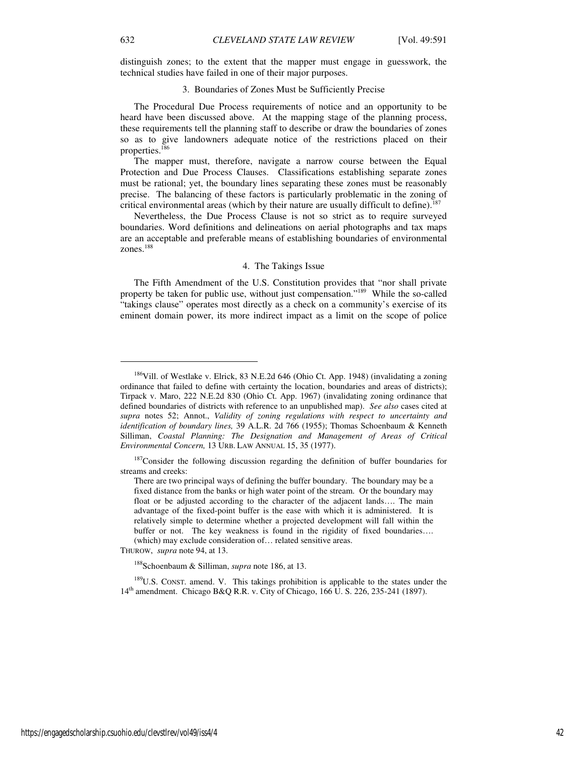distinguish zones; to the extent that the mapper must engage in guesswork, the technical studies have failed in one of their major purposes.

### 3. Boundaries of Zones Must be Sufficiently Precise

The Procedural Due Process requirements of notice and an opportunity to be heard have been discussed above. At the mapping stage of the planning process, these requirements tell the planning staff to describe or draw the boundaries of zones so as to give landowners adequate notice of the restrictions placed on their properties.<sup>186</sup>

The mapper must, therefore, navigate a narrow course between the Equal Protection and Due Process Clauses. Classifications establishing separate zones must be rational; yet, the boundary lines separating these zones must be reasonably precise. The balancing of these factors is particularly problematic in the zoning of critical environmental areas (which by their nature are usually difficult to define).<sup>187</sup>

Nevertheless, the Due Process Clause is not so strict as to require surveyed boundaries. Word definitions and delineations on aerial photographs and tax maps are an acceptable and preferable means of establishing boundaries of environmental zones.<sup>188</sup>

### 4. The Takings Issue

The Fifth Amendment of the U.S. Constitution provides that "nor shall private property be taken for public use, without just compensation."<sup>189</sup> While the so-called "takings clause" operates most directly as a check on a community's exercise of its eminent domain power, its more indirect impact as a limit on the scope of police

THUROW, *supra* note 94, at 13.

<sup>188</sup>Schoenbaum & Silliman, *supra* note 186, at 13.

<sup>189</sup>U.S. CONST. amend. V. This takings prohibition is applicable to the states under the 14th amendment. Chicago B&Q R.R. v. City of Chicago, 166 U. S. 226, 235-241 (1897).

<sup>&</sup>lt;sup>186</sup>Vill. of Westlake v. Elrick, 83 N.E.2d 646 (Ohio Ct. App. 1948) (invalidating a zoning ordinance that failed to define with certainty the location, boundaries and areas of districts); Tirpack v. Maro, 222 N.E.2d 830 (Ohio Ct. App. 1967) (invalidating zoning ordinance that defined boundaries of districts with reference to an unpublished map). *See also* cases cited at *supra* notes 52; Annot., *Validity of zoning regulations with respect to uncertainty and identification of boundary lines,* 39 A.L.R. 2d 766 (1955); Thomas Schoenbaum & Kenneth Silliman, *Coastal Planning: The Designation and Management of Areas of Critical Environmental Concern,* 13 URB. LAW ANNUAL 15, 35 (1977).

<sup>&</sup>lt;sup>187</sup>Consider the following discussion regarding the definition of buffer boundaries for streams and creeks:

There are two principal ways of defining the buffer boundary. The boundary may be a fixed distance from the banks or high water point of the stream. Or the boundary may float or be adjusted according to the character of the adjacent lands…. The main advantage of the fixed-point buffer is the ease with which it is administered. It is relatively simple to determine whether a projected development will fall within the buffer or not. The key weakness is found in the rigidity of fixed boundaries…. (which) may exclude consideration of… related sensitive areas.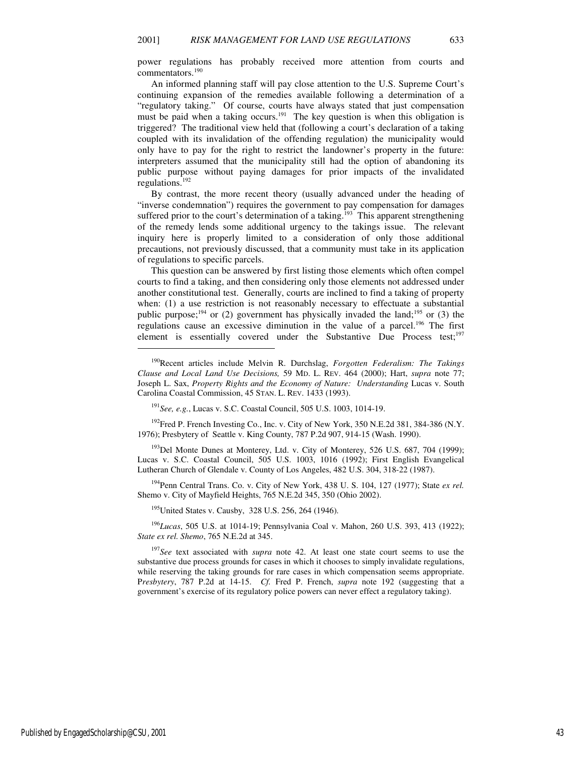power regulations has probably received more attention from courts and commentators.<sup>190</sup>

An informed planning staff will pay close attention to the U.S. Supreme Court's continuing expansion of the remedies available following a determination of a "regulatory taking." Of course, courts have always stated that just compensation must be paid when a taking occurs.<sup>191</sup> The key question is when this obligation is triggered? The traditional view held that (following a court's declaration of a taking coupled with its invalidation of the offending regulation) the municipality would only have to pay for the right to restrict the landowner's property in the future: interpreters assumed that the municipality still had the option of abandoning its public purpose without paying damages for prior impacts of the invalidated regulations.<sup>192</sup>

By contrast, the more recent theory (usually advanced under the heading of "inverse condemnation") requires the government to pay compensation for damages suffered prior to the court's determination of a taking.<sup>193</sup> This apparent strengthening of the remedy lends some additional urgency to the takings issue. The relevant inquiry here is properly limited to a consideration of only those additional precautions, not previously discussed, that a community must take in its application of regulations to specific parcels.

This question can be answered by first listing those elements which often compel courts to find a taking, and then considering only those elements not addressed under another constitutional test. Generally, courts are inclined to find a taking of property when: (1) a use restriction is not reasonably necessary to effectuate a substantial public purpose;<sup>194</sup> or (2) government has physically invaded the land;<sup>195</sup> or (3) the regulations cause an excessive diminution in the value of a parcel.<sup>196</sup> The first element is essentially covered under the Substantive Due Process test;<sup>197</sup>

<sup>192</sup>Fred P. French Investing Co., Inc. v. City of New York, 350 N.E.2d 381, 384-386 (N.Y. 1976); Presbytery of Seattle v. King County, 787 P.2d 907, 914-15 (Wash. 1990).

<sup>193</sup>Del Monte Dunes at Monterey, Ltd. v. City of Monterey, 526 U.S. 687, 704 (1999); Lucas v. S.C. Coastal Council, 505 U.S. 1003, 1016 (1992); First English Evangelical Lutheran Church of Glendale v. County of Los Angeles, 482 U.S. 304, 318-22 (1987).

<sup>194</sup>Penn Central Trans. Co. v. City of New York, 438 U. S. 104, 127 (1977); State *ex rel.* Shemo v. City of Mayfield Heights, 765 N.E.2d 345, 350 (Ohio 2002).

<sup>195</sup>United States v. Causby, 328 U.S. 256, 264 (1946).

<sup>196</sup>*Lucas*, 505 U.S. at 1014-19; Pennsylvania Coal v. Mahon, 260 U.S. 393, 413 (1922); *State ex rel. Shemo*, 765 N.E.2d at 345.

<sup>197</sup>*See* text associated with *supra* note 42. At least one state court seems to use the substantive due process grounds for cases in which it chooses to simply invalidate regulations, while reserving the taking grounds for rare cases in which compensation seems appropriate. P*resbytery*, 787 P.2d at 14-15. *Cf.* Fred P. French, *supra* note 192 (suggesting that a government's exercise of its regulatory police powers can never effect a regulatory taking).

 $\overline{a}$ 

<sup>190</sup>Recent articles include Melvin R. Durchslag, *Forgotten Federalism: The Takings Clause and Local Land Use Decisions,* 59 MD. L. REV. 464 (2000); Hart, *supra* note 77; Joseph L. Sax, *Property Rights and the Economy of Nature: Understanding* Lucas v. South Carolina Coastal Commission, 45 STAN. L. REV. 1433 (1993).

<sup>191</sup>*See, e.g.*, Lucas v. S.C. Coastal Council, 505 U.S. 1003, 1014-19.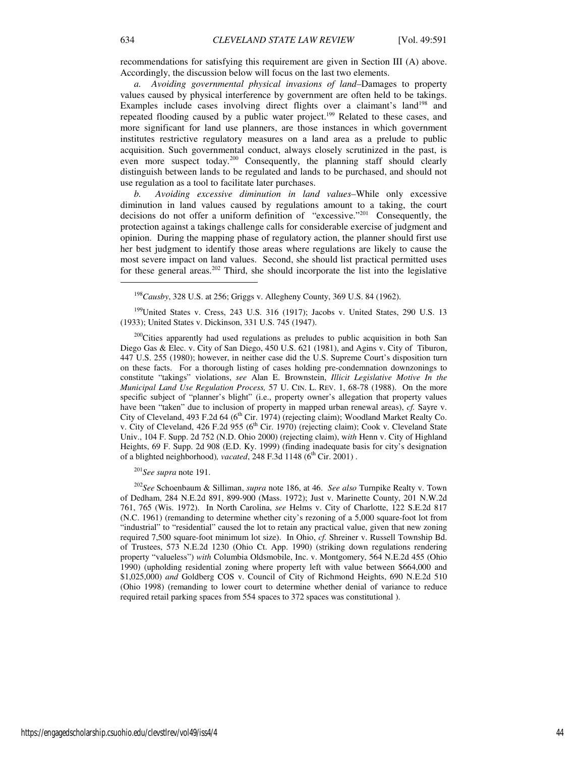recommendations for satisfying this requirement are given in Section III (A) above. Accordingly, the discussion below will focus on the last two elements.

*a. Avoiding governmental physical invasions of land–*Damages to property values caused by physical interference by government are often held to be takings. Examples include cases involving direct flights over a claimant's land<sup>198</sup> and repeated flooding caused by a public water project.<sup>199</sup> Related to these cases, and more significant for land use planners, are those instances in which government institutes restrictive regulatory measures on a land area as a prelude to public acquisition. Such governmental conduct, always closely scrutinized in the past, is even more suspect today.<sup>200</sup> Consequently, the planning staff should clearly distinguish between lands to be regulated and lands to be purchased, and should not use regulation as a tool to facilitate later purchases.

*b. Avoiding excessive diminution in land values–*While only excessive diminution in land values caused by regulations amount to a taking, the court decisions do not offer a uniform definition of "excessive."<sup>201</sup> Consequently, the protection against a takings challenge calls for considerable exercise of judgment and opinion. During the mapping phase of regulatory action, the planner should first use her best judgment to identify those areas where regulations are likely to cause the most severe impact on land values. Second, she should list practical permitted uses for these general areas.<sup>202</sup> Third, she should incorporate the list into the legislative

<sup>198</sup>*Causby*, 328 U.S. at 256; Griggs v. Allegheny County, 369 U.S. 84 (1962).

<sup>199</sup>United States v. Cress, 243 U.S. 316 (1917); Jacobs v. United States, 290 U.S. 13 (1933); United States v. Dickinson, 331 U.S. 745 (1947).

<sup>200</sup>Cities apparently had used regulations as preludes to public acquisition in both San Diego Gas & Elec. v. City of San Diego, 450 U.S. 621 (1981), and Agins v. City of Tiburon, 447 U.S. 255 (1980); however, in neither case did the U.S. Supreme Court's disposition turn on these facts. For a thorough listing of cases holding pre-condemnation downzonings to constitute "takings" violations, *see* Alan E. Brownstein, *Illicit Legislative Motive In the Municipal Land Use Regulation Process,* 57 U. CIN. L. REV. 1, 68-78 (1988). On the more specific subject of "planner's blight" (i.e., property owner's allegation that property values have been "taken" due to inclusion of property in mapped urban renewal areas), *cf.* Sayre v. City of Cleveland, 493 F.2d 64 (6<sup>th</sup> Cir. 1974) (rejecting claim); Woodland Market Realty Co. v. City of Cleveland, 426 F.2d 955 (6<sup>th</sup> Cir. 1970) (rejecting claim); Cook v. Cleveland State Univ., 104 F. Supp. 2d 752 (N.D. Ohio 2000) (rejecting claim), w*ith* Henn v. City of Highland Heights, 69 F. Supp. 2d 908 (E.D. Ky. 1999) (finding inadequate basis for city's designation of a blighted neighborhood), vacated, 248 F.3d 1148 (6<sup>th</sup> Cir. 2001).

<sup>201</sup>*See supra* note 191.

<sup>202</sup>*See* Schoenbaum & Silliman, *supra* note 186, at 46. *See also* Turnpike Realty v. Town of Dedham, 284 N.E.2d 891, 899-900 (Mass. 1972); Just v. Marinette County, 201 N.W.2d 761, 765 (Wis. 1972). In North Carolina, *see* Helms v. City of Charlotte, 122 S.E.2d 817 (N.C. 1961) (remanding to determine whether city's rezoning of a 5,000 square-foot lot from "industrial" to "residential" caused the lot to retain any practical value, given that new zoning required 7,500 square-foot minimum lot size). In Ohio, *cf.* Shreiner v. Russell Township Bd. of Trustees, 573 N.E.2d 1230 (Ohio Ct. App. 1990) (striking down regulations rendering property "valueless") *with* Columbia Oldsmobile, Inc. v. Montgomery, 564 N.E.2d 455 (Ohio 1990) (upholding residential zoning where property left with value between \$664,000 and \$1,025,000) *and* Goldberg COS v. Council of City of Richmond Heights, 690 N.E.2d 510 (Ohio 1998) (remanding to lower court to determine whether denial of variance to reduce required retail parking spaces from 554 spaces to 372 spaces was constitutional ).

1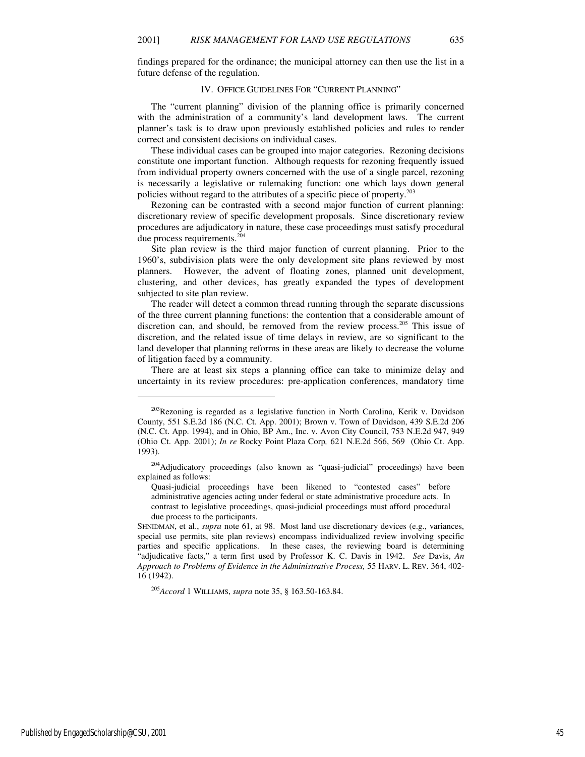findings prepared for the ordinance; the municipal attorney can then use the list in a future defense of the regulation.

# IV. OFFICE GUIDELINES FOR "CURRENT PLANNING"

The "current planning" division of the planning office is primarily concerned with the administration of a community's land development laws. The current planner's task is to draw upon previously established policies and rules to render correct and consistent decisions on individual cases.

These individual cases can be grouped into major categories. Rezoning decisions constitute one important function. Although requests for rezoning frequently issued from individual property owners concerned with the use of a single parcel, rezoning is necessarily a legislative or rulemaking function: one which lays down general policies without regard to the attributes of a specific piece of property.<sup>203</sup>

Rezoning can be contrasted with a second major function of current planning: discretionary review of specific development proposals. Since discretionary review procedures are adjudicatory in nature, these case proceedings must satisfy procedural due process requirements.<sup>204</sup>

Site plan review is the third major function of current planning. Prior to the 1960's, subdivision plats were the only development site plans reviewed by most planners. However, the advent of floating zones, planned unit development, clustering, and other devices, has greatly expanded the types of development subjected to site plan review.

The reader will detect a common thread running through the separate discussions of the three current planning functions: the contention that a considerable amount of discretion can, and should, be removed from the review process.<sup>205</sup> This issue of discretion, and the related issue of time delays in review, are so significant to the land developer that planning reforms in these areas are likely to decrease the volume of litigation faced by a community.

There are at least six steps a planning office can take to minimize delay and uncertainty in its review procedures: pre-application conferences, mandatory time

<sup>205</sup>*Accord* 1 WILLIAMS, *supra* note 35, § 163.50-163.84.

 $\overline{a}$ 

<sup>&</sup>lt;sup>203</sup>Rezoning is regarded as a legislative function in North Carolina, Kerik v. Davidson County, 551 S.E.2d 186 (N.C. Ct. App. 2001); Brown v. Town of Davidson, 439 S.E.2d 206 (N.C. Ct. App. 1994), and in Ohio, BP Am., Inc. v. Avon City Council, 753 N.E.2d 947, 949 (Ohio Ct. App. 2001); *In re* Rocky Point Plaza Corp*,* 621 N.E.2d 566, 569 (Ohio Ct. App. 1993).

<sup>204</sup>Adjudicatory proceedings (also known as "quasi-judicial" proceedings) have been explained as follows:

Quasi-judicial proceedings have been likened to "contested cases" before administrative agencies acting under federal or state administrative procedure acts. In contrast to legislative proceedings, quasi-judicial proceedings must afford procedural due process to the participants.

SHNIDMAN, et al., *supra* note 61, at 98. Most land use discretionary devices (e.g., variances, special use permits, site plan reviews) encompass individualized review involving specific parties and specific applications. In these cases, the reviewing board is determining "adjudicative facts," a term first used by Professor K. C. Davis in 1942. *See* Davis, *An Approach to Problems of Evidence in the Administrative Process,* 55 HARV. L. REV. 364, 402- 16 (1942).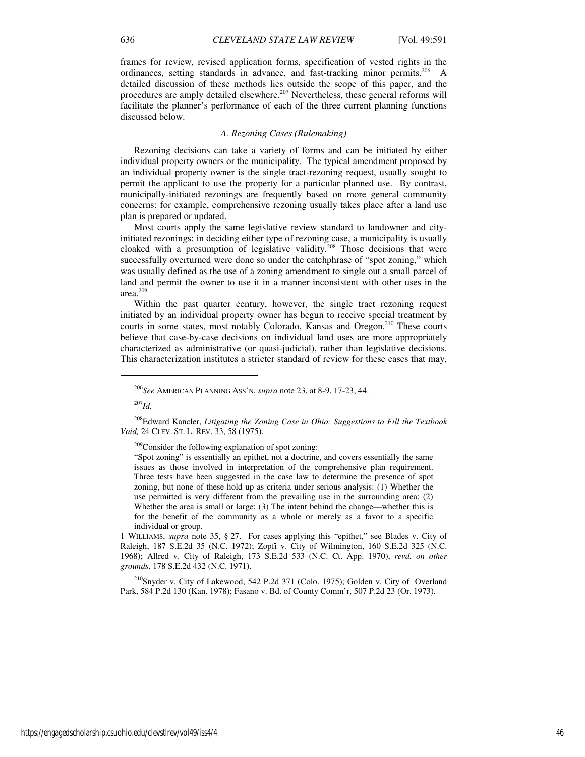frames for review, revised application forms, specification of vested rights in the ordinances, setting standards in advance, and fast-tracking minor permits.<sup>206</sup> A detailed discussion of these methods lies outside the scope of this paper, and the procedures are amply detailed elsewhere.<sup>207</sup> Nevertheless, these general reforms will facilitate the planner's performance of each of the three current planning functions discussed below.

# *A. Rezoning Cases (Rulemaking)*

Rezoning decisions can take a variety of forms and can be initiated by either individual property owners or the municipality. The typical amendment proposed by an individual property owner is the single tract-rezoning request, usually sought to permit the applicant to use the property for a particular planned use. By contrast, municipally-initiated rezonings are frequently based on more general community concerns: for example, comprehensive rezoning usually takes place after a land use plan is prepared or updated.

Most courts apply the same legislative review standard to landowner and cityinitiated rezonings: in deciding either type of rezoning case, a municipality is usually cloaked with a presumption of legislative validity.<sup>208</sup> Those decisions that were successfully overturned were done so under the catchphrase of "spot zoning," which was usually defined as the use of a zoning amendment to single out a small parcel of land and permit the owner to use it in a manner inconsistent with other uses in the area.<sup>209</sup>

Within the past quarter century, however, the single tract rezoning request initiated by an individual property owner has begun to receive special treatment by courts in some states, most notably Colorado, Kansas and Oregon.<sup>210</sup> These courts believe that case-by-case decisions on individual land uses are more appropriately characterized as administrative (or quasi-judicial), rather than legislative decisions. This characterization institutes a stricter standard of review for these cases that may,

<sup>207</sup>*Id.*

j

<sup>209</sup>Consider the following explanation of spot zoning:

"Spot zoning" is essentially an epithet, not a doctrine, and covers essentially the same issues as those involved in interpretation of the comprehensive plan requirement. Three tests have been suggested in the case law to determine the presence of spot zoning, but none of these hold up as criteria under serious analysis: (1) Whether the use permitted is very different from the prevailing use in the surrounding area; (2) Whether the area is small or large; (3) The intent behind the change—whether this is for the benefit of the community as a whole or merely as a favor to a specific individual or group.

1 WILLIAMS, *supra* note 35, § 27. For cases applying this "epithet," see Blades v. City of Raleigh, 187 S.E.2d 35 (N.C. 1972); Zopfi v. City of Wilmington, 160 S.E.2d 325 (N.C. 1968); Allred v. City of Raleigh, 173 S.E.2d 533 (N.C. Ct. App. 1970), *revd. on other grounds,* 178 S.E.2d 432 (N.C. 1971).

<sup>210</sup>Snyder v. City of Lakewood, 542 P.2d 371 (Colo. 1975); Golden v. City of Overland Park, 584 P.2d 130 (Kan. 1978); Fasano v. Bd. of County Comm'r, 507 P.2d 23 (Or. 1973).

<sup>206</sup>*See* AMERICAN PLANNING ASS'N, *supra* note 23, at 8-9, 17-23, 44.

<sup>208</sup>Edward Kancler, *Litigating the Zoning Case in Ohio: Suggestions to Fill the Textbook Void,* 24 CLEV. ST. L. REV. 33, 58 (1975).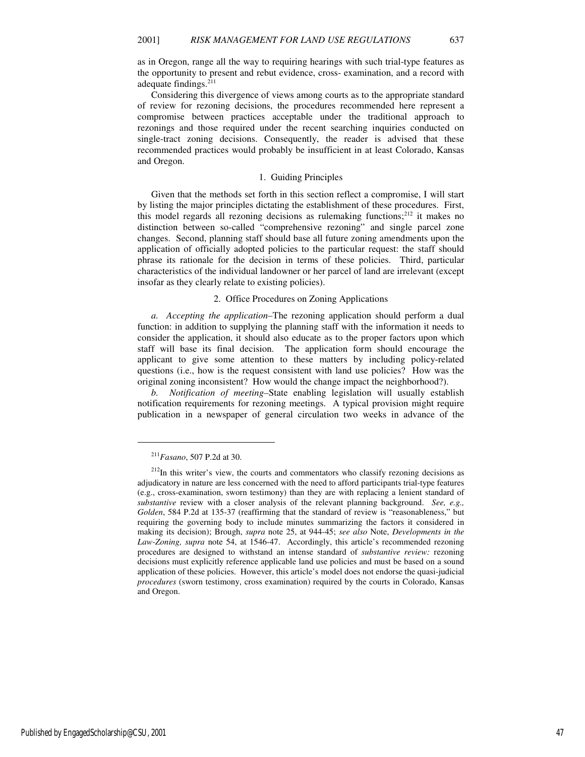as in Oregon, range all the way to requiring hearings with such trial-type features as the opportunity to present and rebut evidence, cross- examination, and a record with adequate findings.<sup>211</sup>

Considering this divergence of views among courts as to the appropriate standard of review for rezoning decisions, the procedures recommended here represent a compromise between practices acceptable under the traditional approach to rezonings and those required under the recent searching inquiries conducted on single-tract zoning decisions. Consequently, the reader is advised that these recommended practices would probably be insufficient in at least Colorado, Kansas and Oregon.

#### 1. Guiding Principles

Given that the methods set forth in this section reflect a compromise, I will start by listing the major principles dictating the establishment of these procedures. First, this model regards all rezoning decisions as rulemaking functions; $^{212}$  it makes no distinction between so-called "comprehensive rezoning" and single parcel zone changes. Second, planning staff should base all future zoning amendments upon the application of officially adopted policies to the particular request: the staff should phrase its rationale for the decision in terms of these policies. Third, particular characteristics of the individual landowner or her parcel of land are irrelevant (except insofar as they clearly relate to existing policies).

# 2. Office Procedures on Zoning Applications

*a. Accepting the application–*The rezoning application should perform a dual function: in addition to supplying the planning staff with the information it needs to consider the application, it should also educate as to the proper factors upon which staff will base its final decision. The application form should encourage the applicant to give some attention to these matters by including policy-related questions (i.e., how is the request consistent with land use policies? How was the original zoning inconsistent? How would the change impact the neighborhood?).

*b. Notification of meeting–*State enabling legislation will usually establish notification requirements for rezoning meetings. A typical provision might require publication in a newspaper of general circulation two weeks in advance of the

<sup>211</sup>*Fasano*, 507 P.2d at 30.

 $2^{12}$ In this writer's view, the courts and commentators who classify rezoning decisions as adjudicatory in nature are less concerned with the need to afford participants trial-type features (e.g., cross-examination, sworn testimony) than they are with replacing a lenient standard of *substantive* review with a closer analysis of the relevant planning background. *See, e.g., Golden*, 584 P.2d at 135-37 (reaffirming that the standard of review is "reasonableness," but requiring the governing body to include minutes summarizing the factors it considered in making its decision); Brough, *supra* note 25, at 944-45; *see also* Note, *Developments in the Law-Zoning, supra* note 54, at 1546-47. Accordingly, this article's recommended rezoning procedures are designed to withstand an intense standard of *substantive review:* rezoning decisions must explicitly reference applicable land use policies and must be based on a sound application of these policies. However, this article's model does not endorse the quasi-judicial *procedures* (sworn testimony, cross examination) required by the courts in Colorado, Kansas and Oregon.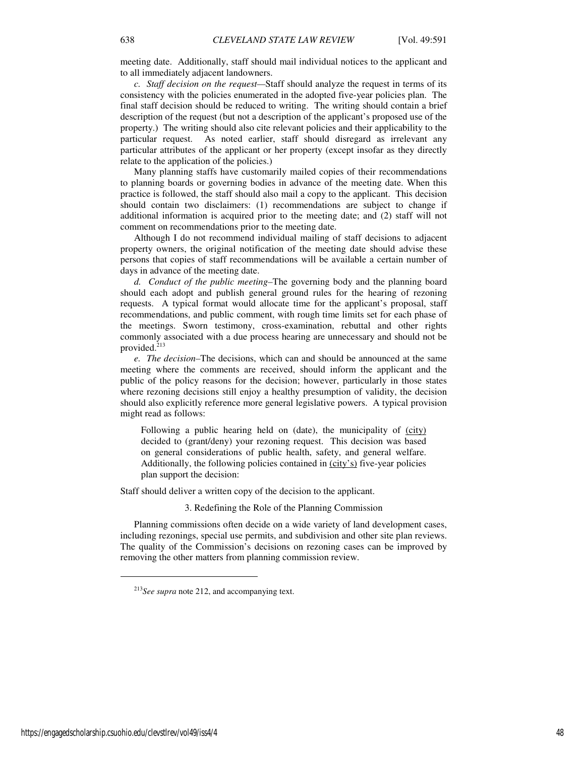meeting date. Additionally, staff should mail individual notices to the applicant and to all immediately adjacent landowners.

*c. Staff decision on the request—*Staff should analyze the request in terms of its consistency with the policies enumerated in the adopted five-year policies plan. The final staff decision should be reduced to writing. The writing should contain a brief description of the request (but not a description of the applicant's proposed use of the property.) The writing should also cite relevant policies and their applicability to the particular request. As noted earlier, staff should disregard as irrelevant any particular attributes of the applicant or her property (except insofar as they directly relate to the application of the policies.)

Many planning staffs have customarily mailed copies of their recommendations to planning boards or governing bodies in advance of the meeting date. When this practice is followed, the staff should also mail a copy to the applicant. This decision should contain two disclaimers: (1) recommendations are subject to change if additional information is acquired prior to the meeting date; and (2) staff will not comment on recommendations prior to the meeting date.

Although I do not recommend individual mailing of staff decisions to adjacent property owners, the original notification of the meeting date should advise these persons that copies of staff recommendations will be available a certain number of days in advance of the meeting date.

*d. Conduct of the public meeting–*The governing body and the planning board should each adopt and publish general ground rules for the hearing of rezoning requests. A typical format would allocate time for the applicant's proposal, staff recommendations, and public comment, with rough time limits set for each phase of the meetings. Sworn testimony, cross-examination, rebuttal and other rights commonly associated with a due process hearing are unnecessary and should not be provided.<sup>213</sup>

*e. The decision–*The decisions, which can and should be announced at the same meeting where the comments are received, should inform the applicant and the public of the policy reasons for the decision; however, particularly in those states where rezoning decisions still enjoy a healthy presumption of validity, the decision should also explicitly reference more general legislative powers. A typical provision might read as follows:

Following a public hearing held on (date), the municipality of (city) decided to (grant/deny) your rezoning request. This decision was based on general considerations of public health, safety, and general welfare. Additionally, the following policies contained in (city's) five-year policies plan support the decision:

Staff should deliver a written copy of the decision to the applicant.

3. Redefining the Role of the Planning Commission

Planning commissions often decide on a wide variety of land development cases, including rezonings, special use permits, and subdivision and other site plan reviews. The quality of the Commission's decisions on rezoning cases can be improved by removing the other matters from planning commission review.

<sup>213</sup>*See supra* note 212, and accompanying text.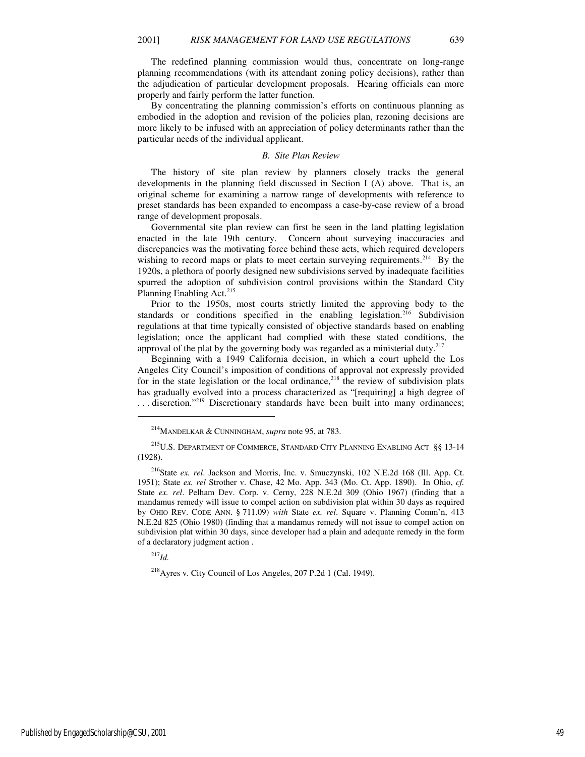The redefined planning commission would thus, concentrate on long-range planning recommendations (with its attendant zoning policy decisions), rather than the adjudication of particular development proposals. Hearing officials can more properly and fairly perform the latter function.

By concentrating the planning commission's efforts on continuous planning as embodied in the adoption and revision of the policies plan, rezoning decisions are more likely to be infused with an appreciation of policy determinants rather than the particular needs of the individual applicant.

#### *B. Site Plan Review*

The history of site plan review by planners closely tracks the general developments in the planning field discussed in Section I (A) above. That is, an original scheme for examining a narrow range of developments with reference to preset standards has been expanded to encompass a case-by-case review of a broad range of development proposals.

Governmental site plan review can first be seen in the land platting legislation enacted in the late 19th century. Concern about surveying inaccuracies and discrepancies was the motivating force behind these acts, which required developers wishing to record maps or plats to meet certain surveying requirements.<sup>214</sup> By the 1920s, a plethora of poorly designed new subdivisions served by inadequate facilities spurred the adoption of subdivision control provisions within the Standard City Planning Enabling Act.<sup>215</sup>

Prior to the 1950s, most courts strictly limited the approving body to the standards or conditions specified in the enabling legislation.<sup>216</sup> Subdivision regulations at that time typically consisted of objective standards based on enabling legislation; once the applicant had complied with these stated conditions, the approval of the plat by the governing body was regarded as a ministerial duty.<sup>217</sup>

Beginning with a 1949 California decision, in which a court upheld the Los Angeles City Council's imposition of conditions of approval not expressly provided for in the state legislation or the local ordinance,<sup>218</sup> the review of subdivision plats has gradually evolved into a process characterized as "[requiring] a high degree of ... discretion."<sup>219</sup> Discretionary standards have been built into many ordinances;

<sup>217</sup>*Id.*

 $\overline{a}$ 

<sup>218</sup>Ayres v. City Council of Los Angeles, 207 P.2d 1 (Cal. 1949).

<sup>214</sup>MANDELKAR & CUNNINGHAM, *supra* note 95, at 783.

 $^{215} \text{U.S.}$  DEPARTMENT OF COMMERCE, STANDARD CITY PLANNING ENABLING ACT §§ 13-14 (1928).

<sup>216</sup>State *ex. rel*. Jackson and Morris, Inc. v. Smuczynski, 102 N.E.2d 168 (Ill. App. Ct. 1951); State *ex. rel* Strother v. Chase, 42 Mo. App. 343 (Mo. Ct. App. 1890). In Ohio, *cf.*  State *ex. rel*. Pelham Dev. Corp. v. Cerny, 228 N.E.2d 309 (Ohio 1967) (finding that a mandamus remedy will issue to compel action on subdivision plat within 30 days as required by OHIO REV. CODE ANN. § 711.09) *with* State *ex. rel*. Square v. Planning Comm'n, 413 N.E.2d 825 (Ohio 1980) (finding that a mandamus remedy will not issue to compel action on subdivision plat within 30 days, since developer had a plain and adequate remedy in the form of a declaratory judgment action .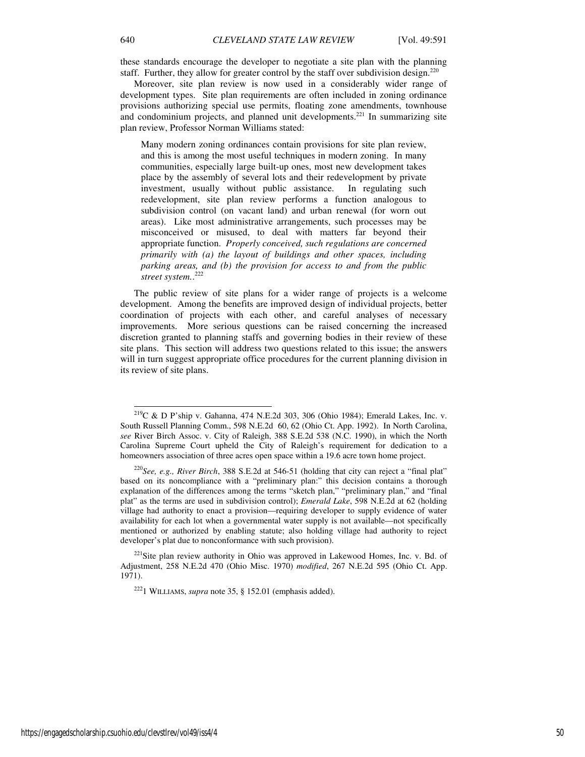these standards encourage the developer to negotiate a site plan with the planning staff. Further, they allow for greater control by the staff over subdivision design.<sup>220</sup>

Moreover, site plan review is now used in a considerably wider range of development types. Site plan requirements are often included in zoning ordinance provisions authorizing special use permits, floating zone amendments, townhouse and condominium projects, and planned unit developments.<sup>221</sup> In summarizing site plan review, Professor Norman Williams stated:

Many modern zoning ordinances contain provisions for site plan review, and this is among the most useful techniques in modern zoning. In many communities, especially large built-up ones, most new development takes place by the assembly of several lots and their redevelopment by private investment, usually without public assistance. In regulating such redevelopment, site plan review performs a function analogous to subdivision control (on vacant land) and urban renewal (for worn out areas). Like most administrative arrangements, such processes may be misconceived or misused, to deal with matters far beyond their appropriate function. *Properly conceived, such regulations are concerned primarily with (a) the layout of buildings and other spaces, including parking areas, and (b) the provision for access to and from the public street system.*. 222

The public review of site plans for a wider range of projects is a welcome development. Among the benefits are improved design of individual projects, better coordination of projects with each other, and careful analyses of necessary improvements. More serious questions can be raised concerning the increased discretion granted to planning staffs and governing bodies in their review of these site plans. This section will address two questions related to this issue; the answers will in turn suggest appropriate office procedures for the current planning division in its review of site plans.

<sup>221</sup>Site plan review authority in Ohio was approved in Lakewood Homes, Inc. v. Bd. of Adjustment, 258 N.E.2d 470 (Ohio Misc. 1970) *modified*, 267 N.E.2d 595 (Ohio Ct. App. 1971).

-

 $^{219}$ C & D P'ship v. Gahanna, 474 N.E.2d 303, 306 (Ohio 1984); Emerald Lakes, Inc. v. South Russell Planning Comm., 598 N.E.2d 60, 62 (Ohio Ct. App. 1992). In North Carolina, *see* River Birch Assoc. v. City of Raleigh, 388 S.E.2d 538 (N.C. 1990), in which the North Carolina Supreme Court upheld the City of Raleigh's requirement for dedication to a homeowners association of three acres open space within a 19.6 acre town home project.

<sup>&</sup>lt;sup>220</sup>*See, e.g., River Birch*, 388 S.E.2d at 546-51 (holding that city can reject a "final plat" based on its noncompliance with a "preliminary plan:" this decision contains a thorough explanation of the differences among the terms "sketch plan," "preliminary plan," and "final plat" as the terms are used in subdivision control); *Emerald Lake*, 598 N.E.2d at 62 (holding village had authority to enact a provision—requiring developer to supply evidence of water availability for each lot when a governmental water supply is not available—not specifically mentioned or authorized by enabling statute; also holding village had authority to reject developer's plat due to nonconformance with such provision).

<sup>222</sup>1 WILLIAMS, *supra* note 35, § 152.01 (emphasis added).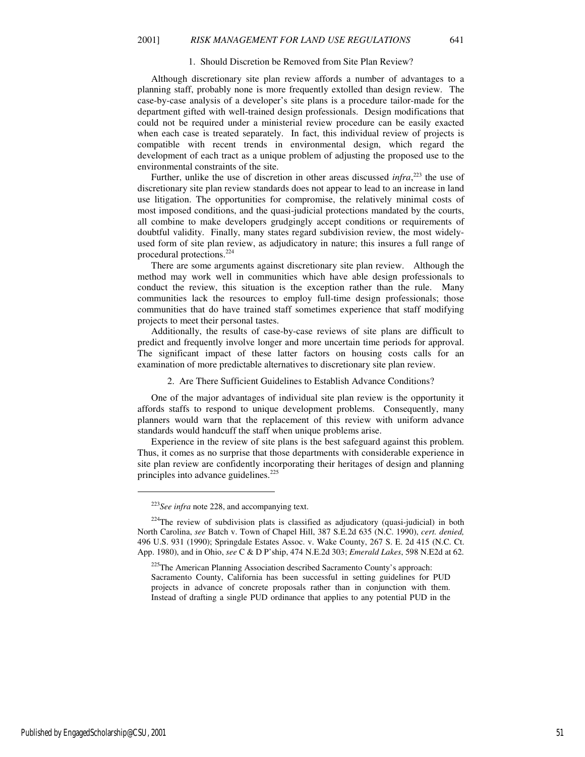#### 1. Should Discretion be Removed from Site Plan Review?

Although discretionary site plan review affords a number of advantages to a planning staff, probably none is more frequently extolled than design review. The case-by-case analysis of a developer's site plans is a procedure tailor-made for the department gifted with well-trained design professionals. Design modifications that could not be required under a ministerial review procedure can be easily exacted when each case is treated separately. In fact, this individual review of projects is compatible with recent trends in environmental design, which regard the development of each tract as a unique problem of adjusting the proposed use to the environmental constraints of the site.

Further, unlike the use of discretion in other areas discussed *infra*,<sup>223</sup> the use of discretionary site plan review standards does not appear to lead to an increase in land use litigation. The opportunities for compromise, the relatively minimal costs of most imposed conditions, and the quasi-judicial protections mandated by the courts, all combine to make developers grudgingly accept conditions or requirements of doubtful validity. Finally, many states regard subdivision review, the most widelyused form of site plan review, as adjudicatory in nature; this insures a full range of procedural protections.<sup>224</sup>

There are some arguments against discretionary site plan review. Although the method may work well in communities which have able design professionals to conduct the review, this situation is the exception rather than the rule. Many communities lack the resources to employ full-time design professionals; those communities that do have trained staff sometimes experience that staff modifying projects to meet their personal tastes.

Additionally, the results of case-by-case reviews of site plans are difficult to predict and frequently involve longer and more uncertain time periods for approval. The significant impact of these latter factors on housing costs calls for an examination of more predictable alternatives to discretionary site plan review.

# 2. Are There Sufficient Guidelines to Establish Advance Conditions?

One of the major advantages of individual site plan review is the opportunity it affords staffs to respond to unique development problems. Consequently, many planners would warn that the replacement of this review with uniform advance standards would handcuff the staff when unique problems arise.

Experience in the review of site plans is the best safeguard against this problem. Thus, it comes as no surprise that those departments with considerable experience in site plan review are confidently incorporating their heritages of design and planning principles into advance guidelines.<sup>225</sup>

<sup>223</sup>*See infra* note 228, and accompanying text.

 $224$ The review of subdivision plats is classified as adjudicatory (quasi-judicial) in both North Carolina, *see* Batch v. Town of Chapel Hill, 387 S.E.2d 635 (N.C. 1990), *cert. denied,*  496 U.S. 931 (1990); Springdale Estates Assoc. v. Wake County, 267 S. E. 2d 415 (N.C. Ct. App. 1980), and in Ohio, *see* C & D P'ship, 474 N.E.2d 303; *Emerald Lakes*, 598 N.E2d at 62.

<sup>&</sup>lt;sup>225</sup>The American Planning Association described Sacramento County's approach:

Sacramento County, California has been successful in setting guidelines for PUD projects in advance of concrete proposals rather than in conjunction with them. Instead of drafting a single PUD ordinance that applies to any potential PUD in the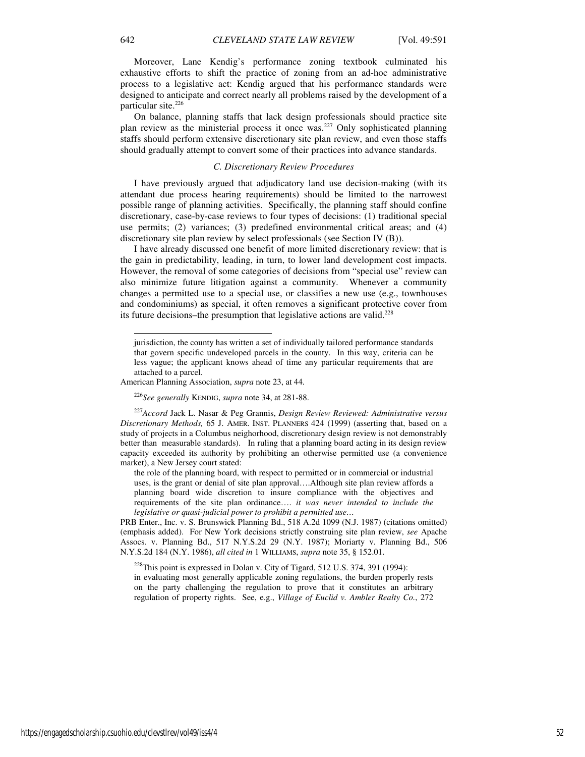Moreover, Lane Kendig's performance zoning textbook culminated his exhaustive efforts to shift the practice of zoning from an ad-hoc administrative process to a legislative act: Kendig argued that his performance standards were designed to anticipate and correct nearly all problems raised by the development of a particular site.<sup>226</sup>

On balance, planning staffs that lack design professionals should practice site plan review as the ministerial process it once was.<sup>227</sup> Only sophisticated planning staffs should perform extensive discretionary site plan review, and even those staffs should gradually attempt to convert some of their practices into advance standards.

# *C. Discretionary Review Procedures*

I have previously argued that adjudicatory land use decision-making (with its attendant due process hearing requirements) should be limited to the narrowest possible range of planning activities. Specifically, the planning staff should confine discretionary, case-by-case reviews to four types of decisions: (1) traditional special use permits; (2) variances; (3) predefined environmental critical areas; and (4) discretionary site plan review by select professionals (see Section IV (B)).

I have already discussed one benefit of more limited discretionary review: that is the gain in predictability, leading, in turn, to lower land development cost impacts. However, the removal of some categories of decisions from "special use" review can also minimize future litigation against a community. Whenever a community changes a permitted use to a special use, or classifies a new use (e.g., townhouses and condominiums) as special, it often removes a significant protective cover from its future decisions–the presumption that legislative actions are valid.<sup>228</sup>

 $228$ This point is expressed in Dolan v. City of Tigard, 512 U.S. 374, 391 (1994): in evaluating most generally applicable zoning regulations, the burden properly rests on the party challenging the regulation to prove that it constitutes an arbitrary regulation of property rights. See, e.g., *Village of Euclid v. Ambler Realty Co.*, 272

-

jurisdiction, the county has written a set of individually tailored performance standards that govern specific undeveloped parcels in the county. In this way, criteria can be less vague; the applicant knows ahead of time any particular requirements that are attached to a parcel.

American Planning Association, *supra* note 23, at 44.

<sup>226</sup>*See generally* KENDIG, *supra* note 34, at 281-88.

<sup>227</sup>*Accord* Jack L. Nasar & Peg Grannis, *Design Review Reviewed: Administrative versus Discretionary Methods,* 65 J. AMER. INST. PLANNERS 424 (1999) (asserting that, based on a study of projects in a Columbus neighorhood, discretionary design review is not demonstrably better than measurable standards). In ruling that a planning board acting in its design review capacity exceeded its authority by prohibiting an otherwise permitted use (a convenience market), a New Jersey court stated:

the role of the planning board, with respect to permitted or in commercial or industrial uses, is the grant or denial of site plan approval….Although site plan review affords a planning board wide discretion to insure compliance with the objectives and requirements of the site plan ordinance…. *it was never intended to include the legislative or quasi-judicial power to prohibit a permitted use…* 

PRB Enter., Inc. v. S. Brunswick Planning Bd., 518 A.2d 1099 (N.J. 1987) (citations omitted) (emphasis added). For New York decisions strictly construing site plan review, *see* Apache Assocs. v. Planning Bd., 517 N.Y.S.2d 29 (N.Y. 1987); Moriarty v. Planning Bd., 506 N.Y.S.2d 184 (N.Y. 1986), *all cited in* 1 WILLIAMS, *supra* note 35, § 152.01.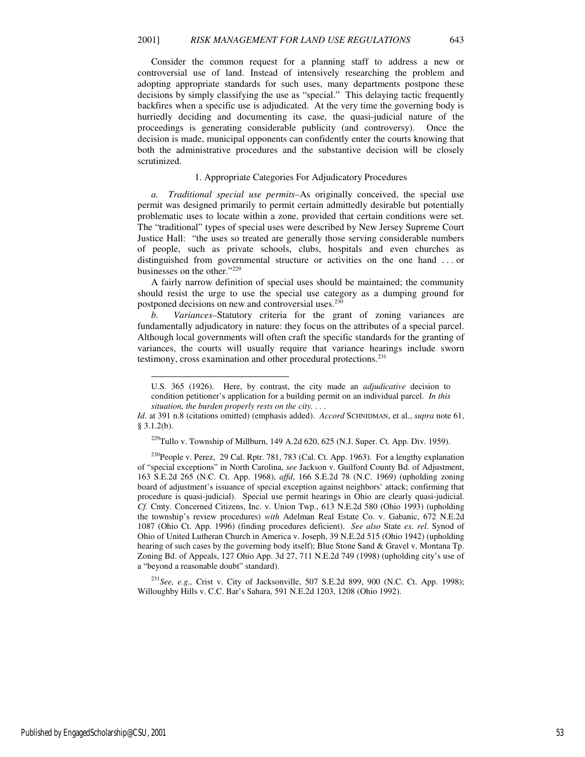Consider the common request for a planning staff to address a new or controversial use of land. Instead of intensively researching the problem and adopting appropriate standards for such uses, many departments postpone these decisions by simply classifying the use as "special." This delaying tactic frequently backfires when a specific use is adjudicated. At the very time the governing body is hurriedly deciding and documenting its case, the quasi-judicial nature of the proceedings is generating considerable publicity (and controversy). Once the decision is made, municipal opponents can confidently enter the courts knowing that both the administrative procedures and the substantive decision will be closely scrutinized.

### 1. Appropriate Categories For Adjudicatory Procedures

*a. Traditional special use permits–*As originally conceived, the special use permit was designed primarily to permit certain admittedly desirable but potentially problematic uses to locate within a zone, provided that certain conditions were set. The "traditional" types of special uses were described by New Jersey Supreme Court Justice Hall: "the uses so treated are generally those serving considerable numbers of people, such as private schools, clubs, hospitals and even churches as distinguished from governmental structure or activities on the one hand . . . or businesses on the other."229

A fairly narrow definition of special uses should be maintained; the community should resist the urge to use the special use category as a dumping ground for postponed decisions on new and controversial uses.<sup>230</sup>

*b. Variances–*Statutory criteria for the grant of zoning variances are fundamentally adjudicatory in nature: they focus on the attributes of a special parcel. Although local governments will often craft the specific standards for the granting of variances, the courts will usually require that variance hearings include sworn testimony, cross examination and other procedural protections.<sup>231</sup>

<sup>229</sup>Tullo v. Township of Millburn, 149 A.2d 620, 625 (N.J. Super. Ct. App. Div. 1959).

<sup>230</sup>People v. Perez, 29 Cal. Rptr. 781, 783 (Cal. Ct. App. 1963). For a lengthy explanation of "special exceptions" in North Carolina, *see* Jackson v. Guilford County Bd. of Adjustment, 163 S.E.2d 265 (N.C. Ct. App. 1968), *affd*, 166 S.E.2d 78 (N.C. 1969) (upholding zoning board of adjustment's issuance of special exception against neighbors' attack; confirming that procedure is quasi-judicial). Special use permit hearings in Ohio are clearly quasi-judicial. *Cf.* Cmty. Concerned Citizens, Inc. v. Union Twp., 613 N.E.2d 580 (Ohio 1993) (upholding the township's review procedures) *with* Adelman Real Estate Co. v. Gabanic, 672 N.E.2d 1087 (Ohio Ct. App. 1996) (finding procedures deficient). *See also* State *ex. rel*. Synod of Ohio of United Lutheran Church in America v. Joseph, 39 N.E.2d 515 (Ohio 1942) (upholding hearing of such cases by the governing body itself); Blue Stone Sand & Gravel v. Montana Tp. Zoning Bd. of Appeals, 127 Ohio App. 3d 27, 711 N.E.2d 749 (1998) (upholding city's use of a "beyond a reasonable doubt" standard).

<sup>231</sup>*See, e.g.,* Crist v. City of Jacksonville, 507 S.E.2d 899, 900 (N.C. Ct. App. 1998); Willoughby Hills v. C.C. Bar's Sahara, 591 N.E.2d 1203, 1208 (Ohio 1992).

-

U.S. 365 (1926). Here, by contrast, the city made an *adjudicative* decision to condition petitioner's application for a building permit on an individual parcel. *In this situation, the burden properly rests on the city.* . . .

*Id.* at 391 n.8 (citations omitted) (emphasis added). *Accord* SCHNIDMAN, et al., *supra* note 61, § 3.1.2(b).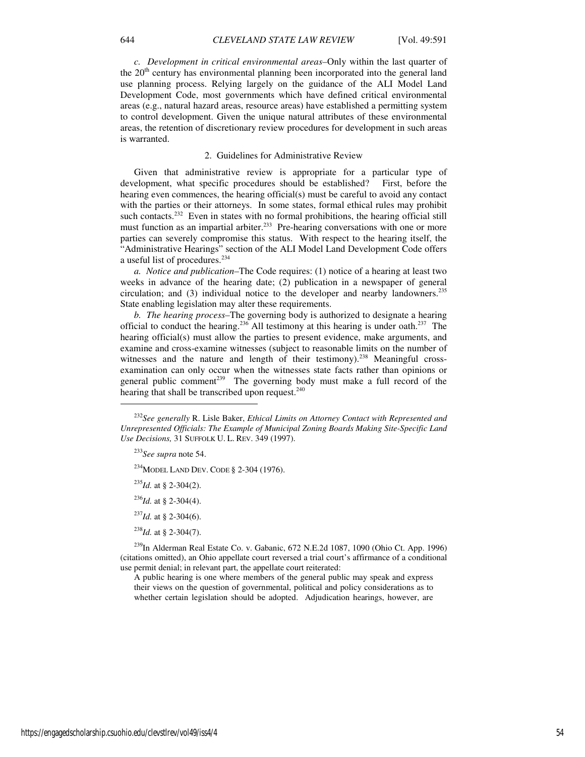*c. Development in critical environmental areas–*Only within the last quarter of the  $20<sup>th</sup>$  century has environmental planning been incorporated into the general land use planning process. Relying largely on the guidance of the ALI Model Land Development Code, most governments which have defined critical environmental areas (e.g., natural hazard areas, resource areas) have established a permitting system to control development. Given the unique natural attributes of these environmental areas, the retention of discretionary review procedures for development in such areas is warranted.

#### 2. Guidelines for Administrative Review

Given that administrative review is appropriate for a particular type of development, what specific procedures should be established? First, before the hearing even commences, the hearing official(s) must be careful to avoid any contact with the parties or their attorneys. In some states, formal ethical rules may prohibit such contacts.<sup>232</sup> Even in states with no formal prohibitions, the hearing official still must function as an impartial arbiter.<sup>233</sup> Pre-hearing conversations with one or more parties can severely compromise this status. With respect to the hearing itself, the "Administrative Hearings" section of the ALI Model Land Development Code offers a useful list of procedures.<sup>234</sup>

*a. Notice and publication–*The Code requires: (1) notice of a hearing at least two weeks in advance of the hearing date; (2) publication in a newspaper of general circulation; and  $(3)$  individual notice to the developer and nearby landowners.<sup>235</sup> State enabling legislation may alter these requirements.

*b. The hearing process–*The governing body is authorized to designate a hearing official to conduct the hearing.<sup>236</sup> All testimony at this hearing is under oath.<sup>237</sup> The hearing official(s) must allow the parties to present evidence, make arguments, and examine and cross-examine witnesses (subject to reasonable limits on the number of witnesses and the nature and length of their testimony).<sup>238</sup> Meaningful crossexamination can only occur when the witnesses state facts rather than opinions or general public comment<sup>239</sup> The governing body must make a full record of the hearing that shall be transcribed upon request.<sup>240</sup>

 $\overline{a}$ 

<sup>234</sup>MODEL LAND DEV. CODE § 2-304 (1976).

- <sup>235</sup>*Id.* at § 2-304(2).
- <sup>236</sup>*Id.* at § 2-304(4).
- <sup>237</sup>*Id.* at § 2-304(6).
- <sup>238</sup>*Id.* at § 2-304(7).

 $^{239}$ In Alderman Real Estate Co. v. Gabanic, 672 N.E.2d 1087, 1090 (Ohio Ct. App. 1996) (citations omitted), an Ohio appellate court reversed a trial court's affirmance of a conditional use permit denial; in relevant part, the appellate court reiterated:

A public hearing is one where members of the general public may speak and express their views on the question of governmental, political and policy considerations as to whether certain legislation should be adopted. Adjudication hearings, however, are

<sup>232</sup>*See generally* R. Lisle Baker, *Ethical Limits on Attorney Contact with Represented and Unrepresented Officials: The Example of Municipal Zoning Boards Making Site-Specific Land Use Decisions,* 31 SUFFOLK U. L. REV. 349 (1997).

<sup>233</sup>*See supra* note 54.